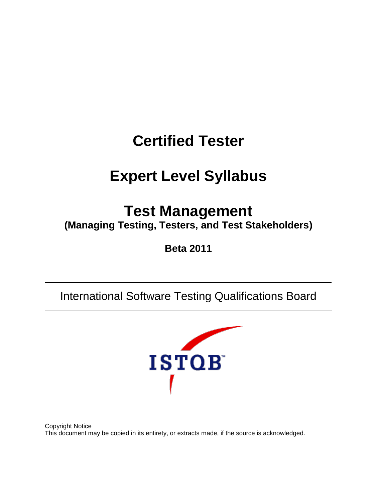# **Certified Tester**

# **Expert Level Syllabus**

# **Test Management**

**(Managing Testing, Testers, and Test Stakeholders)**

**Beta 2011**

International Software Testing Qualifications Board



Copyright Notice This document may be copied in its entirety, or extracts made, if the source is acknowledged.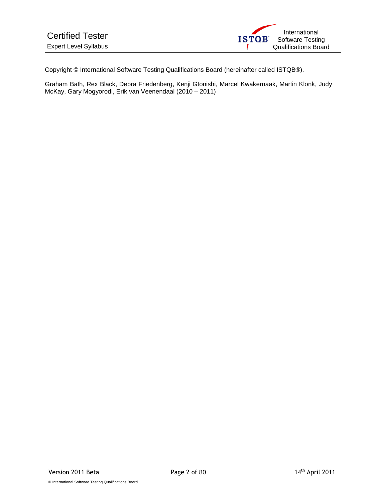

Copyright © International Software Testing Qualifications Board (hereinafter called ISTQB®).

Graham Bath, Rex Black, Debra Friedenberg, Kenji Gtonishi, Marcel Kwakernaak, Martin Klonk, Judy McKay, Gary Mogyorodi, Erik van Veenendaal (2010 – 2011)

© International Software Testing Qualifications Board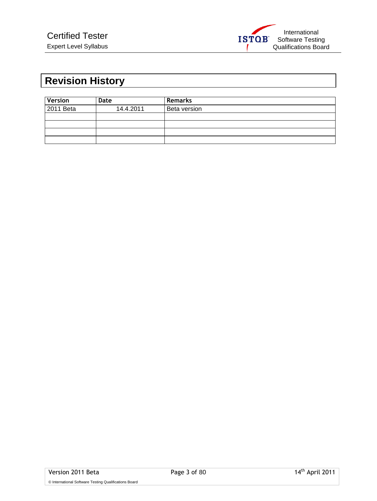

# <span id="page-2-0"></span>**Revision History**

| Version   | Date      | <b>Remarks</b> |
|-----------|-----------|----------------|
| 2011 Beta | 14.4.2011 | Beta version   |
|           |           |                |
|           |           |                |
|           |           |                |
|           |           |                |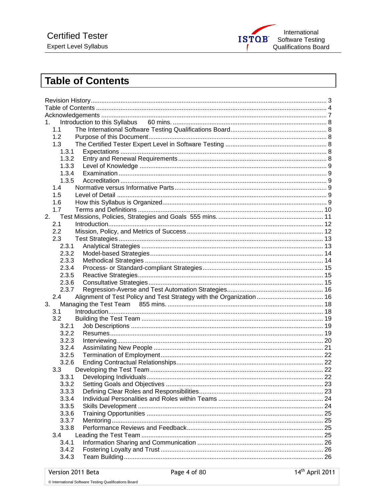

# <span id="page-3-0"></span>**Table of Contents**

| 1.                                                                          |  |  |  |  |
|-----------------------------------------------------------------------------|--|--|--|--|
| 1.1                                                                         |  |  |  |  |
| 1.2                                                                         |  |  |  |  |
| 1.3                                                                         |  |  |  |  |
| 1.3.1                                                                       |  |  |  |  |
| 1.3.2                                                                       |  |  |  |  |
| 1.3.3                                                                       |  |  |  |  |
| 1.3.4                                                                       |  |  |  |  |
| 1.3.5                                                                       |  |  |  |  |
| 1.4                                                                         |  |  |  |  |
| 1.5                                                                         |  |  |  |  |
| 1.6                                                                         |  |  |  |  |
| 1.7                                                                         |  |  |  |  |
| 2.                                                                          |  |  |  |  |
| 2.1                                                                         |  |  |  |  |
| 2.2                                                                         |  |  |  |  |
| 2.3                                                                         |  |  |  |  |
| 2.3.1                                                                       |  |  |  |  |
| 2.3.2                                                                       |  |  |  |  |
| 2.3.3                                                                       |  |  |  |  |
| 2.3.4                                                                       |  |  |  |  |
| 2.3.5                                                                       |  |  |  |  |
| 2.3.6                                                                       |  |  |  |  |
| 2.3.7                                                                       |  |  |  |  |
| 2.4<br>Alignment of Test Policy and Test Strategy with the Organization  16 |  |  |  |  |
| 3.                                                                          |  |  |  |  |
| 3.1                                                                         |  |  |  |  |
| 3.2                                                                         |  |  |  |  |
| 3.2.1                                                                       |  |  |  |  |
| 3.2.2                                                                       |  |  |  |  |
| 3.2.3                                                                       |  |  |  |  |
| 3.2.4                                                                       |  |  |  |  |
| 3.2.5                                                                       |  |  |  |  |
| 3.2.6                                                                       |  |  |  |  |
| 3.3                                                                         |  |  |  |  |
| 3.3.1                                                                       |  |  |  |  |
| 3.3.2                                                                       |  |  |  |  |
| 3.3.3                                                                       |  |  |  |  |
| 3.3.4                                                                       |  |  |  |  |
| 3.3.5                                                                       |  |  |  |  |
| 3.3.6                                                                       |  |  |  |  |
| 3.3.7                                                                       |  |  |  |  |
| 3.3.8                                                                       |  |  |  |  |
| 3.4                                                                         |  |  |  |  |
| 3.4.1                                                                       |  |  |  |  |
| 3.4.2                                                                       |  |  |  |  |
| 3.4.3                                                                       |  |  |  |  |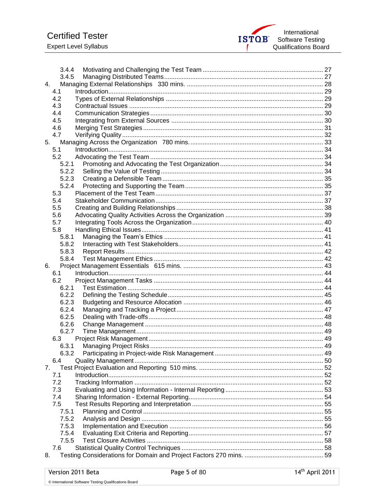

|    | 3.4.4          |  |
|----|----------------|--|
|    | 3.4.5          |  |
| 4. |                |  |
|    | 4.1            |  |
|    | 4.2            |  |
|    | 4.3            |  |
|    | 4.4            |  |
|    | 4.5            |  |
|    | 4.6            |  |
|    | 4.7            |  |
|    | 5.             |  |
|    | 5.1            |  |
|    | 5.2            |  |
|    | 5.2.1          |  |
|    | 5.2.2          |  |
|    | 5.2.3          |  |
|    | 5.2.4          |  |
|    | 5.3            |  |
|    | 5.4            |  |
|    | 5.5            |  |
|    | 5.6            |  |
|    | 5.7            |  |
|    | 5.8            |  |
|    | 5.8.1          |  |
|    | 5.8.2          |  |
|    | 5.8.3          |  |
|    | 5.8.4          |  |
| 6. |                |  |
|    | 6.1            |  |
|    | 6.2            |  |
|    | 6.2.1          |  |
|    | 6.2.2          |  |
|    | 6.2.3          |  |
|    | 6.2.4          |  |
|    | 6.2.5          |  |
|    | 6.2.6          |  |
|    | 6.2.7          |  |
|    | 6.3            |  |
|    | 6.3.1          |  |
|    | 6.3.2          |  |
|    | 6.4            |  |
| 7. |                |  |
|    | 7.1            |  |
|    | 7.2            |  |
|    | 7.3            |  |
|    | 7.4            |  |
|    | 7.5            |  |
|    | 7.5.1          |  |
|    | 7.5.2          |  |
|    |                |  |
|    | 7.5.3<br>7.5.4 |  |
|    | 7.5.5          |  |
|    |                |  |
|    | 7.6            |  |
| 8. |                |  |

© International Software Testing Qualifications Board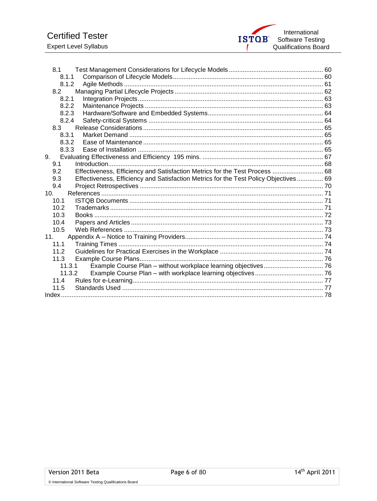

| 8.1                                                                                          |  |
|----------------------------------------------------------------------------------------------|--|
| 8.1.1                                                                                        |  |
| 8.1.2                                                                                        |  |
| 8.2                                                                                          |  |
| 8.2.1                                                                                        |  |
| 8.2.2                                                                                        |  |
| 8.2.3                                                                                        |  |
| 8.2.4                                                                                        |  |
| 8.3                                                                                          |  |
| 8.3.1                                                                                        |  |
| 8.3.2                                                                                        |  |
| 8.3.3                                                                                        |  |
| 9.                                                                                           |  |
| 9.1                                                                                          |  |
| Effectiveness, Efficiency and Satisfaction Metrics for the Test Process  68<br>9.2           |  |
| 9.3<br>Effectiveness, Efficiency and Satisfaction Metrics for the Test Policy Objectives  69 |  |
| 9.4                                                                                          |  |
| 10.                                                                                          |  |
| 10.1                                                                                         |  |
| 10.2                                                                                         |  |
| 10.3                                                                                         |  |
| 10.4                                                                                         |  |
| 10.5                                                                                         |  |
| 11.                                                                                          |  |
| 11.1                                                                                         |  |
| 11.2                                                                                         |  |
| 11.3                                                                                         |  |
| 11.3.1                                                                                       |  |
| 11.3.2                                                                                       |  |
| 11.4                                                                                         |  |
| 11.5                                                                                         |  |
|                                                                                              |  |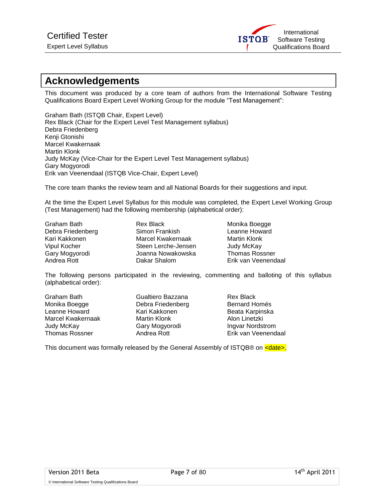

# <span id="page-6-0"></span>**Acknowledgements**

This document was produced by a core team of authors from the International Software Testing Qualifications Board Expert Level Working Group for the module "Test Management":

Graham Bath (ISTQB Chair, Expert Level) Rex Black (Chair for the Expert Level Test Management syllabus) Debra Friedenberg Kenji Gtonishi Marcel Kwakernaak Martin Klonk Judy McKay (Vice-Chair for the Expert Level Test Management syllabus) Gary Mogyorodi Erik van Veenendaal (ISTQB Vice-Chair, Expert Level)

The core team thanks the review team and all National Boards for their suggestions and input.

At the time the Expert Level Syllabus for this module was completed, the Expert Level Working Group (Test Management) had the following membership (alphabetical order):

Debra Friedenberg

Graham Bath Rex Black Monika Boegge Kari Kakkonen Marcel Kwakernaak Martin Klonk Vipul Kocher Steen Lerche-Jensen Judy McKay Gary Mogyorodi Joanna Nowakowska Thomas Rossner

Erik van Veenendaal

The following persons participated in the reviewing, commenting and balloting of this syllabus (alphabetical order):

| Graham Bath       | Gualtiero Bazzana | <b>Rex Black</b>     |
|-------------------|-------------------|----------------------|
| Monika Boegge     | Debra Friedenberg | <b>Bernard Homés</b> |
| Leanne Howard     | Kari Kakkonen     | Beata Karpinska      |
| Marcel Kwakernaak | Martin Klonk      | Alon Linetzki        |
| Judy McKay        | Gary Mogyorodi    | Ingvar Nordstrom     |
| Thomas Rossner    | Andrea Rott       | Erik van Veenendaal  |

This document was formally released by the General Assembly of ISTQB® on  $\leq$ date>.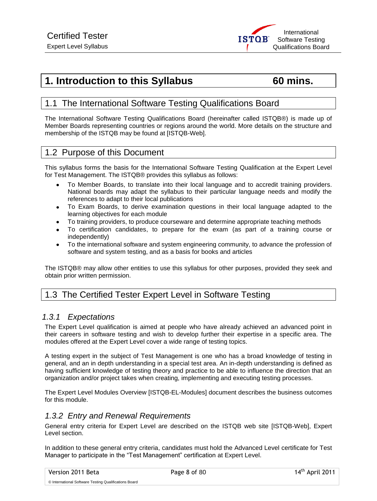

# <span id="page-7-0"></span>**1.** Introduction to this Syllabus 60 mins.

# <span id="page-7-1"></span>1.1 The International Software Testing Qualifications Board

The International Software Testing Qualifications Board (hereinafter called ISTQB®) is made up of Member Boards representing countries or regions around the world. More details on the structure and membership of the ISTQB may be found at [ISTQB-Web].

# <span id="page-7-2"></span>1.2 Purpose of this Document

This syllabus forms the basis for the International Software Testing Qualification at the Expert Level for Test Management. The ISTQB® provides this syllabus as follows:

- To Member Boards, to translate into their local language and to accredit training providers. National boards may adapt the syllabus to their particular language needs and modify the references to adapt to their local publications
- To Exam Boards, to derive examination questions in their local language adapted to the learning objectives for each module
- To training providers, to produce courseware and determine appropriate teaching methods
- To certification candidates, to prepare for the exam (as part of a training course or independently)
- To the international software and system engineering community, to advance the profession of software and system testing, and as a basis for books and articles

The ISTQB® may allow other entities to use this syllabus for other purposes, provided they seek and obtain prior written permission.

# <span id="page-7-3"></span>1.3 The Certified Tester Expert Level in Software Testing

#### <span id="page-7-4"></span>*1.3.1 Expectations*

The Expert Level qualification is aimed at people who have already achieved an advanced point in their careers in software testing and wish to develop further their expertise in a specific area. The modules offered at the Expert Level cover a wide range of testing topics.

A testing expert in the subject of Test Management is one who has a broad knowledge of testing in general, and an in depth understanding in a special test area. An in-depth understanding is defined as having sufficient knowledge of testing theory and practice to be able to influence the direction that an organization and/or project takes when creating, implementing and executing testing processes.

The Expert Level Modules Overview [ISTQB-EL-Modules] document describes the business outcomes for this module.

#### <span id="page-7-5"></span>*1.3.2 Entry and Renewal Requirements*

General entry criteria for Expert Level are described on the ISTQB web site [ISTQB-Web], Expert Level section.

In addition to these general entry criteria, candidates must hold the Advanced Level certificate for Test Manager to participate in the "Test Management" certification at Expert Level.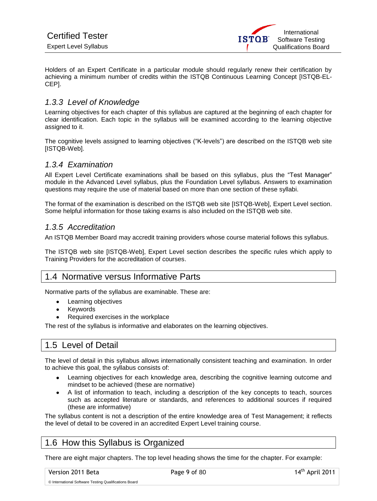

Holders of an Expert Certificate in a particular module should regularly renew their certification by achieving a minimum number of credits within the ISTQB Continuous Learning Concept [ISTQB-EL-CEP].

# <span id="page-8-0"></span>*1.3.3 Level of Knowledge*

Learning objectives for each chapter of this syllabus are captured at the beginning of each chapter for clear identification. Each topic in the syllabus will be examined according to the learning objective assigned to it.

The cognitive levels assigned to learning objectives ("K-levels") are described on the ISTQB web site [ISTQB-Web].

#### <span id="page-8-1"></span>*1.3.4 Examination*

All Expert Level Certificate examinations shall be based on this syllabus, plus the "Test Manager" module in the Advanced Level syllabus, plus the Foundation Level syllabus. Answers to examination questions may require the use of material based on more than one section of these syllabi.

The format of the examination is described on the ISTQB web site [ISTQB-Web], Expert Level section. Some helpful information for those taking exams is also included on the ISTQB web site.

### <span id="page-8-2"></span>*1.3.5 Accreditation*

An ISTQB Member Board may accredit training providers whose course material follows this syllabus.

The ISTQB web site [ISTQB-Web], Expert Level section describes the specific rules which apply to Training Providers for the accreditation of courses.

# <span id="page-8-3"></span>1.4 Normative versus Informative Parts

Normative parts of the syllabus are examinable. These are:

- Learning objectives
- Keywords
- Required exercises in the workplace

The rest of the syllabus is informative and elaborates on the learning objectives.

# <span id="page-8-4"></span>1.5 Level of Detail

The level of detail in this syllabus allows internationally consistent teaching and examination. In order to achieve this goal, the syllabus consists of:

- Learning objectives for each knowledge area, describing the cognitive learning outcome and mindset to be achieved (these are normative)
- A list of information to teach, including a description of the key concepts to teach, sources  $\bullet$ such as accepted literature or standards, and references to additional sources if required (these are informative)

The syllabus content is not a description of the entire knowledge area of Test Management; it reflects the level of detail to be covered in an accredited Expert Level training course.

# <span id="page-8-5"></span>1.6 How this Syllabus is Organized

There are eight major chapters. The top level heading shows the time for the chapter. For example:

Version 2011 Beta **Page 9 of 80** 14<sup>th</sup> April 2011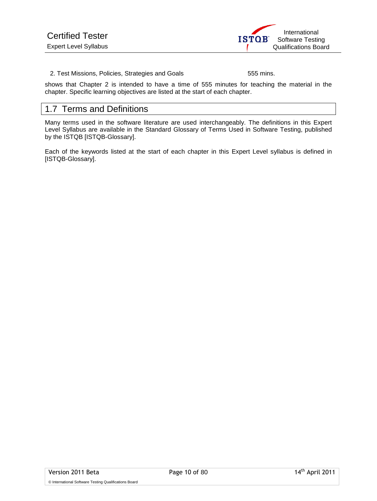

2. Test Missions, Policies, Strategies and Goals 555 mins.

shows that Chapter 2 is intended to have a time of 555 minutes for teaching the material in the chapter. Specific learning objectives are listed at the start of each chapter.

# <span id="page-9-0"></span>1.7 Terms and Definitions

Many terms used in the software literature are used interchangeably. The definitions in this Expert Level Syllabus are available in the Standard Glossary of Terms Used in Software Testing, published by the ISTQB [ISTQB-Glossary].

Each of the keywords listed at the start of each chapter in this Expert Level syllabus is defined in [ISTQB-Glossary].

© International Software Testing Qualifications Board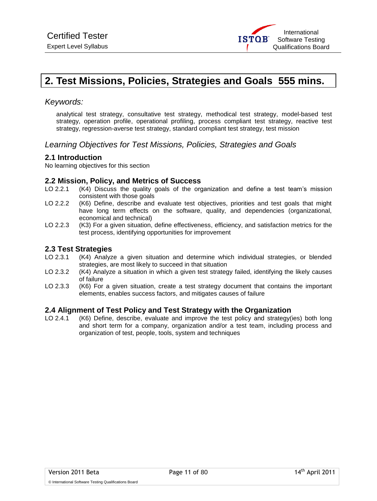

# <span id="page-10-0"></span>**2. Test Missions, Policies, Strategies and Goals 555 mins.**

#### *Keywords:*

analytical test strategy, consultative test strategy, methodical test strategy, model-based test strategy, operation profile, operational profiling, process compliant test strategy, reactive test strategy, regression-averse test strategy, standard compliant test strategy, test mission

#### *Learning Objectives for Test Missions, Policies, Strategies and Goals*

#### **2.1 Introduction**

No learning objectives for this section

#### **2.2 Mission, Policy, and Metrics of Success**

- LO 2.2.1 (K4) Discuss the quality goals of the organization and define a test team's mission consistent with those goals
- LO 2.2.2 (K6) Define, describe and evaluate test objectives, priorities and test goals that might have long term effects on the software, quality, and dependencies (organizational, economical and technical)
- LO 2.2.3 (K3) For a given situation, define effectiveness, efficiency, and satisfaction metrics for the test process, identifying opportunities for improvement

#### **2.3 Test Strategies**

- LO 2.3.1 (K4) Analyze a given situation and determine which individual strategies, or blended strategies, are most likely to succeed in that situation
- LO 2.3.2 (K4) Analyze a situation in which a given test strategy failed, identifying the likely causes of failure
- LO 2.3.3 (K6) For a given situation, create a test strategy document that contains the important elements, enables success factors, and mitigates causes of failure

#### **2.4 Alignment of Test Policy and Test Strategy with the Organization**

LO 2.4.1 (K6) Define, describe, evaluate and improve the test policy and strategy(ies) both long and short term for a company, organization and/or a test team, including process and organization of test, people, tools, system and techniques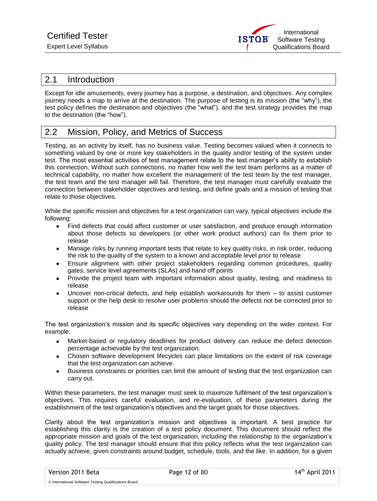

### <span id="page-11-0"></span>2.1 Introduction

Except for idle amusements, every journey has a purpose, a destination, and objectives. Any complex journey needs a map to arrive at the destination. The purpose of testing is its mission (the "why"), the test policy defines the destination and objectives (the "what"), and the test strategy provides the map to the destination (the "how").

# <span id="page-11-1"></span>2.2 Mission, Policy, and Metrics of Success

Testing, as an activity by itself, has no business value. Testing becomes valued when it connects to something valued by one or more key stakeholders in the quality and/or testing of the system under test. The most essential activities of test management relate to the test manager's ability to establish this connection. Without such connections, no matter how well the test team performs as a matter of technical capability, no matter how excellent the management of the test team by the test manager, the test team and the test manager will fail. Therefore, the test manager must carefully evaluate the connection between stakeholder objectives and testing, and define goals and a mission of testing that relate to those objectives.

While the specific mission and objectives for a test organization can vary, typical objectives include the following:

- Find defects that could affect customer or user satisfaction, and produce enough information about those defects so developers (or other work product authors) can fix them prior to release
- Manage risks by running important tests that relate to key quality risks, in risk order, reducing the risk to the quality of the system to a known and acceptable level prior to release
- Ensure alignment with other project stakeholders regarding common procedures, quality gates, service level agreements (SLAs) and hand off points
- Provide the project team with important information about quality, testing, and readiness to  $\bullet$ release
- Uncover non-critical defects, and help establish workarounds for them to assist customer  $\bullet$ support or the help desk to resolve user problems should the defects not be corrected prior to release

The test organization's mission and its specific objectives vary depending on the wider context. For example:

- Market-based or regulatory deadlines for product delivery can reduce the defect detection percentage achievable by the test organization.
- Chosen software development lifecycles can place limitations on the extent of risk coverage that the test organization can achieve.
- Business constraints or priorities can limit the amount of testing that the test organization can carry out.

Within these parameters, the test manager must seek to maximize fulfilment of the test organization's objectives. This requires careful evaluation, and re-evaluation, of these parameters during the establishment of the test organization's objectives and the target goals for those objectives.

Clarity about the test organization's mission and objectives is important. A best practice for establishing this clarity is the creation of a test policy document. This document should reflect the appropriate mission and goals of the test organization, including the relationship to the organization's quality policy. The test manager should ensure that this policy reflects what the test organization can actually achieve, given constraints around budget, schedule, tools, and the like. In addition, for a given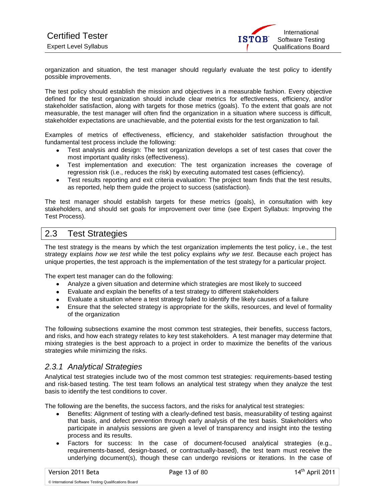

organization and situation, the test manager should regularly evaluate the test policy to identify possible improvements.

The test policy should establish the mission and objectives in a measurable fashion. Every objective defined for the test organization should include clear metrics for effectiveness, efficiency, and/or stakeholder satisfaction, along with targets for those metrics (goals). To the extent that goals are not measurable, the test manager will often find the organization in a situation where success is difficult, stakeholder expectations are unachievable, and the potential exists for the test organization to fail.

Examples of metrics of effectiveness, efficiency, and stakeholder satisfaction throughout the fundamental test process include the following:

- Test analysis and design: The test organization develops a set of test cases that cover the most important quality risks (effectiveness).
- Test implementation and execution: The test organization increases the coverage of regression risk (i.e., reduces the risk) by executing automated test cases (efficiency).
- Test results reporting and exit criteria evaluation: The project team finds that the test results, as reported, help them guide the project to success (satisfaction).

The test manager should establish targets for these metrics (goals), in consultation with key stakeholders, and should set goals for improvement over time (see Expert Syllabus: Improving the Test Process).

# <span id="page-12-0"></span>2.3 Test Strategies

The test strategy is the means by which the test organization implements the test policy, i.e., the test strategy explains *how we test* while the test policy explains *why we test*. Because each project has unique properties, the test approach is the implementation of the test strategy for a particular project.

The expert test manager can do the following:

- Analyze a given situation and determine which strategies are most likely to succeed
- Evaluate and explain the benefits of a test strategy to different stakeholders
- Evaluate a situation where a test strategy failed to identify the likely causes of a failure
- Ensure that the selected strategy is appropriate for the skills, resources, and level of formality of the organization

The following subsections examine the most common test strategies, their benefits, success factors, and risks, and how each strategy relates to key test stakeholders. A test manager may determine that mixing strategies is the best approach to a project in order to maximize the benefits of the various strategies while minimizing the risks.

# <span id="page-12-1"></span>*2.3.1 Analytical Strategies*

Analytical test strategies include two of the most common test strategies: requirements-based testing and risk-based testing. The test team follows an analytical test strategy when they analyze the test basis to identify the test conditions to cover.

The following are the benefits, the success factors, and the risks for analytical test strategies:

- Benefits: Alignment of testing with a clearly-defined test basis, measurability of testing against that basis, and defect prevention through early analysis of the test basis. Stakeholders who participate in analysis sessions are given a level of transparency and insight into the testing process and its results.
- Factors for success: In the case of document-focused analytical strategies (e.g.,  $\bullet$ requirements-based, design-based, or contractually-based), the test team must receive the underlying document(s), though these can undergo revisions or iterations. In the case of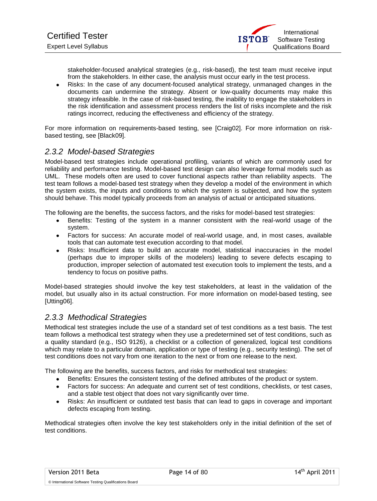stakeholder-focused analytical strategies (e.g., risk-based), the test team must receive input from the stakeholders. In either case, the analysis must occur early in the test process.

Risks: In the case of any document-focused analytical strategy, unmanaged changes in the documents can undermine the strategy. Absent or low-quality documents may make this strategy infeasible. In the case of risk-based testing, the inability to engage the stakeholders in the risk identification and assessment process renders the list of risks incomplete and the risk ratings incorrect, reducing the effectiveness and efficiency of the strategy.

For more information on requirements-based testing, see [Craig02]. For more information on riskbased testing, see [Black09].

# <span id="page-13-0"></span>*2.3.2 Model-based Strategies*

Model-based test strategies include operational profiling, variants of which are commonly used for reliability and performance testing. Model-based test design can also leverage formal models such as UML. These models often are used to cover functional aspects rather than reliability aspects. The test team follows a model-based test strategy when they develop a model of the environment in which the system exists, the inputs and conditions to which the system is subjected, and how the system should behave. This model typically proceeds from an analysis of actual or anticipated situations.

The following are the benefits, the success factors, and the risks for model-based test strategies:

- Benefits: Testing of the system in a manner consistent with the real-world usage of the system.
- Factors for success: An accurate model of real-world usage, and, in most cases, available tools that can automate test execution according to that model.
- Risks: Insufficient data to build an accurate model, statistical inaccuracies in the model (perhaps due to improper skills of the modelers) leading to severe defects escaping to production, improper selection of automated test execution tools to implement the tests, and a tendency to focus on positive paths.

Model-based strategies should involve the key test stakeholders, at least in the validation of the model, but usually also in its actual construction. For more information on model-based testing, see [Utting06].

# <span id="page-13-1"></span>*2.3.3 Methodical Strategies*

Methodical test strategies include the use of a standard set of test conditions as a test basis. The test team follows a methodical test strategy when they use a predetermined set of test conditions, such as a quality standard (e.g., ISO 9126), a checklist or a collection of generalized, logical test conditions which may relate to a particular domain, application or type of testing (e.g., security testing). The set of test conditions does not vary from one iteration to the next or from one release to the next.

The following are the benefits, success factors, and risks for methodical test strategies:

- Benefits: Ensures the consistent testing of the defined attributes of the product or system.
- Factors for success: An adequate and current set of test conditions, checklists, or test cases, and a stable test object that does not vary significantly over time.
- Risks: An insufficient or outdated test basis that can lead to gaps in coverage and important  $\bullet$ defects escaping from testing.

Methodical strategies often involve the key test stakeholders only in the initial definition of the set of test conditions.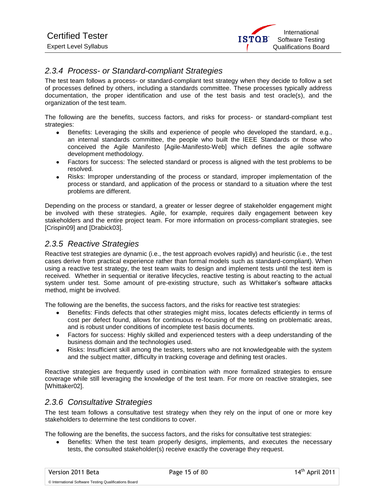

# <span id="page-14-0"></span>*2.3.4 Process- or Standard-compliant Strategies*

The test team follows a process- or standard-compliant test strategy when they decide to follow a set of processes defined by others, including a standards committee. These processes typically address documentation, the proper identification and use of the test basis and test oracle(s), and the organization of the test team.

The following are the benefits, success factors, and risks for process- or standard-compliant test strategies:

- Benefits: Leveraging the skills and experience of people who developed the standard, e.g.,  $\bullet$ an internal standards committee, the people who built the IEEE Standards or those who conceived the Agile Manifesto [Agile-Manifesto-Web] which defines the agile software development methodology.
- Factors for success: The selected standard or process is aligned with the test problems to be resolved.
- Risks: Improper understanding of the process or standard, improper implementation of the process or standard, and application of the process or standard to a situation where the test problems are different.

Depending on the process or standard, a greater or lesser degree of stakeholder engagement might be involved with these strategies. Agile, for example, requires daily engagement between key stakeholders and the entire project team. For more information on process-compliant strategies, see [Crispin09] and [Drabick03].

### <span id="page-14-1"></span>*2.3.5 Reactive Strategies*

Reactive test strategies are dynamic (i.e., the test approach evolves rapidly) and heuristic (i.e., the test cases derive from practical experience rather than formal models such as standard-compliant). When using a reactive test strategy, the test team waits to design and implement tests until the test item is received. Whether in sequential or iterative lifecycles, reactive testing is about reacting to the actual system under test. Some amount of pre-existing structure, such as Whittaker's software attacks method, might be involved.

The following are the benefits, the success factors, and the risks for reactive test strategies:

- Benefits: Finds defects that other strategies might miss, locates defects efficiently in terms of cost per defect found, allows for continuous re-focusing of the testing on problematic areas, and is robust under conditions of incomplete test basis documents.
- Factors for success: Highly skilled and experienced testers with a deep understanding of the business domain and the technologies used.
- Risks: Insufficient skill among the testers, testers who are not knowledgeable with the system  $\bullet$ and the subject matter, difficulty in tracking coverage and defining test oracles.

Reactive strategies are frequently used in combination with more formalized strategies to ensure coverage while still leveraging the knowledge of the test team. For more on reactive strategies, see [Whittaker02].

#### <span id="page-14-2"></span>*2.3.6 Consultative Strategies*

The test team follows a consultative test strategy when they rely on the input of one or more key stakeholders to determine the test conditions to cover.

The following are the benefits, the success factors, and the risks for consultative test strategies:

Benefits: When the test team properly designs, implements, and executes the necessary  $\bullet$ tests, the consulted stakeholder(s) receive exactly the coverage they request.

© International Software Testing Qualifications Board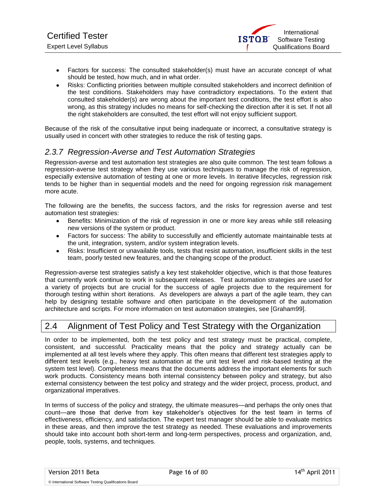

- Factors for success: The consulted stakeholder(s) must have an accurate concept of what should be tested, how much, and in what order.
- Risks: Conflicting priorities between multiple consulted stakeholders and incorrect definition of the test conditions. Stakeholders may have contradictory expectations. To the extent that consulted stakeholder(s) are wrong about the important test conditions, the test effort is also wrong, as this strategy includes no means for self-checking the direction after it is set. If not all the right stakeholders are consulted, the test effort will not enjoy sufficient support.

Because of the risk of the consultative input being inadequate or incorrect, a consultative strategy is usually used in concert with other strategies to reduce the risk of testing gaps.

### <span id="page-15-0"></span>*2.3.7 Regression-Averse and Test Automation Strategies*

Regression-averse and test automation test strategies are also quite common. The test team follows a regression-averse test strategy when they use various techniques to manage the risk of regression, especially extensive automation of testing at one or more levels. In iterative lifecycles, regression risk tends to be higher than in sequential models and the need for ongoing regression risk management more acute.

The following are the benefits, the success factors, and the risks for regression averse and test automation test strategies:

- Benefits: Minimization of the risk of regression in one or more key areas while still releasing new versions of the system or product.
- Factors for success: The ability to successfully and efficiently automate maintainable tests at the unit, integration, system, and/or system integration levels.
- Risks: Insufficient or unavailable tools, tests that resist automation, insufficient skills in the test  $\bullet$ team, poorly tested new features, and the changing scope of the product.

Regression-averse test strategies satisfy a key test stakeholder objective, which is that those features that currently work continue to work in subsequent releases. Test automation strategies are used for a variety of projects but are crucial for the success of agile projects due to the requirement for thorough testing within short iterations. As developers are always a part of the agile team, they can help by designing testable software and often participate in the development of the automation architecture and scripts. For more information on test automation strategies, see [Graham99].

# <span id="page-15-1"></span>2.4 Alignment of Test Policy and Test Strategy with the Organization

In order to be implemented, both the test policy and test strategy must be practical, complete, consistent, and successful. Practicality means that the policy and strategy actually can be implemented at all test levels where they apply. This often means that different test strategies apply to different test levels (e.g., heavy test automation at the unit test level and risk-based testing at the system test level). Completeness means that the documents address the important elements for such work products. Consistency means both internal consistency between policy and strategy, but also external consistency between the test policy and strategy and the wider project, process, product, and organizational imperatives.

In terms of success of the policy and strategy, the ultimate measures—and perhaps the only ones that count—are those that derive from key stakeholder's objectives for the test team in terms of effectiveness, efficiency, and satisfaction. The expert test manager should be able to evaluate metrics in these areas, and then improve the test strategy as needed. These evaluations and improvements should take into account both short-term and long-term perspectives, process and organization, and, people, tools, systems, and techniques.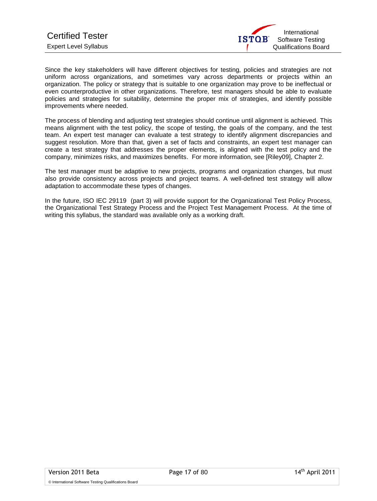

Since the key stakeholders will have different objectives for testing, policies and strategies are not uniform across organizations, and sometimes vary across departments or projects within an organization. The policy or strategy that is suitable to one organization may prove to be ineffectual or even counterproductive in other organizations. Therefore, test managers should be able to evaluate policies and strategies for suitability, determine the proper mix of strategies, and identify possible improvements where needed.

The process of blending and adjusting test strategies should continue until alignment is achieved. This means alignment with the test policy, the scope of testing, the goals of the company, and the test team. An expert test manager can evaluate a test strategy to identify alignment discrepancies and suggest resolution. More than that, given a set of facts and constraints, an expert test manager can create a test strategy that addresses the proper elements, is aligned with the test policy and the company, minimizes risks, and maximizes benefits. For more information, see [Riley09], Chapter 2.

The test manager must be adaptive to new projects, programs and organization changes, but must also provide consistency across projects and project teams. A well-defined test strategy will allow adaptation to accommodate these types of changes.

In the future, ISO IEC 29119 (part 3) will provide support for the Organizational Test Policy Process, the Organizational Test Strategy Process and the Project Test Management Process. At the time of writing this syllabus, the standard was available only as a working draft.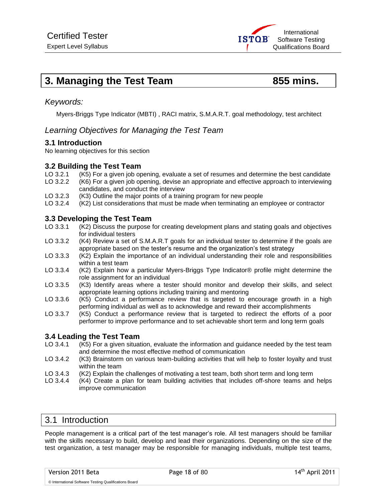

# <span id="page-17-0"></span>**3. Managing the Test Team 855 mins.**

#### *Keywords:*

Myers-Briggs Type Indicator (MBTI) , RACI matrix, S.M.A.R.T. goal methodology, test architect

#### *Learning Objectives for Managing the Test Team*

#### **3.1 Introduction**

No learning objectives for this section

# **3.2 Building the Test Team**<br>**10.3.2.1** (K5) For a given job or

- LO 3.2.1 (K5) For a given job opening, evaluate a set of resumes and determine the best candidate<br>LO 3.2.2 (K6) For a given job opening, devise an appropriate and effective approach to interviewing
- (K6) For a given job opening, devise an appropriate and effective approach to interviewing candidates, and conduct the interview
- LO 3.2.3 (K3) Outline the major points of a training program for new people
- LO 3.2.4 (K2) List considerations that must be made when terminating an employee or contractor

#### **3.3 Developing the Test Team**

- LO 3.3.1 (K2) Discuss the purpose for creating development plans and stating goals and objectives for individual testers
- LO 3.3.2 (K4) Review a set of S.M.A.R.T goals for an individual tester to determine if the goals are appropriate based on the tester's resume and the organization's test strategy
- LO 3.3.3 (K2) Explain the importance of an individual understanding their role and responsibilities within a test team
- LO 3.3.4 (K2) Explain how a particular Myers-Briggs Type Indicator® profile might determine the role assignment for an individual
- LO 3.3.5 (K3) Identify areas where a tester should monitor and develop their skills, and select appropriate learning options including training and mentoring
- LO 3.3.6 (K5) Conduct a performance review that is targeted to encourage growth in a high performing individual as well as to acknowledge and reward their accomplishments
- LO 3.3.7 (K5) Conduct a performance review that is targeted to redirect the efforts of a poor performer to improve performance and to set achievable short term and long term goals

#### **3.4 Leading the Test Team**

- LO 3.4.1 (K5) For a given situation, evaluate the information and guidance needed by the test team and determine the most effective method of communication
- LO 3.4.2 (K3) Brainstorm on various team-building activities that will help to foster loyalty and trust within the team
- LO 3.4.3 (K2) Explain the challenges of motivating a test team, both short term and long term
- LO 3.4.4 (K4) Create a plan for team building activities that includes off-shore teams and helps improve communication

#### <span id="page-17-1"></span>3.1 Introduction

People management is a critical part of the test manager's role. All test managers should be familiar with the skills necessary to build, develop and lead their organizations. Depending on the size of the test organization, a test manager may be responsible for managing individuals, multiple test teams,

Version 2011 Beta **Page 18 of 80** 18 of 80 14<sup>th</sup> April 2011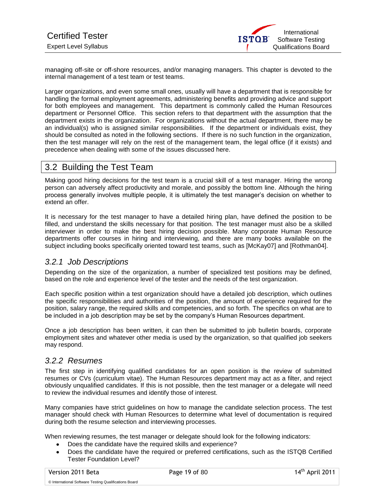

managing off-site or off-shore resources, and/or managing managers. This chapter is devoted to the internal management of a test team or test teams.

Larger organizations, and even some small ones, usually will have a department that is responsible for handling the formal employment agreements, administering benefits and providing advice and support for both employees and management. This department is commonly called the Human Resources department or Personnel Office. This section refers to that department with the assumption that the department exists in the organization. For organizations without the actual department, there may be an individual(s) who is assigned similar responsibilities. If the department or individuals exist, they should be consulted as noted in the following sections. If there is no such function in the organization, then the test manager will rely on the rest of the management team, the legal office (if it exists) and precedence when dealing with some of the issues discussed here.

# <span id="page-18-0"></span>3.2 Building the Test Team

Making good hiring decisions for the test team is a crucial skill of a test manager. Hiring the wrong person can adversely affect productivity and morale, and possibly the bottom line. Although the hiring process generally involves multiple people, it is ultimately the test manager's decision on whether to extend an offer.

It is necessary for the test manager to have a detailed hiring plan, have defined the position to be filled, and understand the skills necessary for that position. The test manager must also be a skilled interviewer in order to make the best hiring decision possible. Many corporate Human Resource departments offer courses in hiring and interviewing, and there are many books available on the subject including books specifically oriented toward test teams, such as [McKay07] and [Rothman04].

#### <span id="page-18-1"></span>*3.2.1 Job Descriptions*

Depending on the size of the organization, a number of specialized test positions may be defined, based on the role and experience level of the tester and the needs of the test organization.

Each specific position within a test organization should have a detailed job description, which outlines the specific responsibilities and authorities of the position, the amount of experience required for the position, salary range, the required skills and competencies, and so forth. The specifics on what are to be included in a job description may be set by the company's Human Resources department.

Once a job description has been written, it can then be submitted to job bulletin boards, corporate employment sites and whatever other media is used by the organization, so that qualified job seekers may respond.

#### <span id="page-18-2"></span>*3.2.2 Resumes*

The first step in identifying qualified candidates for an open position is the review of submitted resumes or CVs (curriculum vitae). The Human Resources department may act as a filter, and reject obviously unqualified candidates. If this is not possible, then the test manager or a delegate will need to review the individual resumes and identify those of interest.

Many companies have strict guidelines on how to manage the candidate selection process. The test manager should check with Human Resources to determine what level of documentation is required during both the resume selection and interviewing processes.

When reviewing resumes, the test manager or delegate should look for the following indicators:

- Does the candidate have the required skills and experience?
- Does the candidate have the required or preferred certifications, such as the ISTQB Certified Tester Foundation Level?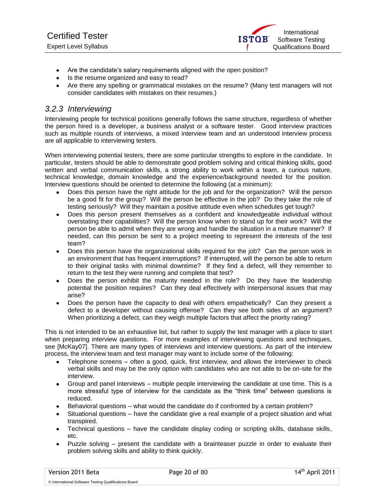

- Are the candidate's salary requirements aligned with the open position?
- Is the resume organized and easy to read?
- Are there any spelling or grammatical mistakes on the resume? (Many test managers will not  $\bullet$ consider candidates with mistakes on their resumes.)

### <span id="page-19-0"></span>*3.2.3 Interviewing*

Interviewing people for technical positions generally follows the same structure, regardless of whether the person hired is a developer, a business analyst or a software tester. Good interview practices such as multiple rounds of interviews, a mixed interview team and an understood interview process are all applicable to interviewing testers.

When interviewing potential testers, there are some particular strengths to explore in the candidate. In particular, testers should be able to demonstrate good problem solving and critical thinking skills, good written and verbal communication skills, a strong ability to work within a team, a curious nature, technical knowledge, domain knowledge and the experience/background needed for the position. Interview questions should be oriented to determine the following (at a minimum):

- Does this person have the right attitude for the job and for the organization? Will the person be a good fit for the group? Will the person be effective in the job? Do they take the role of testing seriously? Will they maintain a positive attitude even when schedules get tough?
- Does this person present themselves as a confident and knowledgeable individual without overstating their capabilities? Will the person know when to stand up for their work? Will the person be able to admit when they are wrong and handle the situation in a mature manner? If needed, can this person be sent to a project meeting to represent the interests of the test team?
- Does this person have the organizational skills required for the job? Can the person work in an environment that has frequent interruptions? If interrupted, will the person be able to return to their original tasks with minimal downtime? If they find a defect, will they remember to return to the test they were running and complete that test?
- Does the person exhibit the maturity needed in the role? Do they have the leadership potential the position requires? Can they deal effectively with interpersonal issues that may arise?
- Does the person have the capacity to deal with others empathetically? Can they present a  $\bullet$ defect to a developer without causing offense? Can they see both sides of an argument? When prioritizing a defect, can they weigh multiple factors that affect the priority rating?

This is not intended to be an exhaustive list, but rather to supply the test manager with a place to start when preparing interview questions. For more examples of interviewing questions and techniques, see [McKay07]. There are many types of interviews and interview questions. As part of the interview process, the interview team and test manager may want to include some of the following:

- Telephone screens often a good, quick, first interview, and allows the interviewer to check verbal skills and may be the only option with candidates who are not able to be on-site for the interview.
- Group and panel interviews multiple people interviewing the candidate at one time. This is a more stressful type of interview for the candidate as the "think time" between questions is reduced.
- Behavioral questions what would the candidate do if confronted by a certain problem?
- Situational questions have the candidate give a real example of a project situation and what transpired.
- Technical questions have the candidate display coding or scripting skills, database skills,  $\bullet$ etc.
- $\bullet$ Puzzle solving – present the candidate with a brainteaser puzzle in order to evaluate their problem solving skills and ability to think quickly.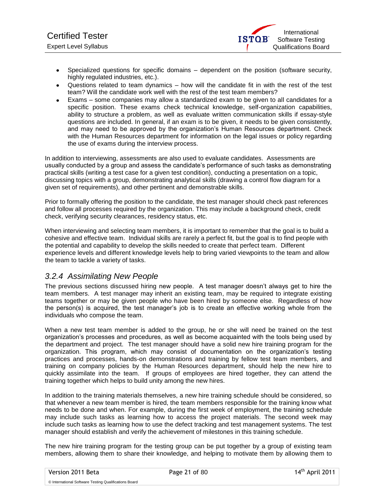

- Specialized questions for specific domains dependent on the position (software security,  $\bullet$ highly regulated industries, etc.).
- Questions related to team dynamics how will the candidate fit in with the rest of the test team? Will the candidate work well with the rest of the test team members?
- Exams some companies may allow a standardized exam to be given to all candidates for a specific position. These exams check technical knowledge, self-organization capabilities, ability to structure a problem, as well as evaluate written communication skills if essay-style questions are included. In general, if an exam is to be given, it needs to be given consistently, and may need to be approved by the organization's Human Resources department. Check with the Human Resources department for information on the legal issues or policy regarding the use of exams during the interview process.

In addition to interviewing, assessments are also used to evaluate candidates. Assessments are usually conducted by a group and assess the candidate's performance of such tasks as demonstrating practical skills (writing a test case for a given test condition), conducting a presentation on a topic, discussing topics with a group, demonstrating analytical skills (drawing a control flow diagram for a given set of requirements), and other pertinent and demonstrable skills.

Prior to formally offering the position to the candidate, the test manager should check past references and follow all processes required by the organization. This may include a background check, credit check, verifying security clearances, residency status, etc.

When interviewing and selecting team members, it is important to remember that the goal is to build a cohesive and effective team. Individual skills are rarely a perfect fit, but the goal is to find people with the potential and capability to develop the skills needed to create that perfect team. Different experience levels and different knowledge levels help to bring varied viewpoints to the team and allow the team to tackle a variety of tasks.

#### <span id="page-20-0"></span>*3.2.4 Assimilating New People*

The previous sections discussed hiring new people. A test manager doesn't always get to hire the team members. A test manager may inherit an existing team, may be required to integrate existing teams together or may be given people who have been hired by someone else. Regardless of how the person(s) is acquired, the test manager's job is to create an effective working whole from the individuals who compose the team.

When a new test team member is added to the group, he or she will need be trained on the test organization's processes and procedures, as well as become acquainted with the tools being used by the department and project. The test manager should have a solid new hire training program for the organization. This program, which may consist of documentation on the organization's testing practices and processes, hands-on demonstrations and training by fellow test team members, and training on company policies by the Human Resources department, should help the new hire to quickly assimilate into the team. If groups of employees are hired together, they can attend the training together which helps to build unity among the new hires.

In addition to the training materials themselves, a new hire training schedule should be considered, so that whenever a new team member is hired, the team members responsible for the training know what needs to be done and when. For example, during the first week of employment, the training schedule may include such tasks as learning how to access the project materials. The second week may include such tasks as learning how to use the defect tracking and test management systems. The test manager should establish and verify the achievement of milestones in this training schedule.

The new hire training program for the testing group can be put together by a group of existing team members, allowing them to share their knowledge, and helping to motivate them by allowing them to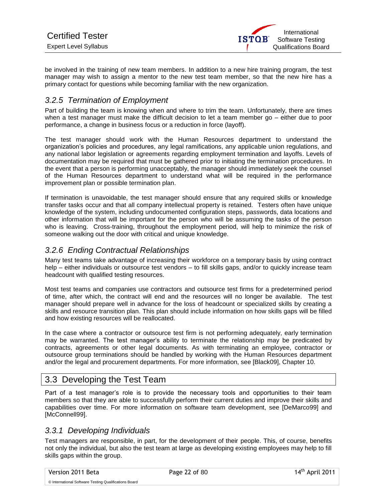be involved in the training of new team members. In addition to a new hire training program, the test manager may wish to assign a mentor to the new test team member, so that the new hire has a primary contact for questions while becoming familiar with the new organization.

# <span id="page-21-0"></span>*3.2.5 Termination of Employment*

Part of building the team is knowing when and where to trim the team. Unfortunately, there are times when a test manager must make the difficult decision to let a team member go – either due to poor performance, a change in business focus or a reduction in force (layoff).

The test manager should work with the Human Resources department to understand the organization's policies and procedures, any legal ramifications, any applicable union regulations, and any national labor legislation or agreements regarding employment termination and layoffs. Levels of documentation may be required that must be gathered prior to initiating the termination procedures. In the event that a person is performing unacceptably, the manager should immediately seek the counsel of the Human Resources department to understand what will be required in the performance improvement plan or possible termination plan.

If termination is unavoidable, the test manager should ensure that any required skills or knowledge transfer tasks occur and that all company intellectual property is retained. Testers often have unique knowledge of the system, including undocumented configuration steps, passwords, data locations and other information that will be important for the person who will be assuming the tasks of the person who is leaving. Cross-training, throughout the employment period, will help to minimize the risk of someone walking out the door with critical and unique knowledge.

## <span id="page-21-1"></span>*3.2.6 Ending Contractual Relationships*

Many test teams take advantage of increasing their workforce on a temporary basis by using contract help – either individuals or outsource test vendors – to fill skills gaps, and/or to quickly increase team headcount with qualified testing resources.

Most test teams and companies use contractors and outsource test firms for a predetermined period of time, after which, the contract will end and the resources will no longer be available. The test manager should prepare well in advance for the loss of headcount or specialized skills by creating a skills and resource transition plan. This plan should include information on how skills gaps will be filled and how existing resources will be reallocated.

In the case where a contractor or outsource test firm is not performing adequately, early termination may be warranted. The test manager's ability to terminate the relationship may be predicated by contracts, agreements or other legal documents. As with terminating an employee, contractor or outsource group terminations should be handled by working with the Human Resources department and/or the legal and procurement departments. For more information, see [Black09], Chapter 10.

# <span id="page-21-2"></span>3.3 Developing the Test Team

Part of a test manager's role is to provide the necessary tools and opportunities to their team members so that they are able to successfully perform their current duties and improve their skills and capabilities over time. For more information on software team development, see [DeMarco99] and [McConnell99].

# <span id="page-21-3"></span>*3.3.1 Developing Individuals*

Test managers are responsible, in part, for the development of their people. This, of course, benefits not only the individual, but also the test team at large as developing existing employees may help to fill skills gaps within the group.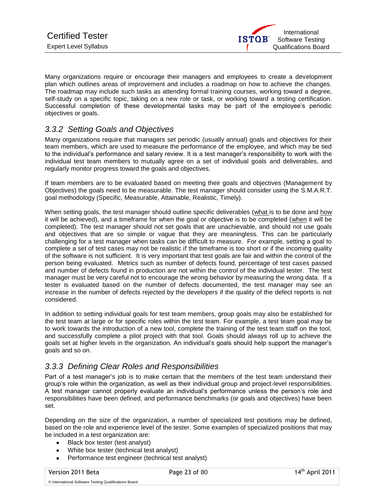

Many organizations require or encourage their managers and employees to create a development plan which outlines areas of improvement and includes a roadmap on how to achieve the changes. The roadmap may include such tasks as attending formal training courses, working toward a degree, self-study on a specific topic, taking on a new role or task, or working toward a testing certification. Successful completion of these developmental tasks may be part of the employee's periodic objectives or goals.

# <span id="page-22-0"></span>*3.3.2 Setting Goals and Objectives*

Many organizations require that managers set periodic (usually annual) goals and objectives for their team members, which are used to measure the performance of the employee, and which may be tied to the individual's performance and salary review. It is a test manager's responsibility to work with the individual test team members to mutually agree on a set of individual goals and deliverables, and regularly monitor progress toward the goals and objectives.

If team members are to be evaluated based on meeting their goals and objectives (Management by Objectives) the goals need to be measurable. The test manager should consider using the S.M.A.R.T. goal methodology (Specific, Measurable, Attainable, Realistic, Timely).

When setting goals, the test manager should outline specific deliverables (what is to be done and how it will be achieved), and a timeframe for when the goal or objective is to be completed (when it will be completed). The test manager should not set goals that are unachievable, and should not use goals and objectives that are so simple or vague that they are meaningless. This can be particularly challenging for a test manager when tasks can be difficult to measure. For example, setting a goal to complete a set of test cases may not be realistic if the timeframe is too short or if the incoming quality of the software is not sufficient. It is very important that test goals are fair and within the control of the person being evaluated. Metrics such as number of defects found, percentage of test cases passed and number of defects found in production are not within the control of the individual tester. The test manager must be very careful not to encourage the wrong behavior by measuring the wrong data. If a tester is evaluated based on the number of defects documented, the test manager may see an increase in the number of defects rejected by the developers if the quality of the defect reports is not considered.

In addition to setting individual goals for test team members, group goals may also be established for the test team at large or for specific roles within the test team. For example, a test team goal may be to work towards the introduction of a new tool, complete the training of the test team staff on the tool, and successfully complete a pilot project with that tool. Goals should always roll up to achieve the goals set at higher levels in the organization. An individual's goals should help support the manager's goals and so on.

# <span id="page-22-1"></span>*3.3.3 Defining Clear Roles and Responsibilities*

Part of a test manager's job is to make certain that the members of the test team understand their group's role within the organization, as well as their individual group and project-level responsibilities. A test manager cannot properly evaluate an individual's performance unless the person's role and responsibilities have been defined, and performance benchmarks (or goals and objectives) have been set.

Depending on the size of the organization, a number of specialized test positions may be defined, based on the role and experience level of the tester. Some examples of specialized positions that may be included in a test organization are:

- Black box tester (test analyst)
- White box tester (technical test analyst)
- $\bullet$ Performance test engineer (technical test analyst)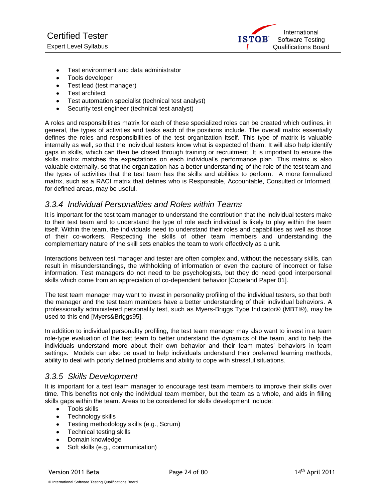

- Test environment and data administrator
- Tools developer  $\bullet$
- Test lead (test manager)  $\bullet$
- Test architect  $\bullet$
- Test automation specialist (technical test analyst)  $\bullet$
- Security test engineer (technical test analyst)

A roles and responsibilities matrix for each of these specialized roles can be created which outlines, in general, the types of activities and tasks each of the positions include. The overall matrix essentially defines the roles and responsibilities of the test organization itself. This type of matrix is valuable internally as well, so that the individual testers know what is expected of them. It will also help identify gaps in skills, which can then be closed through training or recruitment. It is important to ensure the skills matrix matches the expectations on each individual's performance plan. This matrix is also valuable externally, so that the organization has a better understanding of the role of the test team and the types of activities that the test team has the skills and abilities to perform. A more formalized matrix, such as a RACI matrix that defines who is Responsible, Accountable, Consulted or Informed, for defined areas, may be useful.

#### <span id="page-23-0"></span>*3.3.4 Individual Personalities and Roles within Teams*

It is important for the test team manager to understand the contribution that the individual testers make to their test team and to understand the type of role each individual is likely to play within the team itself. Within the team, the individuals need to understand their roles and capabilities as well as those of their co-workers. Respecting the skills of other team members and understanding the complementary nature of the skill sets enables the team to work effectively as a unit.

Interactions between test manager and tester are often complex and, without the necessary skills, can result in misunderstandings, the withholding of information or even the capture of incorrect or false information. Test managers do not need to be psychologists, but they do need good interpersonal skills which come from an appreciation of co-dependent behavior [Copeland Paper 01].

The test team manager may want to invest in personality profiling of the individual testers, so that both the manager and the test team members have a better understanding of their individual behaviors. A professionally administered personality test, such as Myers-Briggs Type Indicator® (MBTI®), may be used to this end [Myers&Briggs95].

In addition to individual personality profiling, the test team manager may also want to invest in a team role-type evaluation of the test team to better understand the dynamics of the team, and to help the individuals understand more about their own behavior and their team mates' behaviors in team settings. Models can also be used to help individuals understand their preferred learning methods, ability to deal with poorly defined problems and ability to cope with stressful situations.

#### <span id="page-23-1"></span>*3.3.5 Skills Development*

It is important for a test team manager to encourage test team members to improve their skills over time. This benefits not only the individual team member, but the team as a whole, and aids in filling skills gaps within the team. Areas to be considered for skills development include:

- Tools skills  $\bullet$
- Technology skills  $\bullet$
- Testing methodology skills (e.g., Scrum)  $\bullet$
- Technical testing skills  $\bullet$
- Domain knowledge  $\bullet$
- Soft skills (e.g., communication)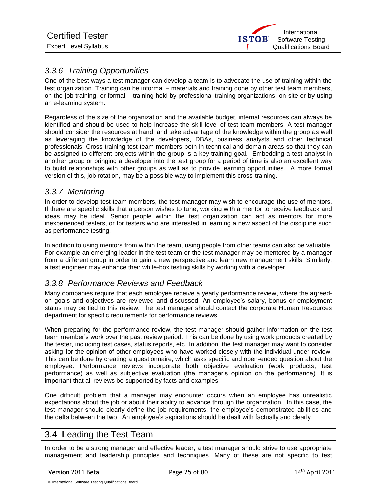

# <span id="page-24-0"></span>*3.3.6 Training Opportunities*

One of the best ways a test manager can develop a team is to advocate the use of training within the test organization. Training can be informal – materials and training done by other test team members, on the job training, or formal – training held by professional training organizations, on-site or by using an e-learning system.

Regardless of the size of the organization and the available budget, internal resources can always be identified and should be used to help increase the skill level of test team members. A test manager should consider the resources at hand, and take advantage of the knowledge within the group as well as leveraging the knowledge of the developers, DBAs, business analysts and other technical professionals. Cross-training test team members both in technical and domain areas so that they can be assigned to different projects within the group is a key training goal. Embedding a test analyst in another group or bringing a developer into the test group for a period of time is also an excellent way to build relationships with other groups as well as to provide learning opportunities. A more formal version of this, job rotation, may be a possible way to implement this cross-training.

# <span id="page-24-1"></span>*3.3.7 Mentoring*

In order to develop test team members, the test manager may wish to encourage the use of mentors. If there are specific skills that a person wishes to tune, working with a mentor to receive feedback and ideas may be ideal. Senior people within the test organization can act as mentors for more inexperienced testers, or for testers who are interested in learning a new aspect of the discipline such as performance testing.

In addition to using mentors from within the team, using people from other teams can also be valuable. For example an emerging leader in the test team or the test manager may be mentored by a manager from a different group in order to gain a new perspective and learn new management skills. Similarly, a test engineer may enhance their white-box testing skills by working with a developer.

# <span id="page-24-2"></span>*3.3.8 Performance Reviews and Feedback*

Many companies require that each employee receive a yearly performance review, where the agreedon goals and objectives are reviewed and discussed. An employee's salary, bonus or employment status may be tied to this review. The test manager should contact the corporate Human Resources department for specific requirements for performance reviews.

When preparing for the performance review, the test manager should gather information on the test team member's work over the past review period. This can be done by using work products created by the tester, including test cases, status reports, etc. In addition, the test manager may want to consider asking for the opinion of other employees who have worked closely with the individual under review. This can be done by creating a questionnaire, which asks specific and open-ended question about the employee. Performance reviews incorporate both objective evaluation (work products, test performance) as well as subjective evaluation (the manager's opinion on the performance). It is important that all reviews be supported by facts and examples.

One difficult problem that a manager may encounter occurs when an employee has unrealistic expectations about the job or about their ability to advance through the organization. In this case, the test manager should clearly define the job requirements, the employee's demonstrated abilities and the delta between the two. An employee's aspirations should be dealt with factually and clearly.

# <span id="page-24-3"></span>3.4 Leading the Test Team

In order to be a strong manager and effective leader, a test manager should strive to use appropriate management and leadership principles and techniques. Many of these are not specific to test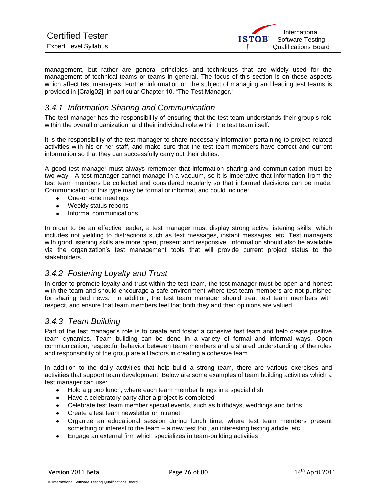

management, but rather are general principles and techniques that are widely used for the management of technical teams or teams in general. The focus of this section is on those aspects which affect test managers. Further information on the subject of managing and leading test teams is provided in [Craig02], in particular Chapter 10, "The Test Manager."

#### <span id="page-25-0"></span>*3.4.1 Information Sharing and Communication*

The test manager has the responsibility of ensuring that the test team understands their group's role within the overall organization, and their individual role within the test team itself.

It is the responsibility of the test manager to share necessary information pertaining to project-related activities with his or her staff, and make sure that the test team members have correct and current information so that they can successfully carry out their duties.

A good test manager must always remember that information sharing and communication must be two-way. A test manager cannot manage in a vacuum, so it is imperative that information from the test team members be collected and considered regularly so that informed decisions can be made. Communication of this type may be formal or informal, and could include:

- One-on-one meetings  $\bullet$
- Weekly status reports  $\bullet$
- Informal communications

In order to be an effective leader, a test manager must display strong active listening skills, which includes not yielding to distractions such as text messages, instant messages, etc. Test managers with good listening skills are more open, present and responsive. Information should also be available via the organization's test management tools that will provide current project status to the stakeholders.

# <span id="page-25-1"></span>*3.4.2 Fostering Loyalty and Trust*

In order to promote loyalty and trust within the test team, the test manager must be open and honest with the team and should encourage a safe environment where test team members are not punished for sharing bad news. In addition, the test team manager should treat test team members with respect, and ensure that team members feel that both they and their opinions are valued.

#### <span id="page-25-2"></span>*3.4.3 Team Building*

Part of the test manager's role is to create and foster a cohesive test team and help create positive team dynamics. Team building can be done in a variety of formal and informal ways. Open communication, respectful behavior between team members and a shared understanding of the roles and responsibility of the group are all factors in creating a cohesive team.

In addition to the daily activities that help build a strong team, there are various exercises and activities that support team development. Below are some examples of team building activities which a test manager can use:

- Hold a group lunch, where each team member brings in a special dish
- Have a celebratory party after a project is completed  $\bullet$
- $\bullet$ Celebrate test team member special events, such as birthdays, weddings and births
- Create a test team newsletter or intranet
- Organize an educational session during lunch time, where test team members present something of interest to the team – a new test tool, an interesting testing article, etc.
- Engage an external firm which specializes in team-building activities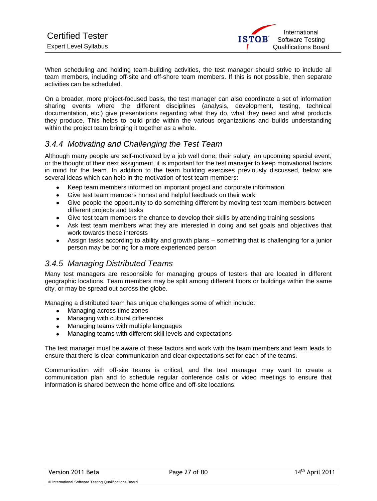

When scheduling and holding team-building activities, the test manager should strive to include all team members, including off-site and off-shore team members. If this is not possible, then separate activities can be scheduled.

On a broader, more project-focused basis, the test manager can also coordinate a set of information sharing events where the different disciplines (analysis, development, testing, technical documentation, etc.) give presentations regarding what they do, what they need and what products they produce. This helps to build pride within the various organizations and builds understanding within the project team bringing it together as a whole.

# <span id="page-26-0"></span>*3.4.4 Motivating and Challenging the Test Team*

Although many people are self-motivated by a job well done, their salary, an upcoming special event, or the thought of their next assignment, it is important for the test manager to keep motivational factors in mind for the team. In addition to the team building exercises previously discussed, below are several ideas which can help in the motivation of test team members:

- Keep team members informed on important project and corporate information
- Give test team members honest and helpful feedback on their work
- Give people the opportunity to do something different by moving test team members between different projects and tasks
- Give test team members the chance to develop their skills by attending training sessions
- Ask test team members what they are interested in doing and set goals and objectives that work towards these interests
- Assign tasks according to ability and growth plans something that is challenging for a junior  $\bullet$ person may be boring for a more experienced person

# <span id="page-26-1"></span>*3.4.5 Managing Distributed Teams*

Many test managers are responsible for managing groups of testers that are located in different geographic locations. Team members may be split among different floors or buildings within the same city, or may be spread out across the globe.

Managing a distributed team has unique challenges some of which include:

- $\bullet$ Managing across time zones
- Managing with cultural differences
- Managing teams with multiple languages
- Managing teams with different skill levels and expectations

The test manager must be aware of these factors and work with the team members and team leads to ensure that there is clear communication and clear expectations set for each of the teams.

Communication with off-site teams is critical, and the test manager may want to create a communication plan and to schedule regular conference calls or video meetings to ensure that information is shared between the home office and off-site locations.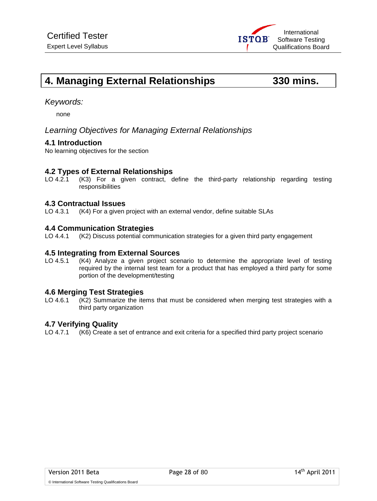

# <span id="page-27-0"></span>**4. Managing External Relationships 330 mins.**

#### *Keywords:*

none

#### *Learning Objectives for Managing External Relationships*

#### **4.1 Introduction**

No learning objectives for the section

# **4.2 Types of External Relationships**<br>LO 4.2.1 (K3) For a given contract, d

 $(K3)$  For a given contract, define the third-party relationship regarding testing responsibilities

#### **4.3 Contractual Issues**

LO 4.3.1 (K4) For a given project with an external vendor, define suitable SLAs

#### **4.4 Communication Strategies**

LO 4.4.1 (K2) Discuss potential communication strategies for a given third party engagement

#### **4.5 Integrating from External Sources**

LO 4.5.1 (K4) Analyze a given project scenario to determine the appropriate level of testing required by the internal test team for a product that has employed a third party for some portion of the development/testing

#### **4.6 Merging Test Strategies**

LO 4.6.1 (K2) Summarize the items that must be considered when merging test strategies with a third party organization

#### **4.7 Verifying Quality**

LO 4.7.1 (K6) Create a set of entrance and exit criteria for a specified third party project scenario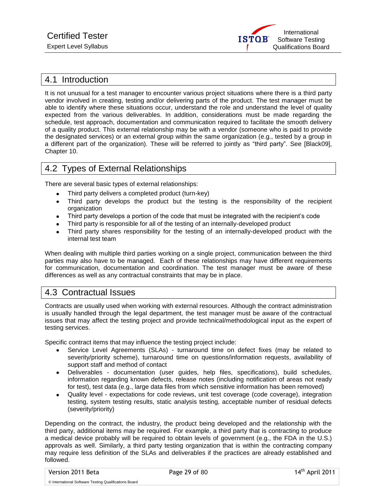

### <span id="page-28-0"></span>4.1 Introduction

It is not unusual for a test manager to encounter various project situations where there is a third party vendor involved in creating, testing and/or delivering parts of the product. The test manager must be able to identify where these situations occur, understand the role and understand the level of quality expected from the various deliverables. In addition, considerations must be made regarding the schedule, test approach, documentation and communication required to facilitate the smooth delivery of a quality product. This external relationship may be with a vendor (someone who is paid to provide the designated services) or an external group within the same organization (e.g., tested by a group in a different part of the organization). These will be referred to jointly as "third party". See [Black09], Chapter 10.

# <span id="page-28-1"></span>4.2 Types of External Relationships

There are several basic types of external relationships:

- Third party delivers a completed product (turn-key)
- Third party develops the product but the testing is the responsibility of the recipient organization
- Third party develops a portion of the code that must be integrated with the recipient's code
- Third party is responsible for all of the testing of an internally-developed product
- Third party shares responsibility for the testing of an internally-developed product with the internal test team

When dealing with multiple third parties working on a single project, communication between the third parties may also have to be managed. Each of these relationships may have different requirements for communication, documentation and coordination. The test manager must be aware of these differences as well as any contractual constraints that may be in place.

# <span id="page-28-2"></span>4.3 Contractual Issues

Contracts are usually used when working with external resources. Although the contract administration is usually handled through the legal department, the test manager must be aware of the contractual issues that may affect the testing project and provide technical/methodological input as the expert of testing services.

Specific contract items that may influence the testing project include:

- Service Level Agreements (SLAs) turnaround time on defect fixes (may be related to severity/priority scheme), turnaround time on questions/information requests, availability of support staff and method of contact
- Deliverables documentation (user guides, help files, specifications), build schedules, information regarding known defects, release notes (including notification of areas not ready for test), test data (e.g., large data files from which sensitive information has been removed)
- Quality level expectations for code reviews, unit test coverage (code coverage), integration testing, system testing results, static analysis testing, acceptable number of residual defects (severity/priority)

Depending on the contract, the industry, the product being developed and the relationship with the third party, additional items may be required. For example, a third party that is contracting to produce a medical device probably will be required to obtain levels of government (e.g., the FDA in the U.S.) approvals as well. Similarly, a third party testing organization that is within the contracting company may require less definition of the SLAs and deliverables if the practices are already established and followed.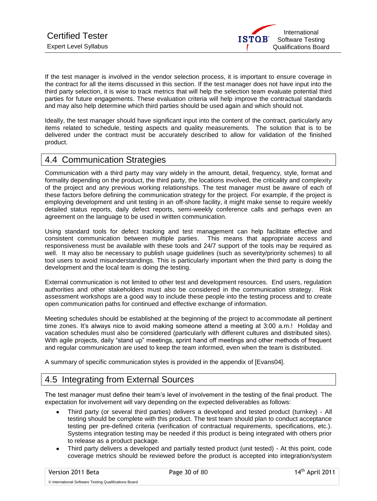

If the test manager is involved in the vendor selection process, it is important to ensure coverage in the contract for all the items discussed in this section. If the test manager does not have input into the third party selection, it is wise to track metrics that will help the selection team evaluate potential third parties for future engagements. These evaluation criteria will help improve the contractual standards and may also help determine which third parties should be used again and which should not.

Ideally, the test manager should have significant input into the content of the contract, particularly any items related to schedule, testing aspects and quality measurements. The solution that is to be delivered under the contract must be accurately described to allow for validation of the finished product.

# <span id="page-29-0"></span>4.4 Communication Strategies

Communication with a third party may vary widely in the amount, detail, frequency, style, format and formality depending on the product, the third party, the locations involved, the criticality and complexity of the project and any previous working relationships. The test manager must be aware of each of these factors before defining the communication strategy for the project. For example, if the project is employing development and unit testing in an off-shore facility, it might make sense to require weekly detailed status reports, daily defect reports, semi-weekly conference calls and perhaps even an agreement on the language to be used in written communication.

Using standard tools for defect tracking and test management can help facilitate effective and consistent communication between multiple parties. This means that appropriate access and responsiveness must be available with these tools and 24/7 support of the tools may be required as well. It may also be necessary to publish usage guidelines (such as severity/priority schemes) to all tool users to avoid misunderstandings. This is particularly important when the third party is doing the development and the local team is doing the testing.

External communication is not limited to other test and development resources. End users, regulation authorities and other stakeholders must also be considered in the communication strategy. Risk assessment workshops are a good way to include these people into the testing process and to create open communication paths for continued and effective exchange of information.

Meeting schedules should be established at the beginning of the project to accommodate all pertinent time zones. It's always nice to avoid making someone attend a meeting at 3:00 a.m.! Holiday and vacation schedules must also be considered (particularly with different cultures and distributed sites). With agile projects, daily "stand up" meetings, sprint hand off meetings and other methods of frequent and regular communication are used to keep the team informed, even when the team is distributed.

<span id="page-29-1"></span>A summary of specific communication styles is provided in the appendix of [Evans04].

# 4.5 Integrating from External Sources

The test manager must define their team's level of involvement in the testing of the final product. The expectation for involvement will vary depending on the expected deliverables as follows:

- Third party (or several third parties) delivers a developed and tested product (turnkey) All testing should be complete with this product. The test team should plan to conduct acceptance testing per pre-defined criteria (verification of contractual requirements, specifications, etc.). Systems integration testing may be needed if this product is being integrated with others prior to release as a product package.
- Third party delivers a developed and partially tested product (unit tested) At this point, code coverage metrics should be reviewed before the product is accepted into integration/system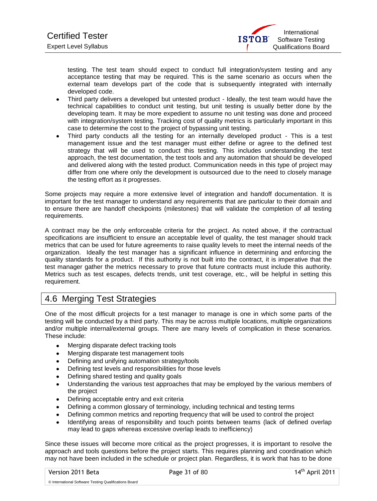

testing. The test team should expect to conduct full integration/system testing and any acceptance testing that may be required. This is the same scenario as occurs when the external team develops part of the code that is subsequently integrated with internally developed code.

- Third party delivers a developed but untested product Ideally, the test team would have the technical capabilities to conduct unit testing, but unit testing is usually better done by the developing team. It may be more expedient to assume no unit testing was done and proceed with integration/system testing. Tracking cost of quality metrics is particularly important in this case to determine the cost to the project of bypassing unit testing.
- Third party conducts all the testing for an internally developed product This is a test management issue and the test manager must either define or agree to the defined test strategy that will be used to conduct this testing. This includes understanding the test approach, the test documentation, the test tools and any automation that should be developed and delivered along with the tested product. Communication needs in this type of project may differ from one where only the development is outsourced due to the need to closely manage the testing effort as it progresses.

Some projects may require a more extensive level of integration and handoff documentation. It is important for the test manager to understand any requirements that are particular to their domain and to ensure there are handoff checkpoints (milestones) that will validate the completion of all testing requirements.

A contract may be the only enforceable criteria for the project. As noted above, if the contractual specifications are insufficient to ensure an acceptable level of quality, the test manager should track metrics that can be used for future agreements to raise quality levels to meet the internal needs of the organization. Ideally the test manager has a significant influence in determining and enforcing the quality standards for a product. If this authority is not built into the contract, it is imperative that the test manager gather the metrics necessary to prove that future contracts must include this authority. Metrics such as test escapes, defects trends, unit test coverage, etc., will be helpful in setting this requirement.

# <span id="page-30-0"></span>4.6 Merging Test Strategies

One of the most difficult projects for a test manager to manage is one in which some parts of the testing will be conducted by a third party. This may be across multiple locations, multiple organizations and/or multiple internal/external groups. There are many levels of complication in these scenarios. These include:

- $\bullet$ Merging disparate defect tracking tools
- Merging disparate test management tools
- Defining and unifying automation strategy/tools  $\bullet$
- Defining test levels and responsibilities for those levels
- Defining shared testing and quality goals
- Understanding the various test approaches that may be employed by the various members of the project
- Defining acceptable entry and exit criteria  $\bullet$
- Defining a common glossary of terminology, including technical and testing terms
- Defining common metrics and reporting frequency that will be used to control the project  $\bullet$
- Identifying areas of responsibility and touch points between teams (lack of defined overlap  $\bullet$ may lead to gaps whereas excessive overlap leads to inefficiency)

Since these issues will become more critical as the project progresses, it is important to resolve the approach and tools questions before the project starts. This requires planning and coordination which may not have been included in the schedule or project plan. Regardless, it is work that has to be done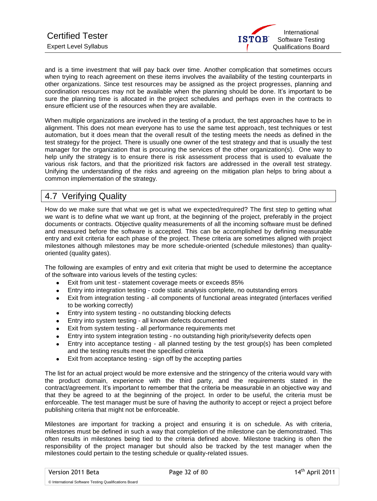

and is a time investment that will pay back over time. Another complication that sometimes occurs when trying to reach agreement on these items involves the availability of the testing counterparts in other organizations. Since test resources may be assigned as the project progresses, planning and coordination resources may not be available when the planning should be done. It's important to be sure the planning time is allocated in the project schedules and perhaps even in the contracts to ensure efficient use of the resources when they are available.

When multiple organizations are involved in the testing of a product, the test approaches have to be in alignment. This does not mean everyone has to use the same test approach, test techniques or test automation, but it does mean that the overall result of the testing meets the needs as defined in the test strategy for the project. There is usually one owner of the test strategy and that is usually the test manager for the organization that is procuring the services of the other organization(s). One way to help unify the strategy is to ensure there is risk assessment process that is used to evaluate the various risk factors, and that the prioritized risk factors are addressed in the overall test strategy. Unifying the understanding of the risks and agreeing on the mitigation plan helps to bring about a common implementation of the strategy.

# <span id="page-31-0"></span>4.7 Verifying Quality

How do we make sure that what we get is what we expected/required? The first step to getting what we want is to define what we want up front, at the beginning of the project, preferably in the project documents or contracts. Objective quality measurements of all the incoming software must be defined and measured before the software is accepted. This can be accomplished by defining measurable entry and exit criteria for each phase of the project. These criteria are sometimes aligned with project milestones although milestones may be more schedule-oriented (schedule milestones) than qualityoriented (quality gates).

The following are examples of entry and exit criteria that might be used to determine the acceptance of the software into various levels of the testing cycles:

- $\bullet$ Exit from unit test - statement coverage meets or exceeds 85%
- Entry into integration testing code static analysis complete, no outstanding errors
- Exit from integration testing all components of functional areas integrated (interfaces verified to be working correctly)
- Entry into system testing no outstanding blocking defects
- Entry into system testing all known defects documented
- Exit from system testing all performance requirements met
- Entry into system integration testing no outstanding high priority/severity defects open
- Entry into acceptance testing all planned testing by the test group(s) has been completed and the testing results meet the specified criteria
- Exit from acceptance testing sign off by the accepting parties

The list for an actual project would be more extensive and the stringency of the criteria would vary with the product domain, experience with the third party, and the requirements stated in the contract/agreement. It's important to remember that the criteria be measurable in an objective way and that they be agreed to at the beginning of the project. In order to be useful, the criteria must be enforceable. The test manager must be sure of having the authority to accept or reject a project before publishing criteria that might not be enforceable.

Milestones are important for tracking a project and ensuring it is on schedule. As with criteria, milestones must be defined in such a way that completion of the milestone can be demonstrated. This often results in milestones being tied to the criteria defined above. Milestone tracking is often the responsibility of the project manager but should also be tracked by the test manager when the milestones could pertain to the testing schedule or quality-related issues.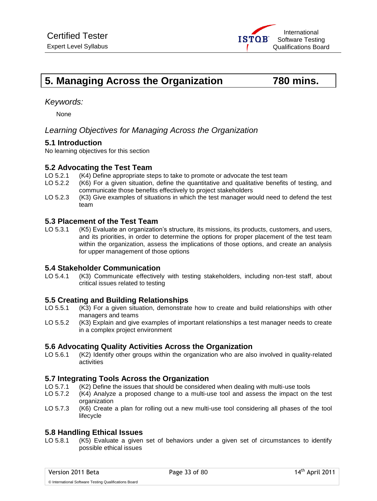

# <span id="page-32-0"></span>**5. Managing Across the Organization 780 mins.**

#### *Keywords:*

None

### *Learning Objectives for Managing Across the Organization*

#### **5.1 Introduction**

No learning objectives for this section

# **5.2 Advocating the Test Team**<br>LO 5.2.1 (K4) Define appropriate ste

- LO 5.2.1 (K4) Define appropriate steps to take to promote or advocate the test team<br>LO 5.2.2 (K6) For a given situation, define the quantitative and qualitative benefits
- (K6) For a given situation, define the quantitative and qualitative benefits of testing, and communicate those benefits effectively to project stakeholders
- LO 5.2.3 (K3) Give examples of situations in which the test manager would need to defend the test team

#### **5.3 Placement of the Test Team**

LO 5.3.1 (K5) Evaluate an organization's structure, its missions, its products, customers, and users, and its priorities, in order to determine the options for proper placement of the test team within the organization, assess the implications of those options, and create an analysis for upper management of those options

#### **5.4 Stakeholder Communication**

LO 5.4.1 (K3) Communicate effectively with testing stakeholders, including non-test staff, about critical issues related to testing

#### **5.5 Creating and Building Relationships**

- LO 5.5.1 (K3) For a given situation, demonstrate how to create and build relationships with other managers and teams
- LO 5.5.2 (K3) Explain and give examples of important relationships a test manager needs to create in a complex project environment

#### **5.6 Advocating Quality Activities Across the Organization**

LO 5.6.1 (K2) Identify other groups within the organization who are also involved in quality-related activities

#### **5.7 Integrating Tools Across the Organization**

- LO 5.7.1 (K2) Define the issues that should be considered when dealing with multi-use tools LO 5.7.2 (K4) Analyze a proposed change to a multi-use tool and assess the impact on t
- (K4) Analyze a proposed change to a multi-use tool and assess the impact on the test organization
- LO 5.7.3 (K6) Create a plan for rolling out a new multi-use tool considering all phases of the tool lifecycle

#### **5.8 Handling Ethical Issues**

LO 5.8.1 (K5) Evaluate a given set of behaviors under a given set of circumstances to identify possible ethical issues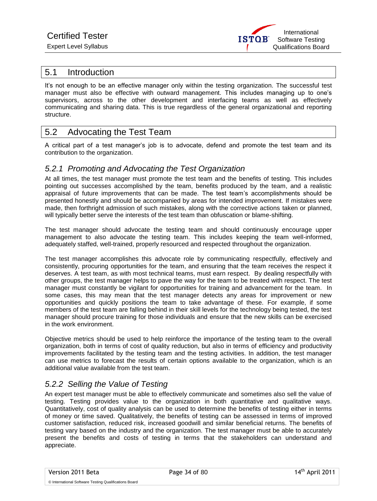

## <span id="page-33-0"></span>5.1 Introduction

It's not enough to be an effective manager only within the testing organization. The successful test manager must also be effective with outward management. This includes managing up to one's supervisors, across to the other development and interfacing teams as well as effectively communicating and sharing data. This is true regardless of the general organizational and reporting structure.

# <span id="page-33-1"></span>5.2 Advocating the Test Team

A critical part of a test manager's job is to advocate, defend and promote the test team and its contribution to the organization.

### <span id="page-33-2"></span>*5.2.1 Promoting and Advocating the Test Organization*

At all times, the test manager must promote the test team and the benefits of testing. This includes pointing out successes accomplished by the team, benefits produced by the team, and a realistic appraisal of future improvements that can be made. The test team's accomplishments should be presented honestly and should be accompanied by areas for intended improvement. If mistakes were made, then forthright admission of such mistakes, along with the corrective actions taken or planned, will typically better serve the interests of the test team than obfuscation or blame-shifting.

The test manager should advocate the testing team and should continuously encourage upper management to also advocate the testing team. This includes keeping the team well-informed, adequately staffed, well-trained, properly resourced and respected throughout the organization.

The test manager accomplishes this advocate role by communicating respectfully, effectively and consistently, procuring opportunities for the team, and ensuring that the team receives the respect it deserves. A test team, as with most technical teams, must earn respect. By dealing respectfully with other groups, the test manager helps to pave the way for the team to be treated with respect. The test manager must constantly be vigilant for opportunities for training and advancement for the team. In some cases, this may mean that the test manager detects any areas for improvement or new opportunities and quickly positions the team to take advantage of these. For example, if some members of the test team are falling behind in their skill levels for the technology being tested, the test manager should procure training for those individuals and ensure that the new skills can be exercised in the work environment.

Objective metrics should be used to help reinforce the importance of the testing team to the overall organization, both in terms of cost of quality reduction, but also in terms of efficiency and productivity improvements facilitated by the testing team and the testing activities. In addition, the test manager can use metrics to forecast the results of certain options available to the organization, which is an additional value available from the test team.

# <span id="page-33-3"></span>*5.2.2 Selling the Value of Testing*

An expert test manager must be able to effectively communicate and sometimes also sell the value of testing. Testing provides value to the organization in both quantitative and qualitative ways. Quantitatively, cost of quality analysis can be used to determine the benefits of testing either in terms of money or time saved. Qualitatively, the benefits of testing can be assessed in terms of improved customer satisfaction, reduced risk, increased goodwill and similar beneficial returns. The benefits of testing vary based on the industry and the organization. The test manager must be able to accurately present the benefits and costs of testing in terms that the stakeholders can understand and appreciate.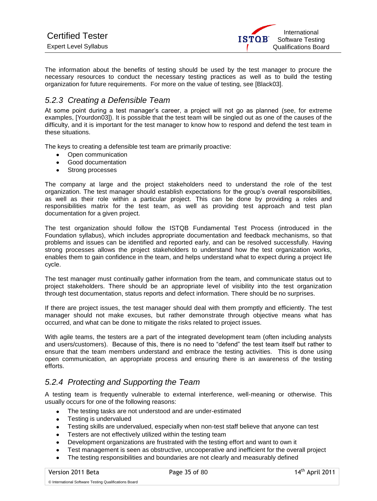The information about the benefits of testing should be used by the test manager to procure the necessary resources to conduct the necessary testing practices as well as to build the testing organization for future requirements. For more on the value of testing, see [Black03].

# <span id="page-34-0"></span>*5.2.3 Creating a Defensible Team*

At some point during a test manager's career, a project will not go as planned (see, for extreme examples, [Yourdon03]). It is possible that the test team will be singled out as one of the causes of the difficulty, and it is important for the test manager to know how to respond and defend the test team in these situations.

The keys to creating a defensible test team are primarily proactive:

- Open communication
- Good documentation
- $\bullet$ Strong processes

The company at large and the project stakeholders need to understand the role of the test organization. The test manager should establish expectations for the group's overall responsibilities, as well as their role within a particular project. This can be done by providing a roles and responsibilities matrix for the test team, as well as providing test approach and test plan documentation for a given project.

The test organization should follow the ISTQB Fundamental Test Process (introduced in the Foundation syllabus), which includes appropriate documentation and feedback mechanisms, so that problems and issues can be identified and reported early, and can be resolved successfully. Having strong processes allows the project stakeholders to understand how the test organization works, enables them to gain confidence in the team, and helps understand what to expect during a project life cycle.

The test manager must continually gather information from the team, and communicate status out to project stakeholders. There should be an appropriate level of visibility into the test organization through test documentation, status reports and defect information. There should be no surprises.

If there are project issues, the test manager should deal with them promptly and efficiently. The test manager should not make excuses, but rather demonstrate through objective means what has occurred, and what can be done to mitigate the risks related to project issues.

With agile teams, the testers are a part of the integrated development team (often including analysts and users/customers). Because of this, there is no need to "defend" the test team itself but rather to ensure that the team members understand and embrace the testing activities. This is done using open communication, an appropriate process and ensuring there is an awareness of the testing efforts.

# <span id="page-34-1"></span>*5.2.4 Protecting and Supporting the Team*

A testing team is frequently vulnerable to external interference, well-meaning or otherwise. This usually occurs for one of the following reasons:

- The testing tasks are not understood and are under-estimated  $\bullet$
- Testing is undervalued
- Testing skills are undervalued, especially when non-test staff believe that anyone can test  $\bullet$
- Testers are not effectively utilized within the testing team  $\bullet$
- Development organizations are frustrated with the testing effort and want to own it
- Test management is seen as obstructive, uncooperative and inefficient for the overall project
- The testing responsibilities and boundaries are not clearly and measurably defined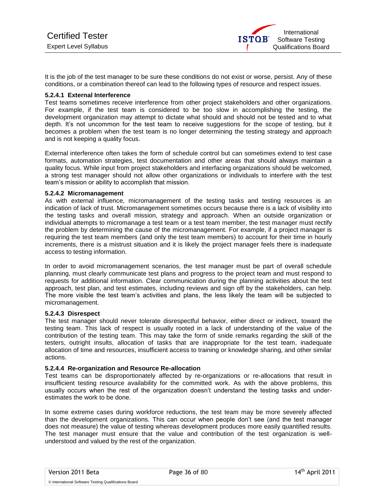

It is the job of the test manager to be sure these conditions do not exist or worse, persist. Any of these conditions, or a combination thereof can lead to the following types of resource and respect issues.

#### **5.2.4.1 External Interference**

Test teams sometimes receive interference from other project stakeholders and other organizations. For example, if the test team is considered to be too slow in accomplishing the testing, the development organization may attempt to dictate what should and should not be tested and to what depth. It's not uncommon for the test team to receive suggestions for the scope of testing, but it becomes a problem when the test team is no longer determining the testing strategy and approach and is not keeping a quality focus.

External interference often takes the form of schedule control but can sometimes extend to test case formats, automation strategies, test documentation and other areas that should always maintain a quality focus. While input from project stakeholders and interfacing organizations should be welcomed, a strong test manager should not allow other organizations or individuals to interfere with the test team's mission or ability to accomplish that mission.

#### **5.2.4.2 Micromanagement**

As with external influence, micromanagement of the testing tasks and testing resources is an indication of lack of trust. Micromanagement sometimes occurs because there is a lack of visibility into the testing tasks and overall mission, strategy and approach. When an outside organization or individual attempts to micromanage a test team or a test team member, the test manager must rectify the problem by determining the cause of the micromanagement. For example, if a project manager is requiring the test team members (and only the test team members) to account for their time in hourly increments, there is a mistrust situation and it is likely the project manager feels there is inadequate access to testing information.

In order to avoid micromanagement scenarios, the test manager must be part of overall schedule planning, must clearly communicate test plans and progress to the project team and must respond to requests for additional information. Clear communication during the planning activities about the test approach, test plan, and test estimates, including reviews and sign off by the stakeholders, can help. The more visible the test team's activities and plans, the less likely the team will be subjected to micromanagement.

#### **5.2.4.3 Disrespect**

The test manager should never tolerate disrespectful behavior, either direct or indirect, toward the testing team. This lack of respect is usually rooted in a lack of understanding of the value of the contribution of the testing team. This may take the form of snide remarks regarding the skill of the testers, outright insults, allocation of tasks that are inappropriate for the test team, inadequate allocation of time and resources, insufficient access to training or knowledge sharing, and other similar actions.

#### **5.2.4.4 Re-organization and Resource Re-allocation**

Test teams can be disproportionately affected by re-organizations or re-allocations that result in insufficient testing resource availability for the committed work. As with the above problems, this usually occurs when the rest of the organization doesn't understand the testing tasks and underestimates the work to be done.

In some extreme cases during workforce reductions, the test team may be more severely affected than the development organizations. This can occur when people don't see (and the test manager does not measure) the value of testing whereas development produces more easily quantified results. The test manager must ensure that the value and contribution of the test organization is wellunderstood and valued by the rest of the organization.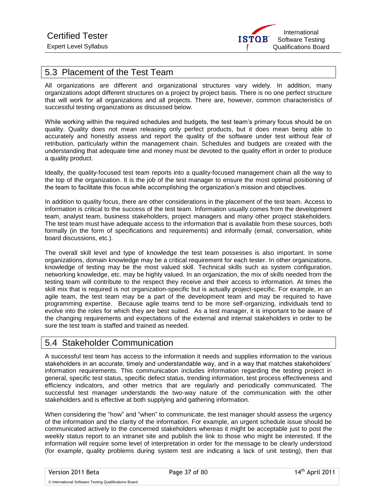

#### 5.3 Placement of the Test Team

All organizations are different and organizational structures vary widely. In addition, many organizations adopt different structures on a project by project basis. There is no one perfect structure that will work for all organizations and all projects. There are, however, common characteristics of successful testing organizations as discussed below.

While working within the required schedules and budgets, the test team's primary focus should be on quality. Quality does not mean releasing only perfect products, but it does mean being able to accurately and honestly assess and report the quality of the software under test without fear of retribution, particularly within the management chain. Schedules and budgets are created with the understanding that adequate time and money must be devoted to the quality effort in order to produce a quality product.

Ideally, the quality-focused test team reports into a quality-focused management chain all the way to the top of the organization. It is the job of the test manager to ensure the most optimal positioning of the team to facilitate this focus while accomplishing the organization's mission and objectives.

In addition to quality focus, there are other considerations in the placement of the test team. Access to information is critical to the success of the test team. Information usually comes from the development team, analyst team, business stakeholders, project managers and many other project stakeholders. The test team must have adequate access to the information that is available from these sources, both formally (in the form of specifications and requirements) and informally (email, conversation, white board discussions, etc.).

The overall skill level and type of knowledge the test team possesses is also important. In some organizations, domain knowledge may be a critical requirement for each tester. In other organizations, knowledge of testing may be the most valued skill. Technical skills such as system configuration, networking knowledge, etc. may be highly valued. In an organization, the mix of skills needed from the testing team will contribute to the respect they receive and their access to information. At times the skill mix that is required is not organization-specific but is actually project-specific. For example, in an agile team, the test team may be a part of the development team and may be required to have programming expertise. Because agile teams tend to be more self-organizing, individuals tend to evolve into the roles for which they are best suited. As a test manager, it is important to be aware of the changing requirements and expectations of the external and internal stakeholders in order to be sure the test team is staffed and trained as needed.

#### 5.4 Stakeholder Communication

A successful test team has access to the information it needs and supplies information to the various stakeholders in an accurate, timely and understandable way, and in a way that matches stakeholders' information requirements. This communication includes information regarding the testing project in general, specific test status, specific defect status, trending information, test process effectiveness and efficiency indicators, and other metrics that are regularly and periodically communicated. The successful test manager understands the two-way nature of the communication with the other stakeholders and is effective at both supplying and gathering information.

When considering the "how" and "when" to communicate, the test manager should assess the urgency of the information and the clarity of the information. For example, an urgent schedule issue should be communicated actively to the concerned stakeholders whereas it might be acceptable just to post the weekly status report to an intranet site and publish the link to those who might be interested. If the information will require some level of interpretation in order for the message to be clearly understood (for example, quality problems during system test are indicating a lack of unit testing), then that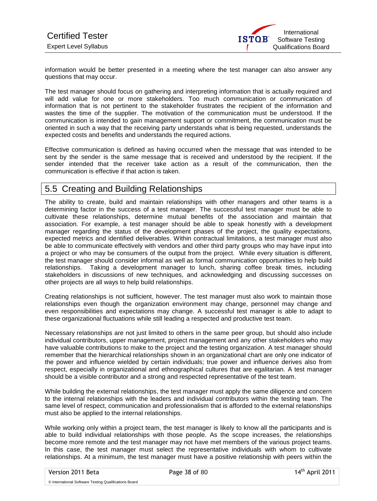

information would be better presented in a meeting where the test manager can also answer any questions that may occur.

The test manager should focus on gathering and interpreting information that is actually required and will add value for one or more stakeholders. Too much communication or communication of information that is not pertinent to the stakeholder frustrates the recipient of the information and wastes the time of the supplier. The motivation of the communication must be understood. If the communication is intended to gain management support or commitment, the communication must be oriented in such a way that the receiving party understands what is being requested, understands the expected costs and benefits and understands the required actions.

Effective communication is defined as having occurred when the message that was intended to be sent by the sender is the same message that is received and understood by the recipient. If the sender intended that the receiver take action as a result of the communication, then the communication is effective if that action is taken.

#### 5.5 Creating and Building Relationships

The ability to create, build and maintain relationships with other managers and other teams is a determining factor in the success of a test manager. The successful test manager must be able to cultivate these relationships, determine mutual benefits of the association and maintain that association. For example, a test manager should be able to speak honestly with a development manager regarding the status of the development phases of the project, the quality expectations, expected metrics and identified deliverables. Within contractual limitations, a test manager must also be able to communicate effectively with vendors and other third party groups who may have input into a project or who may be consumers of the output from the project. While every situation is different, the test manager should consider informal as well as formal communication opportunities to help build relationships. Taking a development manager to lunch, sharing coffee break times, including stakeholders in discussions of new techniques, and acknowledging and discussing successes on other projects are all ways to help build relationships.

Creating relationships is not sufficient, however. The test manager must also work to maintain those relationships even though the organization environment may change, personnel may change and even responsibilities and expectations may change. A successful test manager is able to adapt to these organizational fluctuations while still leading a respected and productive test team.

Necessary relationships are not just limited to others in the same peer group, but should also include individual contributors, upper management, project management and any other stakeholders who may have valuable contributions to make to the project and the testing organization. A test manager should remember that the hierarchical relationships shown in an organizational chart are only one indicator of the power and influence wielded by certain individuals; true power and influence derives also from respect, especially in organizational and ethnographical cultures that are egalitarian. A test manager should be a visible contributor and a strong and respected representative of the test team.

While building the external relationships, the test manager must apply the same diligence and concern to the internal relationships with the leaders and individual contributors within the testing team. The same level of respect, communication and professionalism that is afforded to the external relationships must also be applied to the internal relationships.

While working only within a project team, the test manager is likely to know all the participants and is able to build individual relationships with those people. As the scope increases, the relationships become more remote and the test manager may not have met members of the various project teams. In this case, the test manager must select the representative individuals with whom to cultivate relationships. At a minimum, the test manager must have a positive relationship with peers within the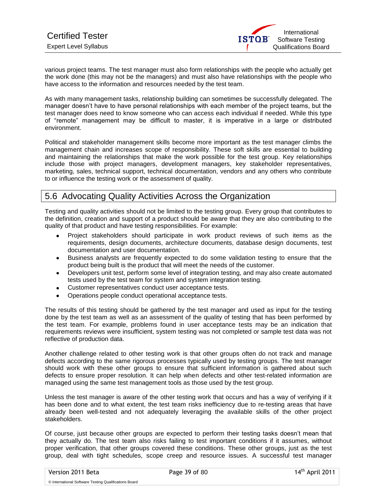

various project teams. The test manager must also form relationships with the people who actually get the work done (this may not be the managers) and must also have relationships with the people who have access to the information and resources needed by the test team.

As with many management tasks, relationship building can sometimes be successfully delegated. The manager doesn't have to have personal relationships with each member of the project teams, but the test manager does need to know someone who can access each individual if needed. While this type of "remote" management may be difficult to master, it is imperative in a large or distributed environment.

Political and stakeholder management skills become more important as the test manager climbs the management chain and increases scope of responsibility. These soft skills are essential to building and maintaining the relationships that make the work possible for the test group. Key relationships include those with project managers, development managers, key stakeholder representatives, marketing, sales, technical support, technical documentation, vendors and any others who contribute to or influence the testing work or the assessment of quality.

#### 5.6 Advocating Quality Activities Across the Organization

Testing and quality activities should not be limited to the testing group. Every group that contributes to the definition, creation and support of a product should be aware that they are also contributing to the quality of that product and have testing responsibilities. For example:

- Project stakeholders should participate in work product reviews of such items as the requirements, design documents, architecture documents, database design documents, test documentation and user documentation.
- Business analysts are frequently expected to do some validation testing to ensure that the  $\bullet$ product being built is the product that will meet the needs of the customer.
- Developers unit test, perform some level of integration testing, and may also create automated tests used by the test team for system and system integration testing.
- Customer representatives conduct user acceptance tests.
- Operations people conduct operational acceptance tests.

The results of this testing should be gathered by the test manager and used as input for the testing done by the test team as well as an assessment of the quality of testing that has been performed by the test team. For example, problems found in user acceptance tests may be an indication that requirements reviews were insufficient, system testing was not completed or sample test data was not reflective of production data.

Another challenge related to other testing work is that other groups often do not track and manage defects according to the same rigorous processes typically used by testing groups. The test manager should work with these other groups to ensure that sufficient information is gathered about such defects to ensure proper resolution. It can help when defects and other test-related information are managed using the same test management tools as those used by the test group.

Unless the test manager is aware of the other testing work that occurs and has a way of verifying if it has been done and to what extent, the test team risks inefficiency due to re-testing areas that have already been well-tested and not adequately leveraging the available skills of the other project stakeholders.

Of course, just because other groups are expected to perform their testing tasks doesn't mean that they actually do. The test team also risks failing to test important conditions if it assumes, without proper verification, that other groups covered these conditions. These other groups, just as the test group, deal with tight schedules, scope creep and resource issues. A successful test manager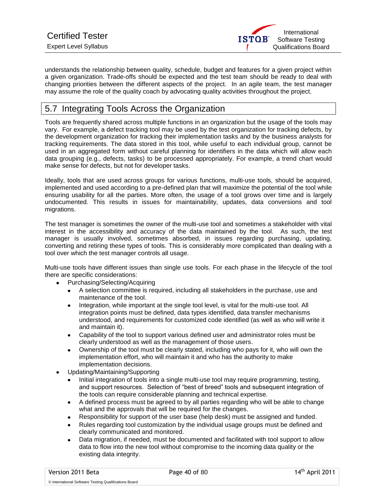

understands the relationship between quality, schedule, budget and features for a given project within a given organization. Trade-offs should be expected and the test team should be ready to deal with changing priorities between the different aspects of the project. In an agile team, the test manager may assume the role of the quality coach by advocating quality activities throughout the project.

#### 5.7 Integrating Tools Across the Organization

Tools are frequently shared across multiple functions in an organization but the usage of the tools may vary. For example, a defect tracking tool may be used by the test organization for tracking defects, by the development organization for tracking their implementation tasks and by the business analysts for tracking requirements. The data stored in this tool, while useful to each individual group, cannot be used in an aggregated form without careful planning for identifiers in the data which will allow each data grouping (e.g., defects, tasks) to be processed appropriately. For example, a trend chart would make sense for defects, but not for developer tasks.

Ideally, tools that are used across groups for various functions, multi-use tools, should be acquired, implemented and used according to a pre-defined plan that will maximize the potential of the tool while ensuring usability for all the parties. More often, the usage of a tool grows over time and is largely undocumented. This results in issues for maintainability, updates, data conversions and tool migrations.

The test manager is sometimes the owner of the multi-use tool and sometimes a stakeholder with vital interest in the accessibility and accuracy of the data maintained by the tool. As such, the test manager is usually involved, sometimes absorbed, in issues regarding purchasing, updating, converting and retiring these types of tools. This is considerably more complicated than dealing with a tool over which the test manager controls all usage.

Multi-use tools have different issues than single use tools. For each phase in the lifecycle of the tool there are specific considerations:

- Purchasing/Selecting/Acquiring
	- A selection committee is required, including all stakeholders in the purchase, use and maintenance of the tool.
	- Integration, while important at the single tool level, is vital for the multi-use tool. All  $\bullet$ integration points must be defined, data types identified, data transfer mechanisms understood, and requirements for customized code identified (as well as who will write it and maintain it).
	- Capability of the tool to support various defined user and administrator roles must be  $\bullet$ clearly understood as well as the management of those users.
	- Ownership of the tool must be clearly stated, including who pays for it, who will own the  $\bullet$ implementation effort, who will maintain it and who has the authority to make implementation decisions.
- Updating/Maintaining/Supporting
	- Initial integration of tools into a single multi-use tool may require programming, testing, and support resources. Selection of "best of breed" tools and subsequent integration of the tools can require considerable planning and technical expertise.
	- $\bullet$ A defined process must be agreed to by all parties regarding who will be able to change what and the approvals that will be required for the changes.
	- Responsibility for support of the user base (help desk) must be assigned and funded.  $\bullet$
	- Rules regarding tool customization by the individual usage groups must be defined and clearly communicated and monitored.
	- Data migration, if needed, must be documented and facilitated with tool support to allow  $\bullet$ data to flow into the new tool without compromise to the incoming data quality or the existing data integrity.

© International Software Testing Qualifications Board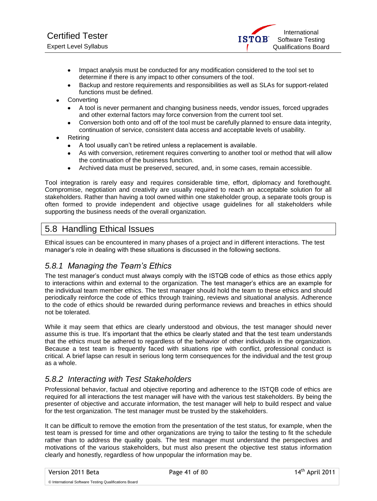

- Impact analysis must be conducted for any modification considered to the tool set to  $\bullet$ determine if there is any impact to other consumers of the tool.
- Backup and restore requirements and responsibilities as well as SLAs for support-related functions must be defined.
- Converting
	- A tool is never permanent and changing business needs, vendor issues, forced upgrades  $\bullet$ and other external factors may force conversion from the current tool set.
	- Conversion both onto and off of the tool must be carefully planned to ensure data integrity,  $\bullet$ continuation of service, consistent data access and acceptable levels of usability.
- Retiring
	- A tool usually can't be retired unless a replacement is available.  $\bullet$
	- As with conversion, retirement requires converting to another tool or method that will allow  $\bullet$ the continuation of the business function.
	- Archived data must be preserved, secured, and, in some cases, remain accessible.  $\bullet$

Tool integration is rarely easy and requires considerable time, effort, diplomacy and forethought. Compromise, negotiation and creativity are usually required to reach an acceptable solution for all stakeholders. Rather than having a tool owned within one stakeholder group, a separate tools group is often formed to provide independent and objective usage guidelines for all stakeholders while supporting the business needs of the overall organization.

#### 5.8 Handling Ethical Issues

Ethical issues can be encountered in many phases of a project and in different interactions. The test manager's role in dealing with these situations is discussed in the following sections.

#### *5.8.1 Managing the Team's Ethics*

The test manager's conduct must always comply with the ISTQB code of ethics as those ethics apply to interactions within and external to the organization. The test manager's ethics are an example for the individual team member ethics. The test manager should hold the team to these ethics and should periodically reinforce the code of ethics through training, reviews and situational analysis. Adherence to the code of ethics should be rewarded during performance reviews and breaches in ethics should not be tolerated.

While it may seem that ethics are clearly understood and obvious, the test manager should never assume this is true. It's important that the ethics be clearly stated and that the test team understands that the ethics must be adhered to regardless of the behavior of other individuals in the organization. Because a test team is frequently faced with situations ripe with conflict, professional conduct is critical. A brief lapse can result in serious long term consequences for the individual and the test group as a whole.

#### *5.8.2 Interacting with Test Stakeholders*

Professional behavior, factual and objective reporting and adherence to the ISTQB code of ethics are required for all interactions the test manager will have with the various test stakeholders. By being the presenter of objective and accurate information, the test manager will help to build respect and value for the test organization. The test manager must be trusted by the stakeholders.

It can be difficult to remove the emotion from the presentation of the test status, for example, when the test team is pressed for time and other organizations are trying to tailor the testing to fit the schedule rather than to address the quality goals. The test manager must understand the perspectives and motivations of the various stakeholders, but must also present the objective test status information clearly and honestly, regardless of how unpopular the information may be.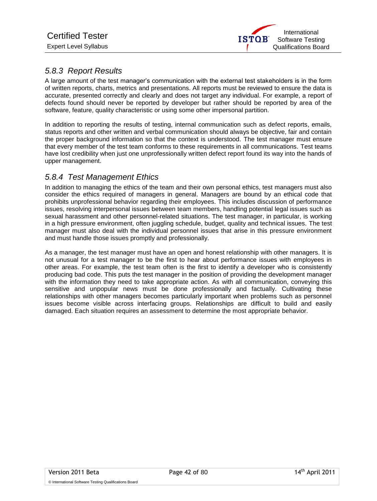

#### *5.8.3 Report Results*

A large amount of the test manager's communication with the external test stakeholders is in the form of written reports, charts, metrics and presentations. All reports must be reviewed to ensure the data is accurate, presented correctly and clearly and does not target any individual. For example, a report of defects found should never be reported by developer but rather should be reported by area of the software, feature, quality characteristic or using some other impersonal partition.

In addition to reporting the results of testing, internal communication such as defect reports, emails, status reports and other written and verbal communication should always be objective, fair and contain the proper background information so that the context is understood. The test manager must ensure that every member of the test team conforms to these requirements in all communications. Test teams have lost credibility when just one unprofessionally written defect report found its way into the hands of upper management.

#### *5.8.4 Test Management Ethics*

In addition to managing the ethics of the team and their own personal ethics, test managers must also consider the ethics required of managers in general. Managers are bound by an ethical code that prohibits unprofessional behavior regarding their employees. This includes discussion of performance issues, resolving interpersonal issues between team members, handling potential legal issues such as sexual harassment and other personnel-related situations. The test manager, in particular, is working in a high pressure environment, often juggling schedule, budget, quality and technical issues. The test manager must also deal with the individual personnel issues that arise in this pressure environment and must handle those issues promptly and professionally.

As a manager, the test manager must have an open and honest relationship with other managers. It is not unusual for a test manager to be the first to hear about performance issues with employees in other areas. For example, the test team often is the first to identify a developer who is consistently producing bad code. This puts the test manager in the position of providing the development manager with the information they need to take appropriate action. As with all communication, conveying this sensitive and unpopular news must be done professionally and factually. Cultivating these relationships with other managers becomes particularly important when problems such as personnel issues become visible across interfacing groups. Relationships are difficult to build and easily damaged. Each situation requires an assessment to determine the most appropriate behavior.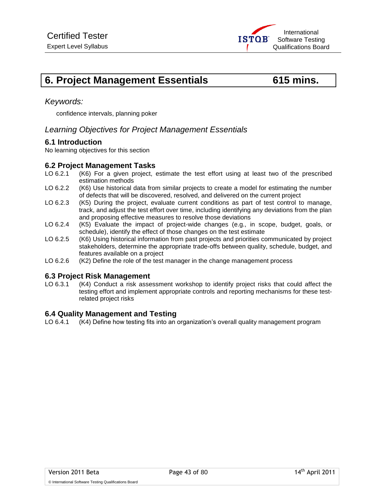

# **6. Project Management Essentials 615 mins.**

#### *Keywords:*

confidence intervals, planning poker

#### *Learning Objectives for Project Management Essentials*

#### **6.1 Introduction**

No learning objectives for this section

#### **6.2 Project Management Tasks**

- LO 6.2.1 (K6) For a given project, estimate the test effort using at least two of the prescribed estimation methods
- LO 6.2.2 (K6) Use historical data from similar projects to create a model for estimating the number of defects that will be discovered, resolved, and delivered on the current project
- LO 6.2.3 (K5) During the project, evaluate current conditions as part of test control to manage, track, and adjust the test effort over time, including identifying any deviations from the plan and proposing effective measures to resolve those deviations
- LO 6.2.4 (K5) Evaluate the impact of project-wide changes (e.g., in scope, budget, goals, or schedule), identify the effect of those changes on the test estimate
- LO 6.2.5 (K6) Using historical information from past projects and priorities communicated by project stakeholders, determine the appropriate trade-offs between quality, schedule, budget, and features available on a project
- LO 6.2.6 (K2) Define the role of the test manager in the change management process

#### **6.3 Project Risk Management**

LO 6.3.1 (K4) Conduct a risk assessment workshop to identify project risks that could affect the testing effort and implement appropriate controls and reporting mechanisms for these testrelated project risks

#### **6.4 Quality Management and Testing**

LO 6.4.1 (K4) Define how testing fits into an organization's overall quality management program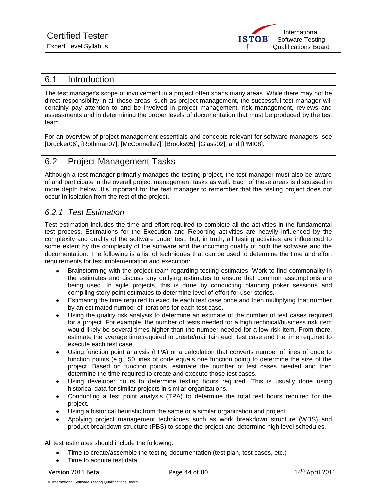

#### 6.1 Introduction

The test manager's scope of involvement in a project often spans many areas. While there may not be direct responsibility in all these areas, such as project management, the successful test manager will certainly pay attention to and be involved in project management, risk management, reviews and assessments and in determining the proper levels of documentation that must be produced by the test team.

For an overview of project management essentials and concepts relevant for software managers, see [Drucker06], [Rothman07], [McConnell97], [Brooks95], [Glass02], and [PMI08].

#### 6.2 Project Management Tasks

Although a test manager primarily manages the testing project, the test manager must also be aware of and participate in the overall project management tasks as well. Each of these areas is discussed in more depth below. It's important for the test manager to remember that the testing project does not occur in isolation from the rest of the project.

#### *6.2.1 Test Estimation*

Test estimation includes the time and effort required to complete all the activities in the fundamental test process. Estimations for the Execution and Reporting activities are heavily influenced by the complexity and quality of the software under test, but, in truth, all testing activities are influenced to some extent by the complexity of the software and the incoming quality of both the software and the documentation. The following is a list of techniques that can be used to determine the time and effort requirements for test implementation and execution:

- $\bullet$ Brainstorming with the project team regarding testing estimates. Work to find commonality in the estimates and discuss any outlying estimates to ensure that common assumptions are being used. In agile projects, this is done by conducting planning poker sessions and compiling story point estimates to determine level of effort for user stories.
- Estimating the time required to execute each test case once and then multiplying that number by an estimated number of iterations for each test case.
- Using the quality risk analysis to determine an estimate of the number of test cases required for a project. For example, the number of tests needed for a high technical/business risk item would likely be several times higher than the number needed for a low risk item. From there, estimate the average time required to create/maintain each test case and the time required to execute each test case.
- Using function point analysis (FPA) or a calculation that converts number of lines of code to function points (e.g., 50 lines of code equals one function point) to determine the size of the project. Based on function points, estimate the number of test cases needed and then determine the time required to create and execute those test cases.
- Using developer hours to determine testing hours required. This is usually done using historical data for similar projects in similar organizations.
- Conducting a test point analysis (TPA) to determine the total test hours required for the  $\bullet$ project.
- Using a historical heuristic from the same or a similar organization and project.
- Applying project management techniques such as work breakdown structure (WBS) and product breakdown structure (PBS) to scope the project and determine high level schedules.

All test estimates should include the following:

- Time to create/assemble the testing documentation (test plan, test cases, etc.)
- Time to acquire test data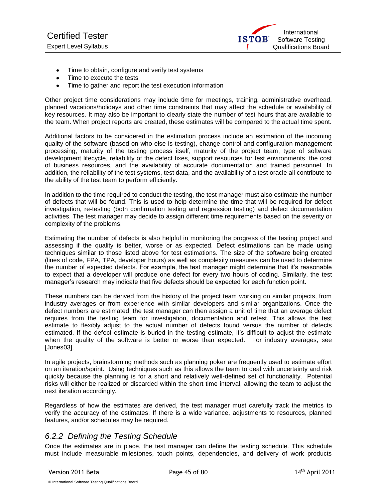

- Time to obtain, configure and verify test systems
- Time to execute the tests  $\bullet$
- Time to gather and report the test execution information  $\bullet$

Other project time considerations may include time for meetings, training, administrative overhead, planned vacations/holidays and other time constraints that may affect the schedule or availability of key resources. It may also be important to clearly state the number of test hours that are available to the team. When project reports are created, these estimates will be compared to the actual time spent.

Additional factors to be considered in the estimation process include an estimation of the incoming quality of the software (based on who else is testing), change control and configuration management processing, maturity of the testing process itself, maturity of the project team, type of software development lifecycle, reliability of the defect fixes, support resources for test environments, the cost of business resources, and the availability of accurate documentation and trained personnel. In addition, the reliability of the test systems, test data, and the availability of a test oracle all contribute to the ability of the test team to perform efficiently.

In addition to the time required to conduct the testing, the test manager must also estimate the number of defects that will be found. This is used to help determine the time that will be required for defect investigation, re-testing (both confirmation testing and regression testing) and defect documentation activities. The test manager may decide to assign different time requirements based on the severity or complexity of the problems.

Estimating the number of defects is also helpful in monitoring the progress of the testing project and assessing if the quality is better, worse or as expected. Defect estimations can be made using techniques similar to those listed above for test estimations. The size of the software being created (lines of code, FPA, TPA, developer hours) as well as complexity measures can be used to determine the number of expected defects. For example, the test manager might determine that it's reasonable to expect that a developer will produce one defect for every two hours of coding. Similarly, the test manager's research may indicate that five defects should be expected for each function point.

These numbers can be derived from the history of the project team working on similar projects, from industry averages or from experience with similar developers and similar organizations. Once the defect numbers are estimated, the test manager can then assign a unit of time that an average defect requires from the testing team for investigation, documentation and retest. This allows the test estimate to flexibly adjust to the actual number of defects found versus the number of defects estimated. If the defect estimate is buried in the testing estimate, it's difficult to adjust the estimate when the quality of the software is better or worse than expected. For industry averages, see [Jones03].

In agile projects, brainstorming methods such as planning poker are frequently used to estimate effort on an iteration/sprint. Using techniques such as this allows the team to deal with uncertainty and risk quickly because the planning is for a short and relatively well-defined set of functionality. Potential risks will either be realized or discarded within the short time interval, allowing the team to adjust the next iteration accordingly.

Regardless of how the estimates are derived, the test manager must carefully track the metrics to verify the accuracy of the estimates. If there is a wide variance, adjustments to resources, planned features, and/or schedules may be required.

#### *6.2.2 Defining the Testing Schedule*

Once the estimates are in place, the test manager can define the testing schedule. This schedule must include measurable milestones, touch points, dependencies, and delivery of work products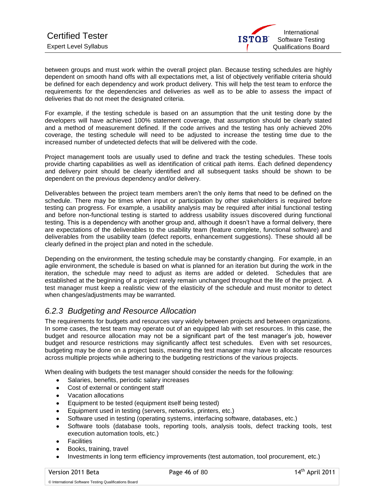

between groups and must work within the overall project plan. Because testing schedules are highly dependent on smooth hand offs with all expectations met, a list of objectively verifiable criteria should be defined for each dependency and work product delivery. This will help the test team to enforce the requirements for the dependencies and deliveries as well as to be able to assess the impact of deliveries that do not meet the designated criteria.

For example, if the testing schedule is based on an assumption that the unit testing done by the developers will have achieved 100% statement coverage, that assumption should be clearly stated and a method of measurement defined. If the code arrives and the testing has only achieved 20% coverage, the testing schedule will need to be adjusted to increase the testing time due to the increased number of undetected defects that will be delivered with the code.

Project management tools are usually used to define and track the testing schedules. These tools provide charting capabilities as well as identification of critical path items. Each defined dependency and delivery point should be clearly identified and all subsequent tasks should be shown to be dependent on the previous dependency and/or delivery.

Deliverables between the project team members aren't the only items that need to be defined on the schedule. There may be times when input or participation by other stakeholders is required before testing can progress. For example, a usability analysis may be required after initial functional testing and before non-functional testing is started to address usability issues discovered during functional testing. This is a dependency with another group and, although it doesn't have a formal delivery, there are expectations of the deliverables to the usability team (feature complete, functional software) and deliverables from the usability team (defect reports, enhancement suggestions). These should all be clearly defined in the project plan and noted in the schedule.

Depending on the environment, the testing schedule may be constantly changing. For example, in an agile environment, the schedule is based on what is planned for an iteration but during the work in the iteration, the schedule may need to adjust as items are added or deleted. Schedules that are established at the beginning of a project rarely remain unchanged throughout the life of the project. A test manager must keep a realistic view of the elasticity of the schedule and must monitor to detect when changes/adjustments may be warranted.

#### *6.2.3 Budgeting and Resource Allocation*

The requirements for budgets and resources vary widely between projects and between organizations. In some cases, the test team may operate out of an equipped lab with set resources. In this case, the budget and resource allocation may not be a significant part of the test manager's job, however budget and resource restrictions may significantly affect test schedules. Even with set resources, budgeting may be done on a project basis, meaning the test manager may have to allocate resources across multiple projects while adhering to the budgeting restrictions of the various projects.

When dealing with budgets the test manager should consider the needs for the following:

- Salaries, benefits, periodic salary increases
- Cost of external or contingent staff
- Vacation allocations
- Equipment to be tested (equipment itself being tested)  $\bullet$
- Equipment used in testing (servers, networks, printers, etc.)
- Software used in testing (operating systems, interfacing software, databases, etc.)
- Software tools (database tools, reporting tools, analysis tools, defect tracking tools, test execution automation tools, etc.)
- **Facilities**
- Books, training, travel
- Investments in long term efficiency improvements (test automation, tool procurement, etc.)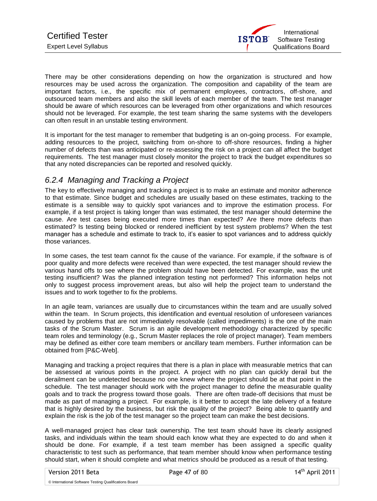

There may be other considerations depending on how the organization is structured and how resources may be used across the organization. The composition and capability of the team are important factors, i.e., the specific mix of permanent employees, contractors, off-shore, and outsourced team members and also the skill levels of each member of the team. The test manager should be aware of which resources can be leveraged from other organizations and which resources should not be leveraged. For example, the test team sharing the same systems with the developers can often result in an unstable testing environment.

It is important for the test manager to remember that budgeting is an on-going process. For example, adding resources to the project, switching from on-shore to off-shore resources, finding a higher number of defects than was anticipated or re-assessing the risk on a project can all affect the budget requirements. The test manager must closely monitor the project to track the budget expenditures so that any noted discrepancies can be reported and resolved quickly.

#### *6.2.4 Managing and Tracking a Project*

The key to effectively managing and tracking a project is to make an estimate and monitor adherence to that estimate. Since budget and schedules are usually based on these estimates, tracking to the estimate is a sensible way to quickly spot variances and to improve the estimation process. For example, if a test project is taking longer than was estimated, the test manager should determine the cause. Are test cases being executed more times than expected? Are there more defects than estimated? Is testing being blocked or rendered inefficient by test system problems? When the test manager has a schedule and estimate to track to, it's easier to spot variances and to address quickly those variances.

In some cases, the test team cannot fix the cause of the variance. For example, if the software is of poor quality and more defects were received than were expected, the test manager should review the various hand offs to see where the problem should have been detected. For example, was the unit testing insufficient? Was the planned integration testing not performed? This information helps not only to suggest process improvement areas, but also will help the project team to understand the issues and to work together to fix the problems.

In an agile team, variances are usually due to circumstances within the team and are usually solved within the team. In Scrum projects, this identification and eventual resolution of unforeseen variances caused by problems that are not immediately resolvable (called impediments) is the one of the main tasks of the Scrum Master. Scrum is an agile development methodology characterized by specific team roles and terminology (e.g., Scrum Master replaces the role of project manager). Team members may be defined as either core team members or ancillary team members. Further information can be obtained from [P&C-Web].

Managing and tracking a project requires that there is a plan in place with measurable metrics that can be assessed at various points in the project. A project with no plan can quickly derail but the derailment can be undetected because no one knew where the project should be at that point in the schedule. The test manager should work with the project manager to define the measurable quality goals and to track the progress toward those goals. There are often trade-off decisions that must be made as part of managing a project. For example, is it better to accept the late delivery of a feature that is highly desired by the business, but risk the quality of the project? Being able to quantify and explain the risk is the job of the test manager so the project team can make the best decisions.

A well-managed project has clear task ownership. The test team should have its clearly assigned tasks, and individuals within the team should each know what they are expected to do and when it should be done. For example, if a test team member has been assigned a specific quality characteristic to test such as performance, that team member should know when performance testing should start, when it should complete and what metrics should be produced as a result of that testing.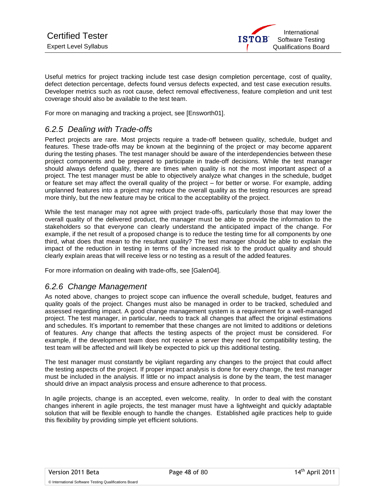

Useful metrics for project tracking include test case design completion percentage, cost of quality, defect detection percentage, defects found versus defects expected, and test case execution results. Developer metrics such as root cause, defect removal effectiveness, feature completion and unit test coverage should also be available to the test team.

For more on managing and tracking a project, see [Ensworth01].

#### *6.2.5 Dealing with Trade-offs*

Perfect projects are rare. Most projects require a trade-off between quality, schedule, budget and features. These trade-offs may be known at the beginning of the project or may become apparent during the testing phases. The test manager should be aware of the interdependencies between these project components and be prepared to participate in trade-off decisions. While the test manager should always defend quality, there are times when quality is not the most important aspect of a project. The test manager must be able to objectively analyze what changes in the schedule, budget or feature set may affect the overall quality of the project – for better or worse. For example, adding unplanned features into a project may reduce the overall quality as the testing resources are spread more thinly, but the new feature may be critical to the acceptability of the project.

While the test manager may not agree with project trade-offs, particularly those that may lower the overall quality of the delivered product, the manager must be able to provide the information to the stakeholders so that everyone can clearly understand the anticipated impact of the change. For example, if the net result of a proposed change is to reduce the testing time for all components by one third, what does that mean to the resultant quality? The test manager should be able to explain the impact of the reduction in testing in terms of the increased risk to the product quality and should clearly explain areas that will receive less or no testing as a result of the added features.

For more information on dealing with trade-offs, see [Galen04].

#### *6.2.6 Change Management*

As noted above, changes to project scope can influence the overall schedule, budget, features and quality goals of the project. Changes must also be managed in order to be tracked, scheduled and assessed regarding impact. A good change management system is a requirement for a well-managed project. The test manager, in particular, needs to track all changes that affect the original estimations and schedules. It's important to remember that these changes are not limited to additions or deletions of features. Any change that affects the testing aspects of the project must be considered. For example, if the development team does not receive a server they need for compatibility testing, the test team will be affected and will likely be expected to pick up this additional testing.

The test manager must constantly be vigilant regarding any changes to the project that could affect the testing aspects of the project. If proper impact analysis is done for every change, the test manager must be included in the analysis. If little or no impact analysis is done by the team, the test manager should drive an impact analysis process and ensure adherence to that process.

In agile projects, change is an accepted, even welcome, reality. In order to deal with the constant changes inherent in agile projects, the test manager must have a lightweight and quickly adaptable solution that will be flexible enough to handle the changes. Established agile practices help to guide this flexibility by providing simple yet efficient solutions.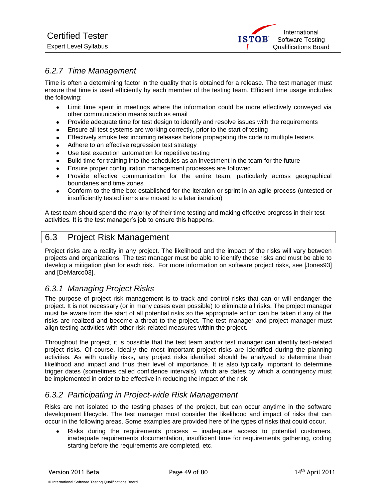

#### *6.2.7 Time Management*

Time is often a determining factor in the quality that is obtained for a release. The test manager must ensure that time is used efficiently by each member of the testing team. Efficient time usage includes the following:

- Limit time spent in meetings where the information could be more effectively conveyed via other communication means such as email
- Provide adequate time for test design to identify and resolve issues with the requirements  $\bullet$
- Ensure all test systems are working correctly, prior to the start of testing
- Effectively smoke test incoming releases before propagating the code to multiple testers  $\bullet$
- Adhere to an effective regression test strategy
- Use test execution automation for repetitive testing
- Build time for training into the schedules as an investment in the team for the future
- Ensure proper configuration management processes are followed
- Provide effective communication for the entire team, particularly across geographical boundaries and time zones
- Conform to the time box established for the iteration or sprint in an agile process (untested or  $\bullet$ insufficiently tested items are moved to a later iteration)

A test team should spend the majority of their time testing and making effective progress in their test activities. It is the test manager's job to ensure this happens.

#### 6.3 Project Risk Management

Project risks are a reality in any project. The likelihood and the impact of the risks will vary between projects and organizations. The test manager must be able to identify these risks and must be able to develop a mitigation plan for each risk. For more information on software project risks, see [Jones93] and [DeMarco03].

#### *6.3.1 Managing Project Risks*

The purpose of project risk management is to track and control risks that can or will endanger the project. It is not necessary (or in many cases even possible) to eliminate all risks. The project manager must be aware from the start of all potential risks so the appropriate action can be taken if any of the risks are realized and become a threat to the project. The test manager and project manager must align testing activities with other risk-related measures within the project.

Throughout the project, it is possible that the test team and/or test manager can identify test-related project risks. Of course, ideally the most important project risks are identified during the planning activities. As with quality risks, any project risks identified should be analyzed to determine their likelihood and impact and thus their level of importance. It is also typically important to determine trigger dates (sometimes called confidence intervals), which are dates by which a contingency must be implemented in order to be effective in reducing the impact of the risk.

#### *6.3.2 Participating in Project-wide Risk Management*

Risks are not isolated to the testing phases of the project, but can occur anytime in the software development lifecycle. The test manager must consider the likelihood and impact of risks that can occur in the following areas. Some examples are provided here of the types of risks that could occur.

Risks during the requirements process – inadequate access to potential customers,  $\bullet$ inadequate requirements documentation, insufficient time for requirements gathering, coding starting before the requirements are completed, etc.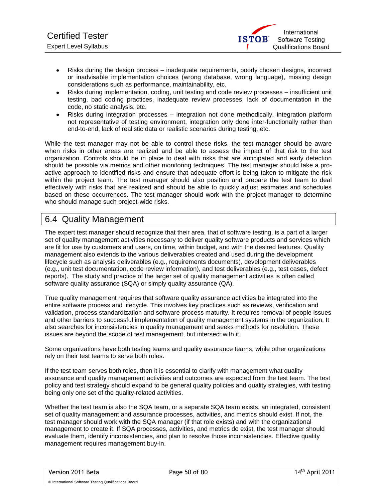

- Risks during the design process inadequate requirements, poorly chosen designs, incorrect  $\bullet$ or inadvisable implementation choices (wrong database, wrong language), missing design considerations such as performance, maintainability, etc.
- Risks during implementation, coding, unit testing and code review processes insufficient unit  $\bullet$ testing, bad coding practices, inadequate review processes, lack of documentation in the code, no static analysis, etc.
- Risks during integration processes integration not done methodically, integration platform not representative of testing environment, integration only done inter-functionally rather than end-to-end, lack of realistic data or realistic scenarios during testing, etc.

While the test manager may not be able to control these risks, the test manager should be aware when risks in other areas are realized and be able to assess the impact of that risk to the test organization. Controls should be in place to deal with risks that are anticipated and early detection should be possible via metrics and other monitoring techniques. The test manager should take a proactive approach to identified risks and ensure that adequate effort is being taken to mitigate the risk within the project team. The test manager should also position and prepare the test team to deal effectively with risks that are realized and should be able to quickly adjust estimates and schedules based on these occurrences. The test manager should work with the project manager to determine who should manage such project-wide risks.

### 6.4 Quality Management

The expert test manager should recognize that their area, that of software testing, is a part of a larger set of quality management activities necessary to deliver quality software products and services which are fit for use by customers and users, on time, within budget, and with the desired features. Quality management also extends to the various deliverables created and used during the development lifecycle such as analysis deliverables (e.g., requirements documents), development deliverables (e.g., unit test documentation, code review information), and test deliverables (e.g., test cases, defect reports). The study and practice of the larger set of quality management activities is often called software quality assurance (SQA) or simply quality assurance (QA).

True quality management requires that software quality assurance activities be integrated into the entire software process and lifecycle. This involves key practices such as reviews, verification and validation, process standardization and software process maturity. It requires removal of people issues and other barriers to successful implementation of quality management systems in the organization. It also searches for inconsistencies in quality management and seeks methods for resolution. These issues are beyond the scope of test management, but intersect with it.

Some organizations have both testing teams and quality assurance teams, while other organizations rely on their test teams to serve both roles.

If the test team serves both roles, then it is essential to clarify with management what quality assurance and quality management activities and outcomes are expected from the test team. The test policy and test strategy should expand to be general quality policies and quality strategies, with testing being only one set of the quality-related activities.

Whether the test team is also the SQA team, or a separate SQA team exists, an integrated, consistent set of quality management and assurance processes, activities, and metrics should exist. If not, the test manager should work with the SQA manager (if that role exists) and with the organizational management to create it. If SQA processes, activities, and metrics do exist, the test manager should evaluate them, identify inconsistencies, and plan to resolve those inconsistencies. Effective quality management requires management buy-in.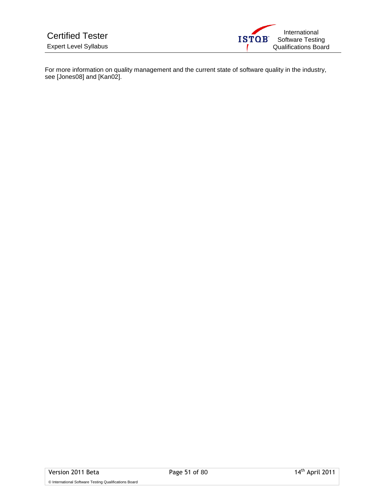

For more information on quality management and the current state of software quality in the industry, see [Jones08] and [Kan02].

© International Software Testing Qualifications Board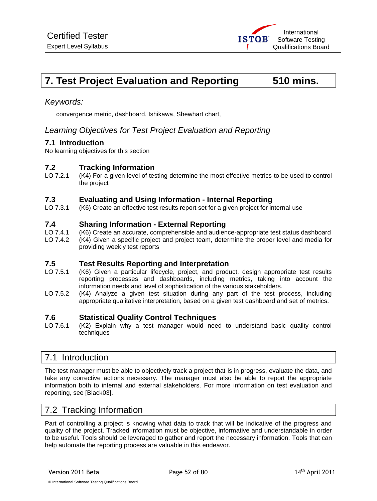

# **7. Test Project Evaluation and Reporting 510 mins.**

#### *Keywords:*

convergence metric, dashboard, Ishikawa, Shewhart chart,

#### *Learning Objectives for Test Project Evaluation and Reporting*

#### **7.1 Introduction**

No learning objectives for this section

# **7.2 <b>Tracking Information**<br>LO 7.2.1 (K4) For a given level of tes

(K4) For a given level of testing determine the most effective metrics to be used to control the project

# **7.3 Evaluating and Using Information - Internal Reporting**

(K6) Create an effective test results report set for a given project for internal use

#### **7.4 Sharing Information - External Reporting**

- LO 7.4.1 (K6) Create an accurate, comprehensible and audience-appropriate test status dashboard<br>LO 7.4.2 (K4) Given a specific project and project team, determine the proper level and media for
- (K4) Given a specific project and project team, determine the proper level and media for providing weekly test reports

#### **7.5 Test Results Reporting and Interpretation**

- LO 7.5.1 (K6) Given a particular lifecycle, project, and product, design appropriate test results reporting processes and dashboards, including metrics, taking into account the information needs and level of sophistication of the various stakeholders.
- LO 7.5.2 (K4) Analyze a given test situation during any part of the test process, including appropriate qualitative interpretation, based on a given test dashboard and set of metrics.

#### **7.6 Statistical Quality Control Techniques**

LO 7.6.1 (K2) Explain why a test manager would need to understand basic quality control techniques

#### 7.1 Introduction

The test manager must be able to objectively track a project that is in progress, evaluate the data, and take any corrective actions necessary. The manager must also be able to report the appropriate information both to internal and external stakeholders. For more information on test evaluation and reporting, see [Black03].

#### 7.2 Tracking Information

Part of controlling a project is knowing what data to track that will be indicative of the progress and quality of the project. Tracked information must be objective, informative and understandable in order to be useful. Tools should be leveraged to gather and report the necessary information. Tools that can help automate the reporting process are valuable in this endeavor.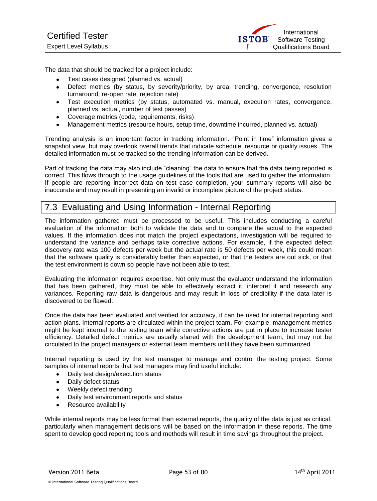

The data that should be tracked for a project include:

- Test cases designed (planned vs. actual)
- Defect metrics (by status, by severity/priority, by area, trending, convergence, resolution turnaround, re-open rate, rejection rate)
- Test execution metrics (by status, automated vs. manual, execution rates, convergence, planned vs. actual, number of test passes)
- Coverage metrics (code, requirements, risks)
- Management metrics (resource hours, setup time, downtime incurred, planned vs. actual)

Trending analysis is an important factor in tracking information. "Point in time" information gives a snapshot view, but may overlook overall trends that indicate schedule, resource or quality issues. The detailed information must be tracked so the trending information can be derived.

Part of tracking the data may also include "cleaning" the data to ensure that the data being reported is correct. This flows through to the usage guidelines of the tools that are used to gather the information. If people are reporting incorrect data on test case completion, your summary reports will also be inaccurate and may result in presenting an invalid or incomplete picture of the project status.

#### 7.3 Evaluating and Using Information - Internal Reporting

The information gathered must be processed to be useful. This includes conducting a careful evaluation of the information both to validate the data and to compare the actual to the expected values. If the information does not match the project expectations, investigation will be required to understand the variance and perhaps take corrective actions. For example, if the expected defect discovery rate was 100 defects per week but the actual rate is 50 defects per week, this could mean that the software quality is considerably better than expected, or that the testers are out sick, or that the test environment is down so people have not been able to test.

Evaluating the information requires expertise. Not only must the evaluator understand the information that has been gathered, they must be able to effectively extract it, interpret it and research any variances. Reporting raw data is dangerous and may result in loss of credibility if the data later is discovered to be flawed.

Once the data has been evaluated and verified for accuracy, it can be used for internal reporting and action plans. Internal reports are circulated within the project team. For example, management metrics might be kept internal to the testing team while corrective actions are put in place to increase tester efficiency. Detailed defect metrics are usually shared with the development team, but may not be circulated to the project managers or external team members until they have been summarized.

Internal reporting is used by the test manager to manage and control the testing project. Some samples of internal reports that test managers may find useful include:

- Daily test design/execution status
- Daily defect status
- Weekly defect trending  $\bullet$
- Daily test environment reports and status
- Resource availability

While internal reports may be less formal than external reports, the quality of the data is just as critical, particularly when management decisions will be based on the information in these reports. The time spent to develop good reporting tools and methods will result in time savings throughout the project.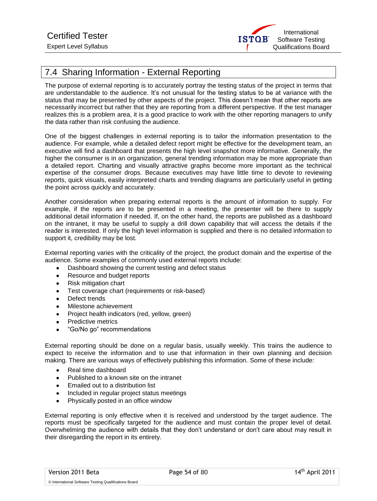

## 7.4 Sharing Information - External Reporting

The purpose of external reporting is to accurately portray the testing status of the project in terms that are understandable to the audience. It's not unusual for the testing status to be at variance with the status that may be presented by other aspects of the project. This doesn't mean that other reports are necessarily incorrect but rather that they are reporting from a different perspective. If the test manager realizes this is a problem area, it is a good practice to work with the other reporting managers to unify the data rather than risk confusing the audience.

One of the biggest challenges in external reporting is to tailor the information presentation to the audience. For example, while a detailed defect report might be effective for the development team, an executive will find a dashboard that presents the high level snapshot more informative. Generally, the higher the consumer is in an organization, general trending information may be more appropriate than a detailed report. Charting and visually attractive graphs become more important as the technical expertise of the consumer drops. Because executives may have little time to devote to reviewing reports, quick visuals, easily interpreted charts and trending diagrams are particularly useful in getting the point across quickly and accurately.

Another consideration when preparing external reports is the amount of information to supply. For example, if the reports are to be presented in a meeting, the presenter will be there to supply additional detail information if needed. If, on the other hand, the reports are published as a dashboard on the intranet, it may be useful to supply a drill down capability that will access the details if the reader is interested. If only the high level information is supplied and there is no detailed information to support it, credibility may be lost.

External reporting varies with the criticality of the project, the product domain and the expertise of the audience. Some examples of commonly used external reports include:

- Dashboard showing the current testing and defect status  $\bullet$
- $\bullet$ Resource and budget reports
- Risk mitigation chart
- Test coverage chart (requirements or risk-based)  $\bullet$
- Defect trends  $\bullet$
- Milestone achievement  $\bullet$
- $\bullet$ Project health indicators (red, yellow, green)
- Predictive metrics
- "Go/No go" recommendations

External reporting should be done on a regular basis, usually weekly. This trains the audience to expect to receive the information and to use that information in their own planning and decision making. There are various ways of effectively publishing this information. Some of these include:

- Real time dashboard
- Published to a known site on the intranet  $\bullet$
- Emailed out to a distribution list
- Included in regular project status meetings
- Physically posted in an office window

External reporting is only effective when it is received and understood by the target audience. The reports must be specifically targeted for the audience and must contain the proper level of detail. Overwhelming the audience with details that they don't understand or don't care about may result in their disregarding the report in its entirety.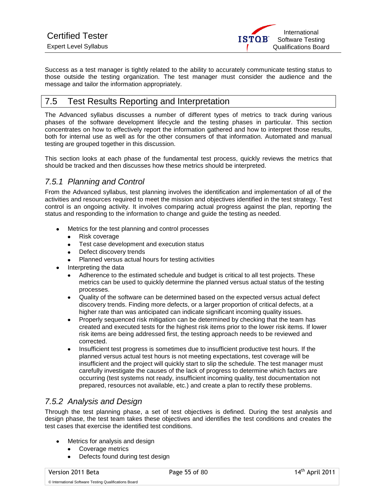

Success as a test manager is tightly related to the ability to accurately communicate testing status to those outside the testing organization. The test manager must consider the audience and the message and tailor the information appropriately.

#### 7.5 Test Results Reporting and Interpretation

The Advanced syllabus discusses a number of different types of metrics to track during various phases of the software development lifecycle and the testing phases in particular. This section concentrates on how to effectively report the information gathered and how to interpret those results, both for internal use as well as for the other consumers of that information. Automated and manual testing are grouped together in this discussion.

This section looks at each phase of the fundamental test process, quickly reviews the metrics that should be tracked and then discusses how these metrics should be interpreted.

#### *7.5.1 Planning and Control*

From the Advanced syllabus, test planning involves the identification and implementation of all of the activities and resources required to meet the mission and objectives identified in the test strategy. Test control is an ongoing activity. It involves comparing actual progress against the plan, reporting the status and responding to the information to change and guide the testing as needed.

- Metrics for the test planning and control processes
	- $\bullet$ Risk coverage
	- Test case development and execution status  $\bullet$
	- Defect discovery trends
	- Planned versus actual hours for testing activities
- Interpreting the data
	- $\bullet$ Adherence to the estimated schedule and budget is critical to all test projects. These metrics can be used to quickly determine the planned versus actual status of the testing processes.
	- Quality of the software can be determined based on the expected versus actual defect  $\bullet$ discovery trends. Finding more defects, or a larger proportion of critical defects, at a higher rate than was anticipated can indicate significant incoming quality issues.
	- Properly sequenced risk mitigation can be determined by checking that the team has  $\bullet$ created and executed tests for the highest risk items prior to the lower risk items. If lower risk items are being addressed first, the testing approach needs to be reviewed and corrected.
	- $\bullet$ Insufficient test progress is sometimes due to insufficient productive test hours. If the planned versus actual test hours is not meeting expectations, test coverage will be insufficient and the project will quickly start to slip the schedule. The test manager must carefully investigate the causes of the lack of progress to determine which factors are occurring (test systems not ready, insufficient incoming quality, test documentation not prepared, resources not available, etc.) and create a plan to rectify these problems.

#### *7.5.2 Analysis and Design*

Through the test planning phase, a set of test objectives is defined. During the test analysis and design phase, the test team takes these objectives and identifies the test conditions and creates the test cases that exercise the identified test conditions.

- Metrics for analysis and design
	- Coverage metrics
	- $\bullet$ Defects found during test design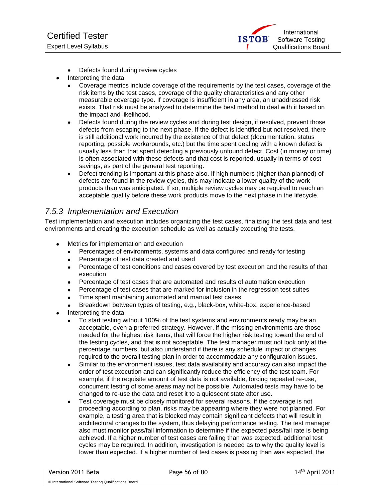

- Defects found during review cycles  $\bullet$
- Interpreting the data  $\blacksquare$ 
	- Coverage metrics include coverage of the requirements by the test cases, coverage of the risk items by the test cases, coverage of the quality characteristics and any other measurable coverage type. If coverage is insufficient in any area, an unaddressed risk exists. That risk must be analyzed to determine the best method to deal with it based on the impact and likelihood.
	- Defects found during the review cycles and during test design, if resolved, prevent those  $\bullet$ defects from escaping to the next phase. If the defect is identified but not resolved, there is still additional work incurred by the existence of that defect (documentation, status reporting, possible workarounds, etc.) but the time spent dealing with a known defect is usually less than that spent detecting a previously unfound defect. Cost (in money or time) is often associated with these defects and that cost is reported, usually in terms of cost savings, as part of the general test reporting.
	- Defect trending is important at this phase also. If high numbers (higher than planned) of  $\bullet$ defects are found in the review cycles, this may indicate a lower quality of the work products than was anticipated. If so, multiple review cycles may be required to reach an acceptable quality before these work products move to the next phase in the lifecycle.

#### *7.5.3 Implementation and Execution*

Test implementation and execution includes organizing the test cases, finalizing the test data and test environments and creating the execution schedule as well as actually executing the tests.

- Metrics for implementation and execution
	- Percentages of environments, systems and data configured and ready for testing  $\bullet$
	- Percentage of test data created and used
	- Percentage of test conditions and cases covered by test execution and the results of that  $\bullet$ execution
	- Percentage of test cases that are automated and results of automation execution  $\bullet$
	- Percentage of test cases that are marked for inclusion in the regression test suites
	- Time spent maintaining automated and manual test cases  $\bullet$
	- Breakdown between types of testing, e.g., black-box, white-box, experience-based
- Interpreting the data
	- To start testing without 100% of the test systems and environments ready may be an acceptable, even a preferred strategy. However, if the missing environments are those needed for the highest risk items, that will force the higher risk testing toward the end of the testing cycles, and that is not acceptable. The test manager must not look only at the percentage numbers, but also understand if there is any schedule impact or changes required to the overall testing plan in order to accommodate any configuration issues.
	- Similar to the environment issues, test data availability and accuracy can also impact the  $\bullet$ order of test execution and can significantly reduce the efficiency of the test team. For example, if the requisite amount of test data is not available, forcing repeated re-use, concurrent testing of some areas may not be possible. Automated tests may have to be changed to re-use the data and reset it to a quiescent state after use.
	- Test coverage must be closely monitored for several reasons. If the coverage is not  $\bullet$ proceeding according to plan, risks may be appearing where they were not planned. For example, a testing area that is blocked may contain significant defects that will result in architectural changes to the system, thus delaying performance testing. The test manager also must monitor pass/fail information to determine if the expected pass/fail rate is being achieved. If a higher number of test cases are failing than was expected, additional test cycles may be required. In addition, investigation is needed as to why the quality level is lower than expected. If a higher number of test cases is passing than was expected, the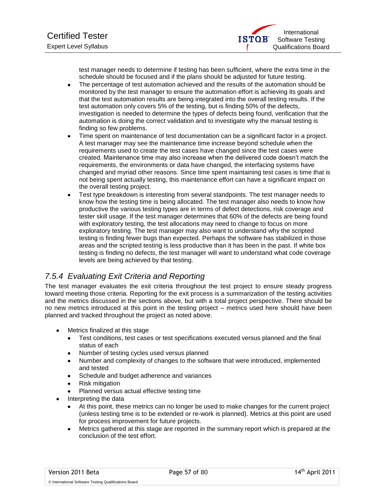

test manager needs to determine if testing has been sufficient, where the extra time in the schedule should be focused and if the plans should be adjusted for future testing.

- The percentage of test automation achieved and the results of the automation should be  $\bullet$ monitored by the test manager to ensure the automation effort is achieving its goals and that the test automation results are being integrated into the overall testing results. If the test automation only covers 5% of the testing, but is finding 50% of the defects, investigation is needed to determine the types of defects being found, verification that the automation is doing the correct validation and to investigate why the manual testing is finding so few problems.
- Time spent on maintenance of test documentation can be a significant factor in a project.  $\bullet$ A test manager may see the maintenance time increase beyond schedule when the requirements used to create the test cases have changed since the test cases were created. Maintenance time may also increase when the delivered code doesn't match the requirements, the environments or data have changed, the interfacing systems have changed and myriad other reasons. Since time spent maintaining test cases is time that is not being spent actually testing, this maintenance effort can have a significant impact on the overall testing project.
- Test type breakdown is interesting from several standpoints. The test manager needs to  $\bullet$ know how the testing time is being allocated. The test manager also needs to know how productive the various testing types are in terms of defect detections, risk coverage and tester skill usage. If the test manager determines that 60% of the defects are being found with exploratory testing, the test allocations may need to change to focus on more exploratory testing. The test manager may also want to understand why the scripted testing is finding fewer bugs than expected. Perhaps the software has stabilized in those areas and the scripted testing is less productive than it has been in the past. If white box testing is finding no defects, the test manager will want to understand what code coverage levels are being achieved by that testing.

#### *7.5.4 Evaluating Exit Criteria and Reporting*

The test manager evaluates the exit criteria throughout the test project to ensure steady progress toward meeting those criteria. Reporting for the exit process is a summarization of the testing activities and the metrics discussed in the sections above, but with a total project perspective. There should be no new metrics introduced at this point in the testing project – metrics used here should have been planned and tracked throughout the project as noted above.

- Metrics finalized at this stage
	- $\bullet$ Test conditions, test cases or test specifications executed versus planned and the final status of each
	- Number of testing cycles used versus planned  $\bullet$
	- $\bullet$ Number and complexity of changes to the software that were introduced, implemented and tested
	- Schedule and budget adherence and variances  $\bullet$
	- Risk mitigation
	- Planned versus actual effective testing time
- Interpreting the data
	- At this point, these metrics can no longer be used to make changes for the current project (unless testing time is to be extended or re-work is planned). Metrics at this point are used for process improvement for future projects.
	- Metrics gathered at this stage are reported in the summary report which is prepared at the  $\bullet$ conclusion of the test effort.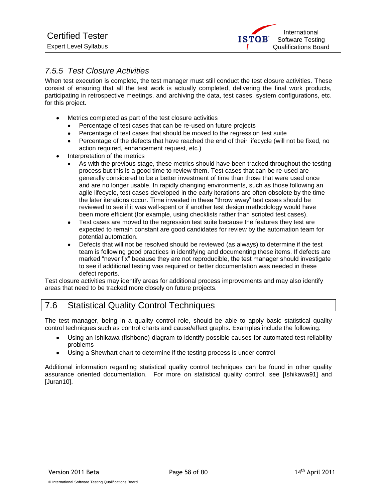

#### *7.5.5 Test Closure Activities*

When test execution is complete, the test manager must still conduct the test closure activities. These consist of ensuring that all the test work is actually completed, delivering the final work products, participating in retrospective meetings, and archiving the data, test cases, system configurations, etc. for this project.

- Metrics completed as part of the test closure activities  $\bullet$ 
	- Percentage of test cases that can be re-used on future projects
	- Percentage of test cases that should be moved to the regression test suite
	- Percentage of the defects that have reached the end of their lifecycle (will not be fixed, no  $\ddot{\phantom{a}}$ action required, enhancement request, etc.)
- Interpretation of the metrics
	- As with the previous stage, these metrics should have been tracked throughout the testing process but this is a good time to review them. Test cases that can be re-used are generally considered to be a better investment of time than those that were used once and are no longer usable. In rapidly changing environments, such as those following an agile lifecycle, test cases developed in the early iterations are often obsolete by the time the later iterations occur. Time invested in these "throw away" test cases should be reviewed to see if it was well-spent or if another test design methodology would have been more efficient (for example, using checklists rather than scripted test cases).
	- Test cases are moved to the regression test suite because the features they test are  $\bullet$ expected to remain constant are good candidates for review by the automation team for potential automation.
	- Defects that will not be resolved should be reviewed (as always) to determine if the test  $\bullet$ team is following good practices in identifying and documenting these items. If defects are marked "never fix" because they are not reproducible, the test manager should investigate to see if additional testing was required or better documentation was needed in these defect reports.

Test closure activities may identify areas for additional process improvements and may also identify areas that need to be tracked more closely on future projects.

#### 7.6 Statistical Quality Control Techniques

The test manager, being in a quality control role, should be able to apply basic statistical quality control techniques such as control charts and cause/effect graphs. Examples include the following:

- Using an Ishikawa (fishbone) diagram to identify possible causes for automated test reliability  $\bullet$ problems
- Using a Shewhart chart to determine if the testing process is under control

Additional information regarding statistical quality control techniques can be found in other quality assurance oriented documentation. For more on statistical quality control, see [Ishikawa91] and [Juran10].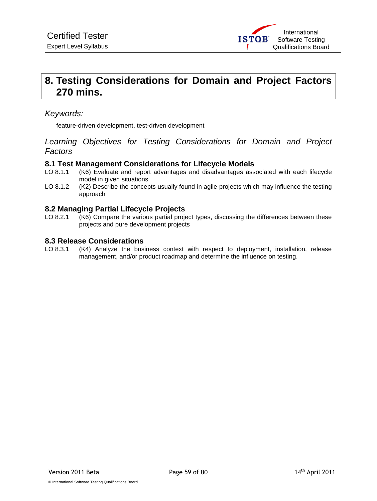# **8. Testing Considerations for Domain and Project Factors 270 mins.**

#### *Keywords:*

feature-driven development, test-driven development

*Learning Objectives for Testing Considerations for Domain and Project Factors*

#### **8.1 Test Management Considerations for Lifecycle Models**

- LO 8.1.1 (K6) Evaluate and report advantages and disadvantages associated with each lifecycle model in given situations
- LO 8.1.2 (K2) Describe the concepts usually found in agile projects which may influence the testing approach

#### **8.2 Managing Partial Lifecycle Projects**

LO 8.2.1 (K6) Compare the various partial project types, discussing the differences between these projects and pure development projects

#### **8.3 Release Considerations**

LO 8.3.1 (K4) Analyze the business context with respect to deployment, installation, release management, and/or product roadmap and determine the influence on testing.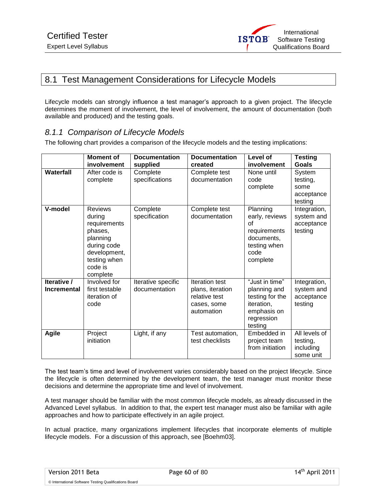

#### 8.1 Test Management Considerations for Lifecycle Models

Lifecycle models can strongly influence a test manager's approach to a given project. The lifecycle determines the moment of involvement, the level of involvement, the amount of documentation (both available and produced) and the testing goals.

#### *8.1.1 Comparison of Lifecycle Models*

The following chart provides a comparison of the lifecycle models and the testing implications:

|                                   | <b>Moment of</b><br>involvement                                                                                                       | <b>Documentation</b><br>supplied    | <b>Documentation</b><br>created                                                  | Level of<br>involvement                                                                                 | <b>Testing</b><br>Goals                             |
|-----------------------------------|---------------------------------------------------------------------------------------------------------------------------------------|-------------------------------------|----------------------------------------------------------------------------------|---------------------------------------------------------------------------------------------------------|-----------------------------------------------------|
| Waterfall                         | After code is<br>complete                                                                                                             | Complete<br>specifications          | Complete test<br>documentation                                                   | None until<br>code<br>complete                                                                          | System<br>testing,<br>some<br>acceptance<br>testing |
| V-model                           | <b>Reviews</b><br>during<br>requirements<br>phases,<br>planning<br>during code<br>development,<br>testing when<br>code is<br>complete | Complete<br>specification           | Complete test<br>documentation                                                   | Planning<br>early, reviews<br>Ωf<br>requirements<br>documents,<br>testing when<br>code<br>complete      | Integration,<br>system and<br>acceptance<br>testing |
| Iterative /<br><b>Incremental</b> | Involved for<br>first testable<br>iteration of<br>code                                                                                | Iterative specific<br>documentation | Iteration test<br>plans, iteration<br>relative test<br>cases, some<br>automation | "Just in time"<br>planning and<br>testing for the<br>iteration,<br>emphasis on<br>regression<br>testing | Integration,<br>system and<br>acceptance<br>testing |
| <b>Agile</b>                      | Project<br>initiation                                                                                                                 | Light, if any                       | Test automation,<br>test checklists                                              | Embedded in<br>project team<br>from initiation                                                          | All levels of<br>testing,<br>including<br>some unit |

The test team's time and level of involvement varies considerably based on the project lifecycle. Since the lifecycle is often determined by the development team, the test manager must monitor these decisions and determine the appropriate time and level of involvement.

A test manager should be familiar with the most common lifecycle models, as already discussed in the Advanced Level syllabus. In addition to that, the expert test manager must also be familiar with agile approaches and how to participate effectively in an agile project.

In actual practice, many organizations implement lifecycles that incorporate elements of multiple lifecycle models. For a discussion of this approach, see [Boehm03].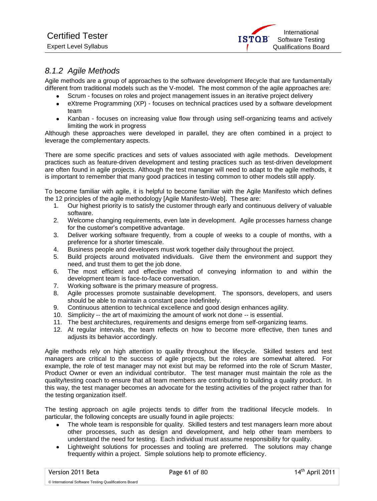

#### *8.1.2 Agile Methods*

Agile methods are a group of approaches to the software development lifecycle that are fundamentally different from traditional models such as the V-model. The most common of the agile approaches are:

- Scrum focuses on roles and project management issues in an iterative project delivery
- $\bullet$ eXtreme Programming (XP) - focuses on technical practices used by a software development team
- Kanban focuses on increasing value flow through using self-organizing teams and actively limiting the work in progress

Although these approaches were developed in parallel, they are often combined in a project to leverage the complementary aspects.

There are some specific practices and sets of values associated with agile methods. Development practices such as feature-driven development and testing practices such as test-driven development are often found in agile projects. Although the test manager will need to adapt to the agile methods, it is important to remember that many good practices in testing common to other models still apply.

To become familiar with agile, it is helpful to become familiar with the Agile Manifesto which defines the 12 principles of the agile methodology [Agile Manifesto-Web]. These are:

- 1. Our highest priority is to satisfy the customer through early and continuous delivery of valuable software.
- 2. Welcome changing requirements, even late in development. Agile processes harness change for the customer's competitive advantage.
- 3. Deliver working software frequently, from a couple of weeks to a couple of months, with a preference for a shorter timescale.
- 4. Business people and developers must work together daily throughout the project.
- 5. Build projects around motivated individuals. Give them the environment and support they need, and trust them to get the job done.
- 6. The most efficient and effective method of conveying information to and within the development team is face-to-face conversation.
- 7. Working software is the primary measure of progress.
- 8. Agile processes promote sustainable development. The sponsors, developers, and users should be able to maintain a constant pace indefinitely.
- 9. Continuous attention to technical excellence and good design enhances agility.
- 10. Simplicity -- the art of maximizing the amount of work not done -- is essential.
- 11. The best architectures, requirements and designs emerge from self-organizing teams.
- 12. At regular intervals, the team reflects on how to become more effective, then tunes and adjusts its behavior accordingly.

Agile methods rely on high attention to quality throughout the lifecycle. Skilled testers and test managers are critical to the success of agile projects, but the roles are somewhat altered. For example, the role of test manager may not exist but may be reformed into the role of Scrum Master, Product Owner or even an individual contributor. The test manager must maintain the role as the quality/testing coach to ensure that all team members are contributing to building a quality product. In this way, the test manager becomes an advocate for the testing activities of the project rather than for the testing organization itself.

The testing approach on agile projects tends to differ from the traditional lifecycle models. In particular, the following concepts are usually found in agile projects:

- The whole team is responsible for quality. Skilled testers and test managers learn more about  $\bullet$ other processes, such as design and development, and help other team members to understand the need for testing. Each individual must assume responsibility for quality.
- Lightweight solutions for processes and tooling are preferred. The solutions may change frequently within a project. Simple solutions help to promote efficiency.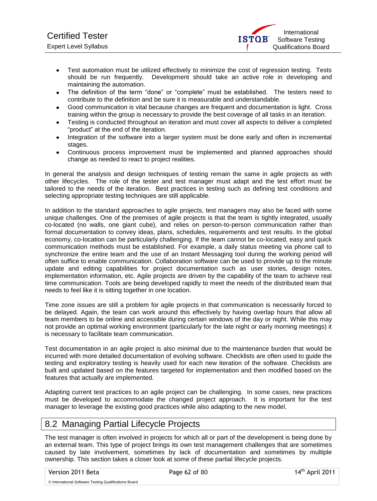

- Test automation must be utilized effectively to minimize the cost of regression testing. Tests  $\bullet$ should be run frequently. Development should take an active role in developing and maintaining the automation.
- The definition of the term "done" or "complete" must be established. The testers need to contribute to the definition and be sure it is measurable and understandable.
- Good communication is vital because changes are frequent and documentation is light. Cross training within the group is necessary to provide the best coverage of all tasks in an iteration.
- Testing is conducted throughout an iteration and must cover all aspects to deliver a completed "product" at the end of the iteration.
- Integration of the software into a larger system must be done early and often in incremental  $\bullet$ stages.
- Continuous process improvement must be implemented and planned approaches should  $\bullet$ change as needed to react to project realities.

In general the analysis and design techniques of testing remain the same in agile projects as with other lifecycles. The role of the tester and test manager must adapt and the test effort must be tailored to the needs of the iteration. Best practices in testing such as defining test conditions and selecting appropriate testing techniques are still applicable.

In addition to the standard approaches to agile projects, test managers may also be faced with some unique challenges. One of the premises of agile projects is that the team is tightly integrated, usually co-located (no walls, one giant cube), and relies on person-to-person communication rather than formal documentation to convey ideas, plans, schedules, requirements and test results. In the global economy, co-location can be particularly challenging. If the team cannot be co-located, easy and quick communication methods must be established. For example, a daily status meeting via phone call to synchronize the entire team and the use of an Instant Messaging tool during the working period will often suffice to enable communication. Collaboration software can be used to provide up to the minute update and editing capabilities for project documentation such as user stories, design notes, implementation information, etc. Agile projects are driven by the capability of the team to achieve real time communication. Tools are being developed rapidly to meet the needs of the distributed team that needs to feel like it is sitting together in one location.

Time zone issues are still a problem for agile projects in that communication is necessarily forced to be delayed. Again, the team can work around this effectively by having overlap hours that allow all team members to be online and accessible during certain windows of the day or night. While this may not provide an optimal working environment (particularly for the late night or early morning meetings) it is necessary to facilitate team communication.

Test documentation in an agile project is also minimal due to the maintenance burden that would be incurred with more detailed documentation of evolving software. Checklists are often used to guide the testing and exploratory testing is heavily used for each new iteration of the software. Checklists are built and updated based on the features targeted for implementation and then modified based on the features that actually are implemented.

Adapting current test practices to an agile project can be challenging. In some cases, new practices must be developed to accommodate the changed project approach. It is important for the test manager to leverage the existing good practices while also adapting to the new model.

#### 8.2 Managing Partial Lifecycle Projects

The test manager is often involved in projects for which all or part of the development is being done by an external team. This type of project brings its own test management challenges that are sometimes caused by late involvement, sometimes by lack of documentation and sometimes by multiple ownership. This section takes a closer look at some of these partial lifecycle projects.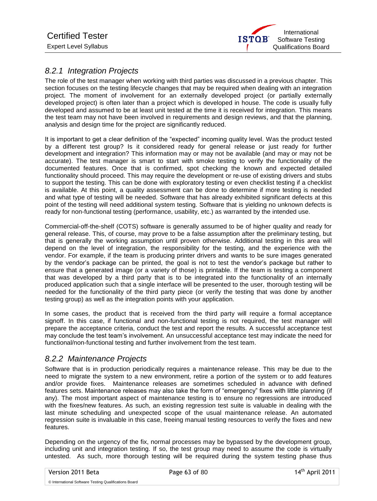

#### *8.2.1 Integration Projects*

The role of the test manager when working with third parties was discussed in a previous chapter. This section focuses on the testing lifecycle changes that may be required when dealing with an integration project. The moment of involvement for an externally developed project (or partially externally developed project) is often later than a project which is developed in house. The code is usually fully developed and assumed to be at least unit tested at the time it is received for integration. This means the test team may not have been involved in requirements and design reviews, and that the planning, analysis and design time for the project are significantly reduced.

It is important to get a clear definition of the "expected" incoming quality level. Was the product tested by a different test group? Is it considered ready for general release or just ready for further development and integration? This information may or may not be available (and may or may not be accurate). The test manager is smart to start with smoke testing to verify the functionality of the documented features. Once that is confirmed, spot checking the known and expected detailed functionality should proceed. This may require the development or re-use of existing drivers and stubs to support the testing. This can be done with exploratory testing or even checklist testing if a checklist is available. At this point, a quality assessment can be done to determine if more testing is needed and what type of testing will be needed. Software that has already exhibited significant defects at this point of the testing will need additional system testing. Software that is yielding no unknown defects is ready for non-functional testing (performance, usability, etc.) as warranted by the intended use.

Commercial-off-the-shelf (COTS) software is generally assumed to be of higher quality and ready for general release. This, of course, may prove to be a false assumption after the preliminary testing, but that is generally the working assumption until proven otherwise. Additional testing in this area will depend on the level of integration, the responsibility for the testing, and the experience with the vendor. For example, if the team is producing printer drivers and wants to be sure images generated by the vendor's package can be printed, the goal is not to test the vendor's package but rather to ensure that a generated image (or a variety of those) is printable. If the team is testing a component that was developed by a third party that is to be integrated into the functionality of an internally produced application such that a single interface will be presented to the user, thorough testing will be needed for the functionality of the third party piece (or verify the testing that was done by another testing group) as well as the integration points with your application.

In some cases, the product that is received from the third party will require a formal acceptance signoff. In this case, if functional and non-functional testing is not required, the test manager will prepare the acceptance criteria, conduct the test and report the results. A successful acceptance test may conclude the test team's involvement. An unsuccessful acceptance test may indicate the need for functional/non-functional testing and further involvement from the test team.

#### *8.2.2 Maintenance Projects*

Software that is in production periodically requires a maintenance release. This may be due to the need to migrate the system to a new environment, retire a portion of the system or to add features and/or provide fixes. Maintenance releases are sometimes scheduled in advance with defined features sets. Maintenance releases may also take the form of "emergency" fixes with little planning (if any). The most important aspect of maintenance testing is to ensure no regressions are introduced with the fixes/new features. As such, an existing regression test suite is valuable in dealing with the last minute scheduling and unexpected scope of the usual maintenance release. An automated regression suite is invaluable in this case, freeing manual testing resources to verify the fixes and new features.

Depending on the urgency of the fix, normal processes may be bypassed by the development group, including unit and integration testing. If so, the test group may need to assume the code is virtually untested. As such, more thorough testing will be required during the system testing phase thus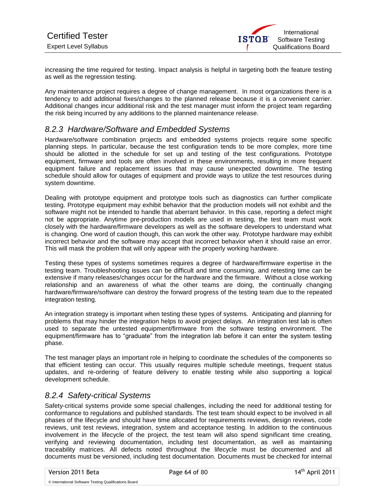

increasing the time required for testing. Impact analysis is helpful in targeting both the feature testing as well as the regression testing.

Any maintenance project requires a degree of change management. In most organizations there is a tendency to add additional fixes/changes to the planned release because it is a convenient carrier. Additional changes incur additional risk and the test manager must inform the project team regarding the risk being incurred by any additions to the planned maintenance release.

#### *8.2.3 Hardware/Software and Embedded Systems*

Hardware/software combination projects and embedded systems projects require some specific planning steps. In particular, because the test configuration tends to be more complex, more time should be allotted in the schedule for set up and testing of the test configurations. Prototype equipment, firmware and tools are often involved in these environments, resulting in more frequent equipment failure and replacement issues that may cause unexpected downtime. The testing schedule should allow for outages of equipment and provide ways to utilize the test resources during system downtime.

Dealing with prototype equipment and prototype tools such as diagnostics can further complicate testing. Prototype equipment may exhibit behavior that the production models will not exhibit and the software might not be intended to handle that aberrant behavior. In this case, reporting a defect might not be appropriate. Anytime pre-production models are used in testing, the test team must work closely with the hardware/firmware developers as well as the software developers to understand what is changing. One word of caution though, this can work the other way. Prototype hardware may exhibit incorrect behavior and the software may accept that incorrect behavior when it should raise an error. This will mask the problem that will only appear with the properly working hardware.

Testing these types of systems sometimes requires a degree of hardware/firmware expertise in the testing team. Troubleshooting issues can be difficult and time consuming, and retesting time can be extensive if many releases/changes occur for the hardware and the firmware. Without a close working relationship and an awareness of what the other teams are doing, the continually changing hardware/firmware/software can destroy the forward progress of the testing team due to the repeated integration testing.

An integration strategy is important when testing these types of systems. Anticipating and planning for problems that may hinder the integration helps to avoid project delays. An integration test lab is often used to separate the untested equipment/firmware from the software testing environment. The equipment/firmware has to "graduate" from the integration lab before it can enter the system testing phase.

The test manager plays an important role in helping to coordinate the schedules of the components so that efficient testing can occur. This usually requires multiple schedule meetings, frequent status updates, and re-ordering of feature delivery to enable testing while also supporting a logical development schedule.

#### *8.2.4 Safety-critical Systems*

Safety-critical systems provide some special challenges, including the need for additional testing for conformance to regulations and published standards. The test team should expect to be involved in all phases of the lifecycle and should have time allocated for requirements reviews, design reviews, code reviews, unit test reviews, integration, system and acceptance testing. In addition to the continuous involvement in the lifecycle of the project, the test team will also spend significant time creating, verifying and reviewing documentation, including test documentation, as well as maintaining traceability matrices. All defects noted throughout the lifecycle must be documented and all documents must be versioned, including test documentation. Documents must be checked for internal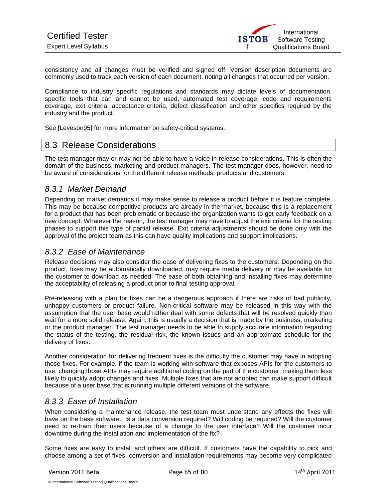

consistency and all changes must be verified and signed off. Version description documents are commonly used to track each version of each document, noting all changes that occurred per version.

Compliance to industry specific regulations and standards may dictate levels of documentation, specific tools that can and cannot be used, automated test coverage, code and requirements coverage, exit criteria, acceptance criteria, defect classification and other specifics required by the industry and the product.

See [Leveson95] for more information on safety-critical systems.

#### 8.3 Release Considerations

The test manager may or may not be able to have a voice in release considerations. This is often the domain of the business, marketing and product managers. The test manager does, however, need to be aware of considerations for the different release methods, products and customers.

#### *8.3.1 Market Demand*

Depending on market demands it may make sense to release a product before it is feature complete. This may be because competitive products are already in the market, because this is a replacement for a product that has been problematic or because the organization wants to get early feedback on a new concept. Whatever the reason, the test manager may have to adjust the exit criteria for the testing phases to support this type of partial release. Exit criteria adjustments should be done only with the approval of the project team as this can have quality implications and support implications.

#### *8.3.2 Ease of Maintenance*

Release decisions may also consider the ease of delivering fixes to the customers. Depending on the product, fixes may be automatically downloaded, may require media delivery or may be available for the customer to download as needed. The ease of both obtaining and installing fixes may determine the acceptability of releasing a product prior to final testing approval.

Pre-releasing with a plan for fixes can be a dangerous approach if there are risks of bad publicity, unhappy customers or product failure. Non-critical software may be released in this way with the assumption that the user base would rather deal with some defects that will be resolved quickly than wait for a more solid release. Again, this is usually a decision that is made by the business, marketing or the product manager. The test manager needs to be able to supply accurate information regarding the status of the testing, the residual risk, the known issues and an approximate schedule for the delivery of fixes.

Another consideration for delivering frequent fixes is the difficulty the customer may have in adopting those fixes. For example, if the team is working with software that exposes APIs for the customers to use, changing those APIs may require additional coding on the part of the customer, making them less likely to quickly adopt changes and fixes. Multiple fixes that are not adopted can make support difficult because of a user base that is running multiple different versions of the software.

#### *8.3.3 Ease of Installation*

When considering a maintenance release, the test team must understand any effects the fixes will have on the base software. Is a data conversion required? Will coding be required? Will the customer need to re-train their users because of a change to the user interface? Will the customer incur downtime during the installation and implementation of the fix?

Some fixes are easy to install and others are difficult. If customers have the capability to pick and choose among a set of fixes, conversion and installation requirements may become very complicated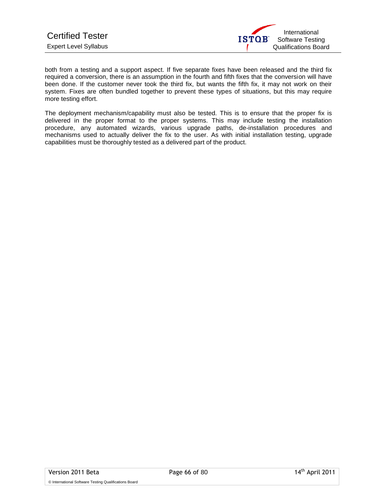

both from a testing and a support aspect. If five separate fixes have been released and the third fix required a conversion, there is an assumption in the fourth and fifth fixes that the conversion will have been done. If the customer never took the third fix, but wants the fifth fix, it may not work on their system. Fixes are often bundled together to prevent these types of situations, but this may require more testing effort.

The deployment mechanism/capability must also be tested. This is to ensure that the proper fix is delivered in the proper format to the proper systems. This may include testing the installation procedure, any automated wizards, various upgrade paths, de-installation procedures and mechanisms used to actually deliver the fix to the user. As with initial installation testing, upgrade capabilities must be thoroughly tested as a delivered part of the product.

© International Software Testing Qualifications Board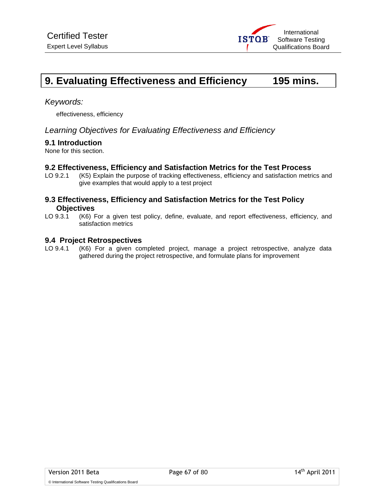

# **9. Evaluating Effectiveness and Efficiency 195 mins.**

#### *Keywords:*

effectiveness, efficiency

#### *Learning Objectives for Evaluating Effectiveness and Efficiency*

#### **9.1 Introduction**

None for this section.

# **9.2 Effectiveness, Efficiency and Satisfaction Metrics for the Test Process**

(K5) Explain the purpose of tracking effectiveness, efficiency and satisfaction metrics and give examples that would apply to a test project

#### **9.3 Effectiveness, Efficiency and Satisfaction Metrics for the Test Policy Objectives**

LO 9.3.1 (K6) For a given test policy, define, evaluate, and report effectiveness, efficiency, and satisfaction metrics

#### **9.4 Project Retrospectives**

LO 9.4.1 (K6) For a given completed project, manage a project retrospective, analyze data gathered during the project retrospective, and formulate plans for improvement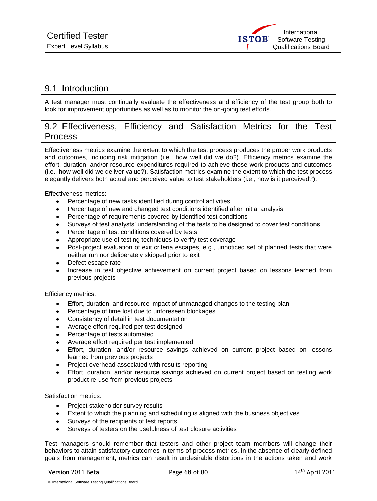

#### 9.1 Introduction

A test manager must continually evaluate the effectiveness and efficiency of the test group both to look for improvement opportunities as well as to monitor the on-going test efforts.

#### 9.2 Effectiveness, Efficiency and Satisfaction Metrics for the Test Process

Effectiveness metrics examine the extent to which the test process produces the proper work products and outcomes, including risk mitigation (i.e., how well did we do?). Efficiency metrics examine the effort, duration, and/or resource expenditures required to achieve those work products and outcomes (i.e., how well did we deliver value?). Satisfaction metrics examine the extent to which the test process elegantly delivers both actual and perceived value to test stakeholders (i.e., how is it perceived?).

Effectiveness metrics:

- Percentage of new tasks identified during control activities
- Percentage of new and changed test conditions identified after initial analysis
- Percentage of requirements covered by identified test conditions
- Surveys of test analysts' understanding of the tests to be designed to cover test conditions
- Percentage of test conditions covered by tests  $\bullet$
- Appropriate use of testing techniques to verify test coverage
- Post-project evaluation of exit criteria escapes, e.g., unnoticed set of planned tests that were  $\bullet$ neither run nor deliberately skipped prior to exit
- Defect escape rate
- Increase in test objective achievement on current project based on lessons learned from previous projects

#### Efficiency metrics:

- Effort, duration, and resource impact of unmanaged changes to the testing plan
- Percentage of time lost due to unforeseen blockages
- Consistency of detail in test documentation
- Average effort required per test designed
- Percentage of tests automated
- Average effort required per test implemented
- Effort, duration, and/or resource savings achieved on current project based on lessons learned from previous projects
- Project overhead associated with results reporting
- Effort, duration, and/or resource savings achieved on current project based on testing work product re-use from previous projects

Satisfaction metrics:

- Project stakeholder survey results
- Extent to which the planning and scheduling is aligned with the business objectives
- Surveys of the recipients of test reports
- Surveys of testers on the usefulness of test closure activities

Test managers should remember that testers and other project team members will change their behaviors to attain satisfactory outcomes in terms of process metrics. In the absence of clearly defined goals from management, metrics can result in undesirable distortions in the actions taken and work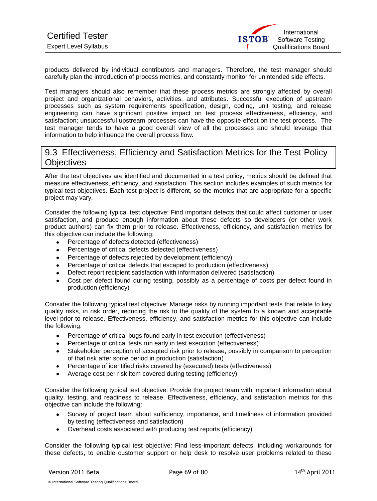

products delivered by individual contributors and managers. Therefore, the test manager should carefully plan the introduction of process metrics, and constantly monitor for unintended side effects.

Test managers should also remember that these process metrics are strongly affected by overall project and organizational behaviors, activities, and attributes. Successful execution of upstream processes such as system requirements specification, design, coding, unit testing, and release engineering can have significant positive impact on test process effectiveness, efficiency, and satisfaction; unsuccessful upstream processes can have the opposite effect on the test process. The test manager tends to have a good overall view of all the processes and should leverage that information to help influence the overall process flow.

#### 9.3 Effectiveness, Efficiency and Satisfaction Metrics for the Test Policy **Objectives**

After the test objectives are identified and documented in a test policy, metrics should be defined that measure effectiveness, efficiency, and satisfaction. This section includes examples of such metrics for typical test objectives. Each test project is different, so the metrics that are appropriate for a specific project may vary.

Consider the following typical test objective: Find important defects that could affect customer or user satisfaction, and produce enough information about these defects so developers (or other work product authors) can fix them prior to release. Effectiveness, efficiency, and satisfaction metrics for this objective can include the following:

- Percentage of defects detected (effectiveness)
- Percentage of critical defects detected (effectiveness)
- Percentage of defects rejected by development (efficiency)
- Percentage of critical defects that escaped to production (effectiveness)
- Defect report recipient satisfaction with information delivered (satisfaction)
- Cost per defect found during testing, possibly as a percentage of costs per defect found in production (efficiency)

Consider the following typical test objective: Manage risks by running important tests that relate to key quality risks, in risk order, reducing the risk to the quality of the system to a known and acceptable level prior to release. Effectiveness, efficiency, and satisfaction metrics for this objective can include the following:

- Percentage of critical bugs found early in test execution (effectiveness)
- Percentage of critical tests run early in test execution (effectiveness)
- Stakeholder perception of accepted risk prior to release, possibly in comparison to perception  $\bullet$ of that risk after some period in production (satisfaction)
- Percentage of identified risks covered by (executed) tests (effectiveness)
- Average cost per risk item covered during testing (efficiency)

Consider the following typical test objective: Provide the project team with important information about quality, testing, and readiness to release. Effectiveness, efficiency, and satisfaction metrics for this objective can include the following:

- Survey of project team about sufficiency, importance, and timeliness of information provided by testing (effectiveness and satisfaction)
- Overhead costs associated with producing test reports (efficiency)

Consider the following typical test objective: Find less-important defects, including workarounds for these defects, to enable customer support or help desk to resolve user problems related to these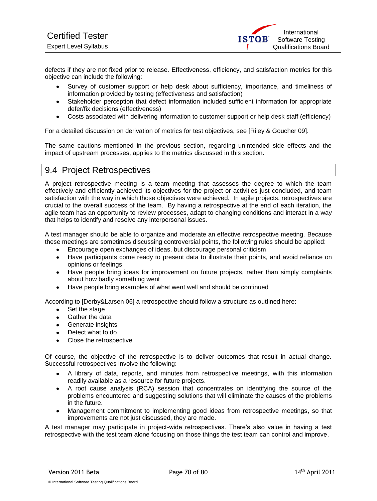

defects if they are not fixed prior to release. Effectiveness, efficiency, and satisfaction metrics for this objective can include the following:

- Survey of customer support or help desk about sufficiency, importance, and timeliness of information provided by testing (effectiveness and satisfaction)
- Stakeholder perception that defect information included sufficient information for appropriate defer/fix decisions (effectiveness)
- Costs associated with delivering information to customer support or help desk staff (efficiency)

For a detailed discussion on derivation of metrics for test objectives, see [Riley & Goucher 09].

The same cautions mentioned in the previous section, regarding unintended side effects and the impact of upstream processes, applies to the metrics discussed in this section.

#### 9.4 Project Retrospectives

A project retrospective meeting is a team meeting that assesses the degree to which the team effectively and efficiently achieved its objectives for the project or activities just concluded, and team satisfaction with the way in which those objectives were achieved. In agile projects, retrospectives are crucial to the overall success of the team. By having a retrospective at the end of each iteration, the agile team has an opportunity to review processes, adapt to changing conditions and interact in a way that helps to identify and resolve any interpersonal issues.

A test manager should be able to organize and moderate an effective retrospective meeting. Because these meetings are sometimes discussing controversial points, the following rules should be applied:

- Encourage open exchanges of ideas, but discourage personal criticism
- $\bullet$ Have participants come ready to present data to illustrate their points, and avoid reliance on opinions or feelings
- Have people bring ideas for improvement on future projects, rather than simply complaints about how badly something went
- Have people bring examples of what went well and should be continued

According to [Derby&Larsen 06] a retrospective should follow a structure as outlined here:

- Set the stage  $\bullet$
- Gather the data
- Generate insights
- Detect what to do
- Close the retrospective

Of course, the objective of the retrospective is to deliver outcomes that result in actual change. Successful retrospectives involve the following:

- A library of data, reports, and minutes from retrospective meetings, with this information readily available as a resource for future projects.
- A root cause analysis (RCA) session that concentrates on identifying the source of the  $\bullet$ problems encountered and suggesting solutions that will eliminate the causes of the problems in the future.
- Management commitment to implementing good ideas from retrospective meetings, so that improvements are not just discussed, they are made.

A test manager may participate in project-wide retrospectives. There's also value in having a test retrospective with the test team alone focusing on those things the test team can control and improve.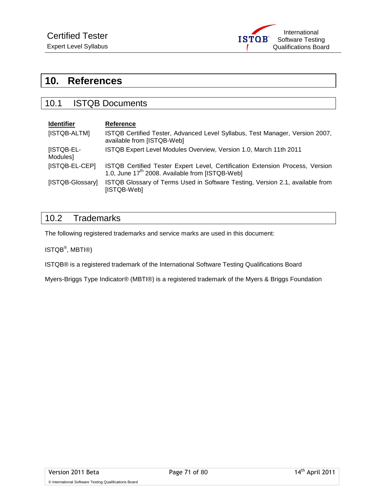

# **10. References**

#### 10.1 ISTQB Documents

| <b>Identifier</b>      | <b>Reference</b>                                                                                                                             |
|------------------------|----------------------------------------------------------------------------------------------------------------------------------------------|
| [ISTQB-ALTM]           | ISTQB Certified Tester, Advanced Level Syllabus, Test Manager, Version 2007,<br>available from [ISTQB-Web]                                   |
| [ISTQB-EL-<br>Modules] | ISTQB Expert Level Modules Overview, Version 1.0, March 11th 2011                                                                            |
| [ISTQB-EL-CEP]         | ISTQB Certified Tester Expert Level, Certification Extension Process, Version<br>1.0, June 17 <sup>th</sup> 2008. Available from [ISTQB-Web] |
| [ISTQB-Glossary]       | ISTQB Glossary of Terms Used in Software Testing, Version 2.1, available from<br>[ISTQB-Web]                                                 |

### 10.2 Trademarks

The following registered trademarks and service marks are used in this document:

ISTQB® , MBTI®)

ISTQB® is a registered trademark of the International Software Testing Qualifications Board

Myers-Briggs Type Indicator® (MBTI®) is a registered trademark of the Myers & Briggs Foundation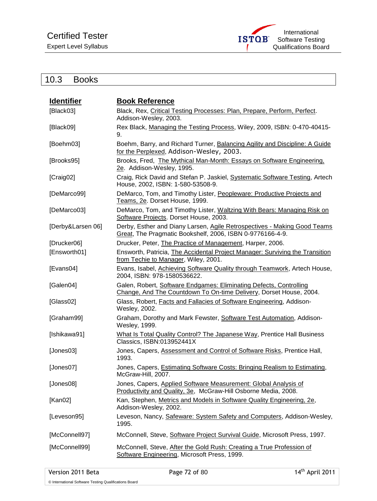

## 10.3 Books

| <u>Identifier</u> | <b>Book Reference</b>                                                                                                                    |
|-------------------|------------------------------------------------------------------------------------------------------------------------------------------|
| [Black03]         | Black, Rex, Critical Testing Processes: Plan, Prepare, Perform, Perfect.<br>Addison-Wesley, 2003.                                        |
| [Black09]         | Rex Black, Managing the Testing Process, Wiley, 2009, ISBN: 0-470-40415-<br>9.                                                           |
| [Boehm03]         | Boehm, Barry, and Richard Turner, Balancing Agility and Discipline: A Guide<br>for the Perplexed, Addison-Wesley, 2003.                  |
| [Brooks95]        | Brooks, Fred, The Mythical Man-Month: Essays on Software Engineering,<br>2e. Addison-Wesley, 1995.                                       |
| [Craig02]         | Craig, Rick David and Stefan P. Jaskiel, Systematic Software Testing, Artech<br>House, 2002, ISBN: 1-580-53508-9.                        |
| [DeMarco99]       | DeMarco, Tom, and Timothy Lister, Peopleware: Productive Projects and<br>Teams, 2e. Dorset House, 1999.                                  |
| [DeMarco03]       | DeMarco, Tom, and Timothy Lister, Waltzing With Bears: Managing Risk on<br>Software Projects. Dorset House, 2003.                        |
| [Derby&Larsen 06] | Derby, Esther and Diany Larsen, Agile Retrospectives - Making Good Teams<br>Great, The Pragmatic Bookshelf, 2006, ISBN 0-9776166-4-9.    |
| [Drucker06]       | Drucker, Peter, The Practice of Management, Harper, 2006.                                                                                |
| [Ensworth01]      | Ensworth, Patricia, The Accidental Project Manager: Surviving the Transition<br>from Techie to Manager, Wiley, 2001.                     |
| [Evans04]         | Evans, Isabel, Achieving Software Quality through Teamwork, Artech House,<br>2004, ISBN: 978-1580536622.                                 |
| [Galen04]         | Galen, Robert, Software Endgames: Eliminating Defects, Controlling<br>Change, And The Countdown To On-time Delivery, Dorset House, 2004. |
| [Glass02]         | Glass, Robert, Facts and Fallacies of Software Engineering, Addison-<br>Wesley, 2002.                                                    |
| [Graham99]        | Graham, Dorothy and Mark Fewster, Software Test Automation, Addison-<br>Wesley, 1999.                                                    |
| [Ishikawa91]      | What Is Total Quality Control? The Japanese Way, Prentice Hall Business<br>Classics, ISBN:013952441X                                     |
| [Jones03]         | Jones, Capers, Assessment and Control of Software Risks, Prentice Hall,<br>1993.                                                         |
| [Jones07]         | Jones, Capers, Estimating Software Costs: Bringing Realism to Estimating,<br>McGraw-Hill, 2007.                                          |
| [Jones08]         | Jones, Capers, Applied Software Measurement: Global Analysis of<br>Productivity and Quality, 3e, McGraw-Hill Osborne Media, 2008.        |
| [Kan02]           | Kan, Stephen, Metrics and Models in Software Quality Engineering, 2e,<br>Addison-Wesley, 2002.                                           |
| [Leveson95]       | Leveson, Nancy, Safeware: System Safety and Computers, Addison-Wesley,<br>1995.                                                          |
| [McConnell97]     | McConnell, Steve, Software Project Survival Guide, Microsoft Press, 1997.                                                                |
| [McConnell99]     | McConnell, Steve, After the Gold Rush: Creating a True Profession of<br>Software Engineering, Microsoft Press, 1999.                     |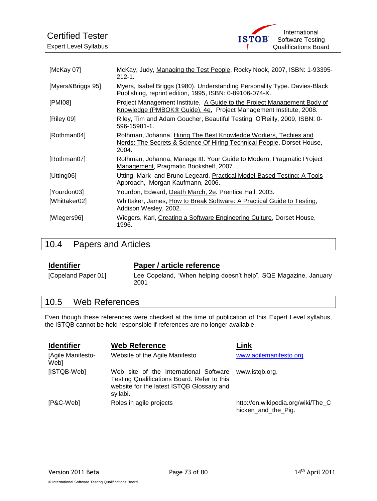

| [McKay $07$ ]     | McKay, Judy, Managing the Test People, Rocky Nook, 2007, ISBN: 1-93395-<br>$212 - 1$                                                                |
|-------------------|-----------------------------------------------------------------------------------------------------------------------------------------------------|
| [Myers&Briggs 95] | Myers, Isabel Briggs (1980). Understanding Personality Type. Davies-Black<br>Publishing, reprint edition, 1995, ISBN: 0-89106-074-X.                |
| [PMI08]           | Project Management Institute, A Guide to the Project Management Body of<br>Knowledge (PMBOK® Guide), 4e, Project Management Institute, 2008.        |
| [Riley 09]        | Riley, Tim and Adam Goucher, Beautiful Testing, O'Reilly, 2009, ISBN: 0-<br>596-15981-1.                                                            |
| [Rothman04]       | Rothman, Johanna, Hiring The Best Knowledge Workers, Techies and<br>Nerds: The Secrets & Science Of Hiring Technical People, Dorset House,<br>2004. |
| [Rothman07]       | Rothman, Johanna, Manage It!: Your Guide to Modern, Pragmatic Project<br>Management, Pragmatic Bookshelf, 2007.                                     |
| [Utting06]        | Utting, Mark and Bruno Legeard, Practical Model-Based Testing: A Tools<br>Approach, Morgan Kaufmann, 2006.                                          |
| [Yourdon03]       | Yourdon, Edward, Death March, 2e. Prentice Hall, 2003.                                                                                              |
| [Whittaker02]     | Whittaker, James, How to Break Software: A Practical Guide to Testing,<br>Addison Wesley, 2002.                                                     |
| [Wiegers96]       | Wiegers, Karl, Creating a Software Engineering Culture, Dorset House,<br>1996.                                                                      |

| 10.4 | <b>Papers and Articles</b> |
|------|----------------------------|
|------|----------------------------|

| <b>Identifier</b>   | Paper / article reference                                                |
|---------------------|--------------------------------------------------------------------------|
| [Copeland Paper 01] | Lee Copeland, "When helping doesn't help", SQE Magazine, January<br>2001 |

# 10.5 Web References

Even though these references were checked at the time of publication of this Expert Level syllabus, the ISTQB cannot be held responsible if references are no longer available.

| <b>Identifier</b>         | <b>Web Reference</b>                                                                                                                           | Link                                                      |
|---------------------------|------------------------------------------------------------------------------------------------------------------------------------------------|-----------------------------------------------------------|
| [Agile Manifesto-<br>Web] | Website of the Agile Manifesto                                                                                                                 | www.agilemanifesto.org                                    |
| [ISTQB-Web]               | Web site of the International Software<br>Testing Qualifications Board. Refer to this<br>website for the latest ISTQB Glossary and<br>syllabi. | www.istgb.org.                                            |
| [P&C-Web]                 | Roles in agile projects                                                                                                                        | http://en.wikipedia.org/wiki/The_C<br>hicken and the Pig. |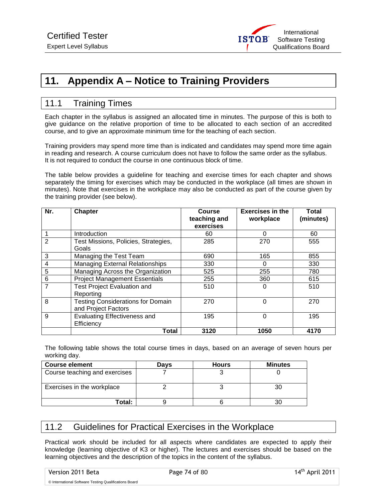

# **11. Appendix A – Notice to Training Providers**

### 11.1 Training Times

Each chapter in the syllabus is assigned an allocated time in minutes. The purpose of this is both to give guidance on the relative proportion of time to be allocated to each section of an accredited course, and to give an approximate minimum time for the teaching of each section.

Training providers may spend more time than is indicated and candidates may spend more time again in reading and research. A course curriculum does not have to follow the same order as the syllabus. It is not required to conduct the course in one continuous block of time.

The table below provides a guideline for teaching and exercise times for each chapter and shows separately the timing for exercises which may be conducted in the workplace (all times are shown in minutes). Note that exercises in the workplace may also be conducted as part of the course given by the training provider (see below).

| Nr.            | <b>Chapter</b>                           | Course<br>teaching and | <b>Exercises in the</b><br>workplace | Total<br>(minutes) |
|----------------|------------------------------------------|------------------------|--------------------------------------|--------------------|
|                |                                          | exercises              |                                      |                    |
|                | <b>Introduction</b>                      | 60                     | 0                                    | 60                 |
| $\overline{2}$ | Test Missions, Policies, Strategies,     | 285                    | 270                                  | 555                |
|                | Goals                                    |                        |                                      |                    |
| 3              | Managing the Test Team                   | 690                    | 165                                  | 855                |
| 4              | <b>Managing External Relationships</b>   | 330                    | 0                                    | 330                |
| 5              | Managing Across the Organization         | 525                    | 255                                  | 780                |
| $\,6$          | <b>Project Management Essentials</b>     | 255                    | 360                                  | 615                |
| $\overline{7}$ | <b>Test Project Evaluation and</b>       | 510                    | 0                                    | 510                |
|                | Reporting                                |                        |                                      |                    |
| 8              | <b>Testing Considerations for Domain</b> | 270                    | 0                                    | 270                |
|                | and Project Factors                      |                        |                                      |                    |
| 9              | <b>Evaluating Effectiveness and</b>      | 195                    | 0                                    | 195                |
|                | Efficiency                               |                        |                                      |                    |
|                | Total                                    | 3120                   | 1050                                 | 4170               |

The following table shows the total course times in days, based on an average of seven hours per working day.

| <b>Course element</b>         | <b>Davs</b> | <b>Hours</b> | <b>Minutes</b> |
|-------------------------------|-------------|--------------|----------------|
| Course teaching and exercises |             |              |                |
| Exercises in the workplace    |             |              | 30             |
| Total:                        |             |              | າ              |

#### 11.2 Guidelines for Practical Exercises in the Workplace

Practical work should be included for all aspects where candidates are expected to apply their knowledge (learning objective of K3 or higher). The lectures and exercises should be based on the learning objectives and the description of the topics in the content of the syllabus.

| Version 2011 Beta |  |  |
|-------------------|--|--|
|-------------------|--|--|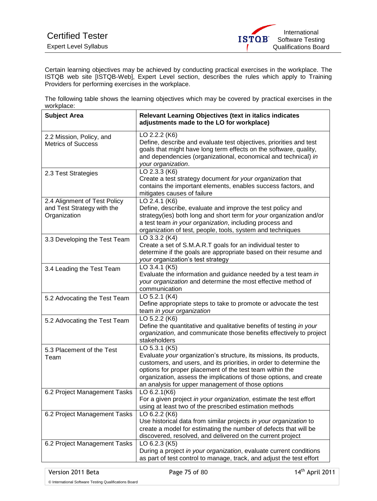

Certain learning objectives may be achieved by conducting practical exercises in the workplace. The ISTQB web site [ISTQB-Web], Expert Level section, describes the rules which apply to Training Providers for performing exercises in the workplace.

The following table shows the learning objectives which may be covered by practical exercises in the workplace:

| <b>Subject Area</b>                                                        | <b>Relevant Learning Objectives (text in italics indicates</b><br>adjustments made to the LO for workplace)                                                                                                                                                                                                                                        |
|----------------------------------------------------------------------------|----------------------------------------------------------------------------------------------------------------------------------------------------------------------------------------------------------------------------------------------------------------------------------------------------------------------------------------------------|
| 2.2 Mission, Policy, and<br><b>Metrics of Success</b>                      | LO 2.2.2 (K6)<br>Define, describe and evaluate test objectives, priorities and test<br>goals that might have long term effects on the software, quality,<br>and dependencies (organizational, economical and technical) in<br>your organization.                                                                                                   |
| 2.3 Test Strategies                                                        | LO 2.3.3 (K6)<br>Create a test strategy document for your organization that<br>contains the important elements, enables success factors, and<br>mitigates causes of failure                                                                                                                                                                        |
| 2.4 Alignment of Test Policy<br>and Test Strategy with the<br>Organization | LO 2.4.1 (K6)<br>Define, describe, evaluate and improve the test policy and<br>strategy(ies) both long and short term for your organization and/or<br>a test team in your organization, including process and<br>organization of test, people, tools, system and techniques                                                                        |
| 3.3 Developing the Test Team                                               | LO 3.3.2 (K4)<br>Create a set of S.M.A.R.T goals for an individual tester to<br>determine if the goals are appropriate based on their resume and<br>your organization's test strategy                                                                                                                                                              |
| 3.4 Leading the Test Team                                                  | LO 3.4.1 (K5)<br>Evaluate the information and guidance needed by a test team in<br>your organization and determine the most effective method of<br>communication                                                                                                                                                                                   |
| 5.2 Advocating the Test Team                                               | LO 5.2.1 (K4)<br>Define appropriate steps to take to promote or advocate the test<br>team in your organization                                                                                                                                                                                                                                     |
| 5.2 Advocating the Test Team                                               | LO 5.2.2 (K6)<br>Define the quantitative and qualitative benefits of testing in your<br>organization, and communicate those benefits effectively to project<br>stakeholders                                                                                                                                                                        |
| 5.3 Placement of the Test<br>Team                                          | LO 5.3.1 (K5)<br>Evaluate your organization's structure, its missions, its products,<br>customers, and users, and its priorities, in order to determine the<br>options for proper placement of the test team within the<br>organization, assess the implications of those options, and create<br>an analysis for upper management of those options |
| 6.2 Project Management Tasks                                               | LO $6.2.1(K6)$<br>For a given project in your organization, estimate the test effort<br>using at least two of the prescribed estimation methods                                                                                                                                                                                                    |
| 6.2 Project Management Tasks                                               | LO 6.2.2 (K6)<br>Use historical data from similar projects in your organization to<br>create a model for estimating the number of defects that will be<br>discovered, resolved, and delivered on the current project                                                                                                                               |
| 6.2 Project Management Tasks                                               | LO 6.2.3 (K5)<br>During a project in your organization, evaluate current conditions<br>as part of test control to manage, track, and adjust the test effort                                                                                                                                                                                        |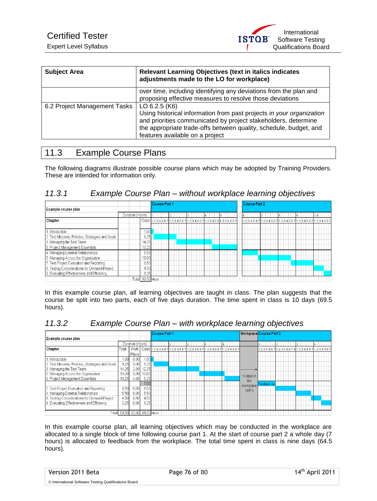

| <b>Subject Area</b>          | <b>Relevant Learning Objectives (text in italics indicates</b><br>adjustments made to the LO for workplace)                                                                                                                                                     |
|------------------------------|-----------------------------------------------------------------------------------------------------------------------------------------------------------------------------------------------------------------------------------------------------------------|
|                              | over time, including identifying any deviations from the plan and<br>proposing effective measures to resolve those deviations                                                                                                                                   |
| 6.2 Project Management Tasks | LO 6.2.5 (K6)<br>Using historical information from past projects in your organization<br>and priorities communicated by project stakeholders, determine<br>the appropriate trade-offs between quality, schedule, budget, and<br>features available on a project |

### 11.3 Example Course Plans

The following diagrams illustrate possible course plans which may be adopted by Training Providers. These are intended for information only.

#### *11.3.1 Example Course Plan – without workplace learning objectives*

|                                                    |                  |                   | <b>Course Part 2</b><br><b>Course Part 1</b>                                                                     |  |
|----------------------------------------------------|------------------|-------------------|------------------------------------------------------------------------------------------------------------------|--|
| Example course plan                                |                  |                   |                                                                                                                  |  |
|                                                    | Duration (Hours) |                   |                                                                                                                  |  |
| Chapter                                            |                  |                   | Class 1 2 3 4 5 6 7 1 2 3 4 5 6 7 1 2 3 4 5 6 7 1 2 3 4 5 6 1 2 3 4 5 6 7<br>12345671234567123456712345671234567 |  |
|                                                    |                  |                   |                                                                                                                  |  |
| . Introduction                                     |                  | 1,00              |                                                                                                                  |  |
| 2. Test Missions, Policies, Strategies and Goals I |                  | 9.25              |                                                                                                                  |  |
| 3. Managing the Test Team                          |                  | 14,25             |                                                                                                                  |  |
| 6. Project Management Essentials                   |                  | 10,25             |                                                                                                                  |  |
| 4. Managing External Relationships                 |                  | 5,50              |                                                                                                                  |  |
| 5. Managing Across the Organization                |                  | 13,00             |                                                                                                                  |  |
| 7. Test Project Evaluation and Reporting           |                  | 8,50              |                                                                                                                  |  |
| 8. Testing Considerations for Domain&Project       |                  | 4,50              |                                                                                                                  |  |
| 9. Evaluating Effectiveness and Efficiency         |                  | 3.25              |                                                                                                                  |  |
|                                                    |                  | Total 69,50 Hours |                                                                                                                  |  |

In this example course plan, all learning objectives are taught in class. The plan suggests that the course be split into two parts, each of five days duration. The time spent in class is 10 days (69.5 hours).

#### *11.3.2 Example Course Plan – with workplace learning objectives*

|                                                  |                               |                  |       | Course Part 1 |                                                                                      |  |  |  |  | <b>Workplace Course Part 2</b> |  |              |  |  |  |  |                                                           |  |
|--------------------------------------------------|-------------------------------|------------------|-------|---------------|--------------------------------------------------------------------------------------|--|--|--|--|--------------------------------|--|--------------|--|--|--|--|-----------------------------------------------------------|--|
| Example course plan                              |                               |                  |       |               |                                                                                      |  |  |  |  |                                |  |              |  |  |  |  |                                                           |  |
|                                                  |                               | Duration (Hours) |       |               |                                                                                      |  |  |  |  |                                |  |              |  |  |  |  |                                                           |  |
| Chapter                                          | Total                         |                  |       |               | Work   Class   1 2 3 4 5 6 7 1 2 3 4 5 6 7 1 2 3 4 5 6 7 1 2 3 4 5 6 7 1 2 3 4 5 6 7 |  |  |  |  |                                |  |              |  |  |  |  | 1 2 3 4 5 6 7 1 2 3 4 5 6 7 8 1 2 3 4 5 6 7 1 2 3 4 5 6 7 |  |
|                                                  |                               | Place            |       |               |                                                                                      |  |  |  |  |                                |  |              |  |  |  |  |                                                           |  |
| . Introduction                                   | 1.00                          | 0,00             | 1,00  |               |                                                                                      |  |  |  |  |                                |  |              |  |  |  |  |                                                           |  |
| 2. Test Missions, Policies, Strategies and Goals | 9,25                          | 3,00             | 6.25  |               |                                                                                      |  |  |  |  |                                |  |              |  |  |  |  |                                                           |  |
| 3. Managing the Test Team                        | 14.25                         | 2,00             | 12.25 |               |                                                                                      |  |  |  |  |                                |  |              |  |  |  |  |                                                           |  |
| 5. Managing Across the Organization              | 13,00                         | 3,00             | 10.00 |               |                                                                                      |  |  |  |  | N days in                      |  |              |  |  |  |  |                                                           |  |
| 6. Project Management Essentials                 | 10.25                         | 4.00             | 6,25  |               |                                                                                      |  |  |  |  | the                            |  |              |  |  |  |  |                                                           |  |
|                                                  |                               |                  | 7.00  |               |                                                                                      |  |  |  |  | workplace                      |  | Feedback day |  |  |  |  |                                                           |  |
| 7. Test Project Evaluation and Reporting         | 8,50                          | 0,00             | 8,50  |               |                                                                                      |  |  |  |  | (WP)                           |  |              |  |  |  |  |                                                           |  |
| 4. Managing External Relationships               | 5,50                          | 0.00             | 5,50  |               |                                                                                      |  |  |  |  |                                |  |              |  |  |  |  |                                                           |  |
| 8. Testing Considerations for Domain&Project     | 4,50                          | 0,00             | 4,50  |               |                                                                                      |  |  |  |  |                                |  |              |  |  |  |  |                                                           |  |
| 9. Evaluating Effectiveness and Efficiency       | 3.25                          | 0,00             | 3.25  |               |                                                                                      |  |  |  |  |                                |  |              |  |  |  |  |                                                           |  |
|                                                  |                               |                  |       |               |                                                                                      |  |  |  |  |                                |  |              |  |  |  |  |                                                           |  |
|                                                  | Total 69,50 12,00 64,50 Hours |                  |       |               |                                                                                      |  |  |  |  |                                |  |              |  |  |  |  |                                                           |  |

In this example course plan, all learning objectives which may be conducted in the workplace are allocated to a single block of time following course part 1. At the start of course part 2 a whole day (7 hours) is allocated to feedback from the workplace. The total time spent in class is nine days (64.5 hours).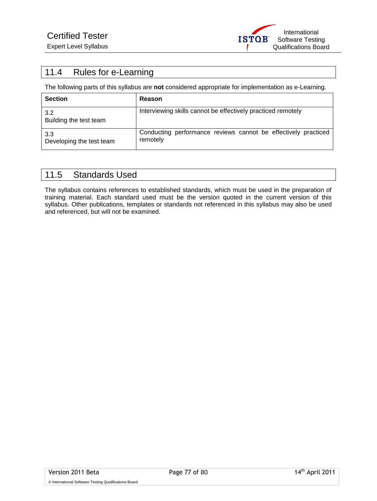

# 11.4 Rules for e-Learning

The following parts of this syllabus are **not** considered appropriate for implementation as e-Learning.

| <b>Section</b>                  | <b>Reason</b>                                                              |
|---------------------------------|----------------------------------------------------------------------------|
| 3.2<br>Building the test team   | Interviewing skills cannot be effectively practiced remotely               |
| 3.3<br>Developing the test team | Conducting performance reviews cannot be effectively practiced<br>remotely |

### 11.5 Standards Used

The syllabus contains references to established standards, which must be used in the preparation of training material. Each standard used must be the version quoted in the current version of this syllabus. Other publications, templates or standards not referenced in this syllabus may also be used and referenced, but will not be examined.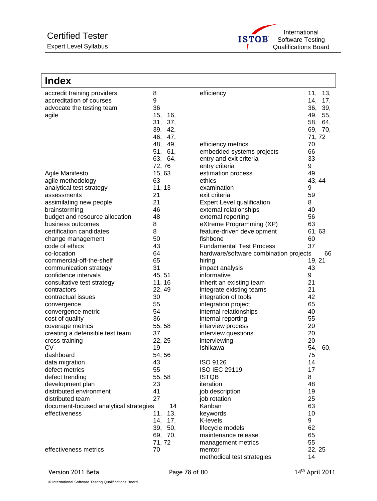

| <b>Index</b>                           |            |                                        |            |
|----------------------------------------|------------|----------------------------------------|------------|
| accredit training providers            | 8          | efficiency                             | 11,<br>13, |
| accreditation of courses               | 9          |                                        | 14,<br>17, |
| advocate the testing team              | 36         |                                        | 36,<br>39, |
| agile                                  | 15,<br>16, |                                        | 49,<br>55, |
|                                        | 31,<br>37, |                                        | 58,<br>64, |
|                                        | 39,<br>42, |                                        | 69, 70,    |
|                                        | 46,<br>47, |                                        | 71, 72     |
|                                        | 48, 49,    | efficiency metrics                     | 70         |
|                                        | 51, 61,    | embedded systems projects              | 66         |
|                                        | 63, 64,    | entry and exit criteria                | 33         |
|                                        | 72,76      | entry criteria                         | 9          |
| Agile Manifesto                        | 15, 63     | estimation process                     | 49         |
| agile methodology                      | 63         | ethics                                 | 43, 44     |
| analytical test strategy               | 11, 13     | examination                            | 9          |
| assessments                            | 21         | exit criteria                          | 59         |
| assimilating new people                | 21         | <b>Expert Level qualification</b>      | 8          |
| brainstorming                          | 46         | external relationships                 | 40         |
| budget and resource allocation         | 48         | external reporting                     | 56         |
| business outcomes                      | 8          | eXtreme Programming (XP)               | 63         |
| certification candidates               | 8          | feature-driven development             | 61, 63     |
| change management                      | 50         | fishbone                               | 60         |
| code of ethics                         | 43         | <b>Fundamental Test Process</b>        | 37         |
| co-location                            | 64         | hardware/software combination projects | 66         |
| commercial-off-the-shelf               | 65         | hiring                                 | 19, 21     |
| communication strategy                 | 31         | impact analysis                        | 43         |
| confidence intervals                   | 45, 51     | informative                            | 9          |
| consultative test strategy             | 11, 16     | inherit an existing team               | 21         |
| contractors                            | 22, 49     | integrate existing teams               | 21         |
| contractual issues                     | 30         | integration of tools                   | 42         |
| convergence                            | 55         | integration project                    | 65         |
| convergence metric                     | 54         | internal relationships                 | 40         |
| cost of quality                        | 36         | internal reporting                     | 55         |
| coverage metrics                       | 55, 58     | interview process                      | 20         |
| creating a defensible test team        | 37         | interview questions                    | 20         |
| cross-training                         | 22, 25     | interviewing                           | 20         |
| <b>CV</b>                              | 19         | Ishikawa                               | 54,<br>60, |
| dashboard                              | 54, 56     |                                        | 75         |
| data migration                         | 43         | <b>ISO 9126</b>                        | 14         |
| defect metrics                         | 55         | <b>ISO IEC 29119</b>                   | 17         |
| defect trending                        | 55, 58     | <b>ISTQB</b>                           | 8          |
| development plan                       | 23         | iteration                              | 48         |
| distributed environment                | 41         | job description                        | 19         |
| distributed team                       | 27         | job rotation                           | 25         |
| document-focused analytical strategies | 14         | Kanban                                 | 63         |
| effectiveness                          | 13,<br>11, | keywords                               | 10         |
|                                        | 14,<br>17, | K-levels                               | 9          |
|                                        | 39, 50,    | lifecycle models                       | 62         |
|                                        | 69, 70,    | maintenance release                    | 65         |
|                                        | 71,72      | management metrics                     | 55         |
| effectiveness metrics                  | 70         | mentor                                 | 22, 25     |
|                                        |            | methodical test strategies             | 14         |

Version 2011 Beta **Page 78 of 80** 14<sup>th</sup> April 2011

© International Software Testing Qualifications Board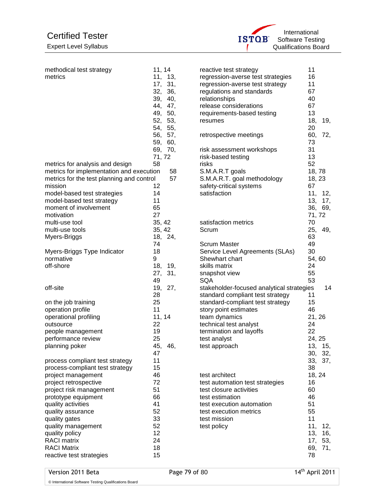Expert Level Syllabus



| methodical test strategy                  | 11, 14 |         | reactive test strategy                    | 11     |         |
|-------------------------------------------|--------|---------|-------------------------------------------|--------|---------|
| metrics                                   |        | 11, 13, | regression-averse test strategies         | 16     |         |
|                                           | 17,    | 31,     | regression-averse test strategy           | 11     |         |
|                                           | 32,    | 36,     | regulations and standards                 | 67     |         |
|                                           | 39,    | 40,     | relationships                             | 40     |         |
|                                           | 44,    | 47,     | release considerations                    | 67     |         |
|                                           | 49,    | 50,     | requirements-based testing                | 13     |         |
|                                           | 52,    | 53,     | resumes                                   | 18,    | 19,     |
|                                           | 54,    | 55,     |                                           | 20     |         |
|                                           | 56,    | 57,     | retrospective meetings                    | 60,    | 72,     |
|                                           | 59,    | 60,     |                                           | 73     |         |
|                                           |        | 69, 70, | risk assessment workshops                 | 31     |         |
|                                           | 71, 72 |         | risk-based testing                        | 13     |         |
| metrics for analysis and design           | 58     |         | risks                                     | 52     |         |
| metrics for implementation and execution  |        | 58      | S.M.A.R.T goals                           | 18,78  |         |
| metrics for the test planning and control |        | 57      | S.M.A.R.T. goal methodology               | 18, 23 |         |
| mission                                   | 12     |         | safety-critical systems                   | 67     |         |
| model-based test strategies               | 14     |         | satisfaction                              | 11,    | 12,     |
| model-based test strategy                 | 11     |         |                                           | 13,    | 17,     |
| moment of involvement                     | 65     |         |                                           | 36,    | 69,     |
| motivation                                | 27     |         |                                           |        |         |
|                                           |        |         | satisfaction metrics                      | 71, 72 |         |
| multi-use tool                            | 35, 42 |         |                                           | 70     |         |
| multi-use tools                           | 35, 42 |         | Scrum                                     | 25,    | 49,     |
| Myers-Briggs                              |        | 18, 24, |                                           | 63     |         |
|                                           | 74     |         | <b>Scrum Master</b>                       | 49     |         |
| Myers-Briggs Type Indicator               | 18     |         | Service Level Agreements (SLAs)           | 30     |         |
| normative                                 | 9      |         | Shewhart chart                            | 54,60  |         |
| off-shore                                 | 18,    | 19,     | skills matrix                             | 24     |         |
|                                           | 27,    | 31,     | snapshot view                             | 55     |         |
|                                           | 49     |         | <b>SQA</b>                                | 53     |         |
| off-site                                  | 19,    | 27,     | stakeholder-focused analytical strategies |        | 14      |
|                                           | 28     |         | standard compliant test strategy          | 11     |         |
| on the job training                       | 25     |         | standard-compliant test strategy          | 15     |         |
| operation profile                         | 11     |         | story point estimates                     | 46     |         |
| operational profiling                     | 11, 14 |         | team dynamics                             | 21, 26 |         |
| outsource                                 | 22     |         | technical test analyst                    | 24     |         |
| people management                         | 19     |         | termination and layoffs                   | 22     |         |
| performance review                        | 25     |         | test analyst                              | 24, 25 |         |
| planning poker                            | 45,    | 46,     | test approach                             |        | 13, 15, |
|                                           | 47     |         |                                           |        | 30, 32, |
| process compliant test strategy           | 11     |         |                                           | 33,    | 37,     |
| process-compliant test strategy           | 15     |         |                                           | 38     |         |
| project management                        | 46     |         | test architect                            | 18, 24 |         |
| project retrospective                     | 72     |         | test automation test strategies           | 16     |         |
| project risk management                   | 51     |         | test closure activities                   | 60     |         |
| prototype equipment                       | 66     |         | test estimation                           | 46     |         |
| quality activities                        | 41     |         | test execution automation                 | 51     |         |
| quality assurance                         | 52     |         | test execution metrics                    | 55     |         |
| quality gates                             | 33     |         | test mission                              | 11     |         |
| quality management                        | 52     |         | test policy                               | 11,    | 12,     |
| quality policy                            | 12     |         |                                           | 13,    | 16,     |
| <b>RACI matrix</b>                        | 24     |         |                                           | 17,    | 53,     |
| <b>RACI Matrix</b>                        | 18     |         |                                           | 69,    | 71,     |
| reactive test strategies                  | 15     |         |                                           | 78     |         |

© International Software Testing Qualifications Board